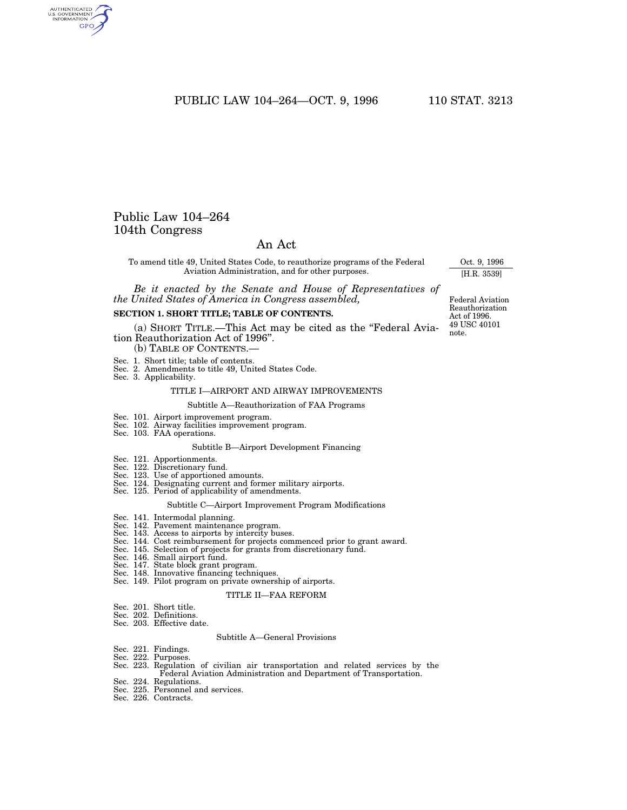PUBLIC LAW 104-264-OCT. 9, 1996 110 STAT. 3213

## Public Law 104–264 104th Congress

## An Act

To amend title 49, United States Code, to reauthorize programs of the Federal Aviation Administration, and for other purposes.

*Be it enacted by the Senate and House of Representatives of the United States of America in Congress assembled,*

#### **SECTION 1. SHORT TITLE; TABLE OF CONTENTS.**

(a) SHORT TITLE.—This Act may be cited as the ''Federal Aviation Reauthorization Act of 1996''. (b) TABLE OF CONTENTS.

- 
- Sec. 1. Short title; table of contents.
- Sec. 2. Amendments to title 49, United States Code.
- Sec. 3. Applicability.

#### TITLE I—AIRPORT AND AIRWAY IMPROVEMENTS

Subtitle A—Reauthorization of FAA Programs

- Sec. 101. Airport improvement program.
- Sec. 102. Airway facilities improvement program. Sec. 103. FAA operations.
- 

#### Subtitle B—Airport Development Financing

- Sec. 121. Apportionments.
- 
- Sec. 122. Discretionary fund. Sec. 123. Use of apportioned amounts.
- Sec. 124. Designating current and former military airports. Sec. 125. Period of applicability of amendments.
- 

#### Subtitle C—Airport Improvement Program Modifications

- Sec. 141. Intermodal planning.
- Sec. 142. Pavement maintenance program.
- 
- Sec. 143. Access to airports by intercity buses.<br>Sec. 144. Cost reimbursement for projects commenced prior to grant award.<br>Sec. 145. Selection of projects for grants from discretionary fund.<br>Sec. 146. Small airport fund.<br>S
- 
- 
- 
- 
- 

#### TITLE II—FAA REFORM

- Sec. 201. Short title.
- Sec. 202. Definitions.
- Sec. 203. Effective date.

#### Subtitle A—General Provisions

- 
- 
- Sec. 221. Findings. Sec. 222. Purposes. Sec. 223. Regulation of civilian air transportation and related services by the Federal Aviation Administration and Department of Transportation.
- Sec. 224. Regulations.
- Sec. 225. Personnel and services. Sec. 226. Contracts.
- 

49 USC 40101 note. Federal Aviation Reauthorization Act of 1996.

Oct. 9, 1996 [H.R. 3539]

AUTHENTICATED<br>U.S. GOVERNMENT<br>INFORMATION GPO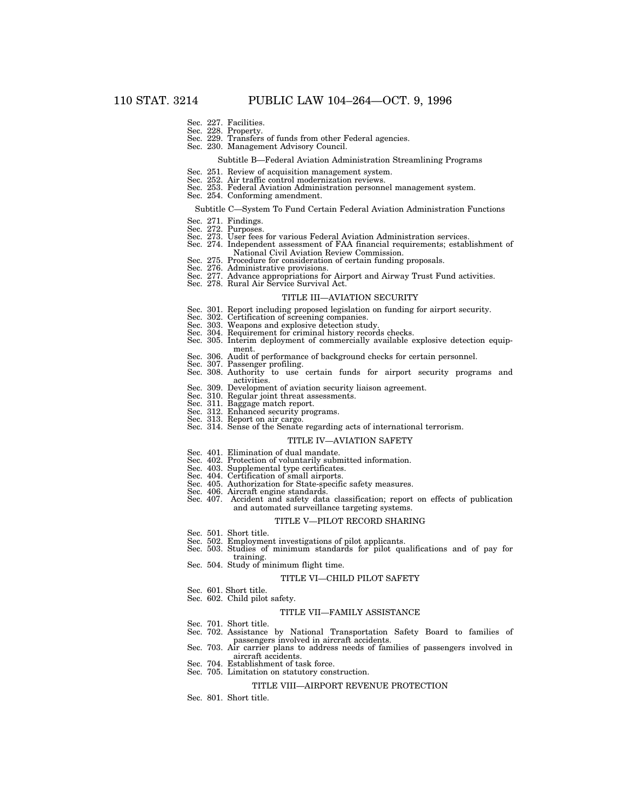- Sec. 227. Facilities.
- 
- Sec. 228. Property. Sec. 229. Transfers of funds from other Federal agencies.
- Sec. 230. Management Advisory Council.

#### Subtitle B—Federal Aviation Administration Streamlining Programs

- Sec. 251. Review of acquisition management system.
- 
- Sec. 252. Air traffic control modernization reviews. Sec. 253. Federal Aviation Administration personnel management system.
- Sec. 254. Conforming amendment.

#### Subtitle C—System To Fund Certain Federal Aviation Administration Functions

- Sec. 271. Findings.
- 
- Sec. 272. Purposes. Sec. 273. User fees for various Federal Aviation Administration services.
- Sec. 274. Independent assessment of FAA financial requirements; establishment of
- National Civil Aviation Review Commission.
- Sec. 275. Procedure for consideration of certain funding proposals.
- Sec. 276. Administrative provisions. Sec. 277. Advance appropriations for Airport and Airway Trust Fund activities. Sec. 278. Rural Air Service Survival Act.
- 

## TITLE III—AVIATION SECURITY

- Sec. 301. Report including proposed legislation on funding for airport security.
- Sec. 302. Certification of screening companies. Sec. 303. Weapons and explosive detection study.
- 
- 
- Sec. 304. Requirement for criminal history records checks. Sec. 305. Interim deployment of commercially available explosive detection equipment.
- 
- 
- Sec. 306. Audit of performance of background checks for certain personnel. Sec. 307. Passenger profiling. Sec. 308. Authority to use certain funds for airport security programs and activities.
- Sec. 309. Development of aviation security liaison agreement.
- Sec. 310. Regular joint threat assessments.
- Sec. 311. Baggage match report.
- Sec. 312. Enhanced security programs. Sec. 313. Report on air cargo.
- Sec. 314. Sense of the Senate regarding acts of international terrorism.

#### TITLE IV—AVIATION SAFETY

- Sec. 401. Elimination of dual mandate.
- 
- 
- 
- Sec. 402. Protection of voluntarily submitted information. Sec. 403. Supplemental type certificates. Sec. 404. Certification of small airports. Sec. 405. Authorization for State-specific safety measures.
- Sec. 406. Aircraft engine standards.<br>Sec. 407. Accident and safety data
- Accident and safety data classification; report on effects of publication and automated surveillance targeting systems.

#### TITLE V—PILOT RECORD SHARING

- Sec. 501. Short title.
	-
- Sec. 502. Employment investigations of pilot applicants. Sec. 503. Studies of minimum standards for pilot qualifications and of pay for training. Sec. 504. Study of minimum flight time.
- 

#### TITLE VI—CHILD PILOT SAFETY

- Sec. 601. Short title.
- Sec. 602. Child pilot safety.

#### TITLE VII—FAMILY ASSISTANCE

- Sec. 701. Short title.
- Sec. 702. Assistance by National Transportation Safety Board to families of passengers involved in aircraft accidents.
- Sec. 703. Air carrier plans to address needs of families of passengers involved in aircraft accidents.
- Sec. 704. Establishment of task force.
- Sec. 705. Limitation on statutory construction.

#### TITLE VIII—AIRPORT REVENUE PROTECTION

Sec. 801. Short title.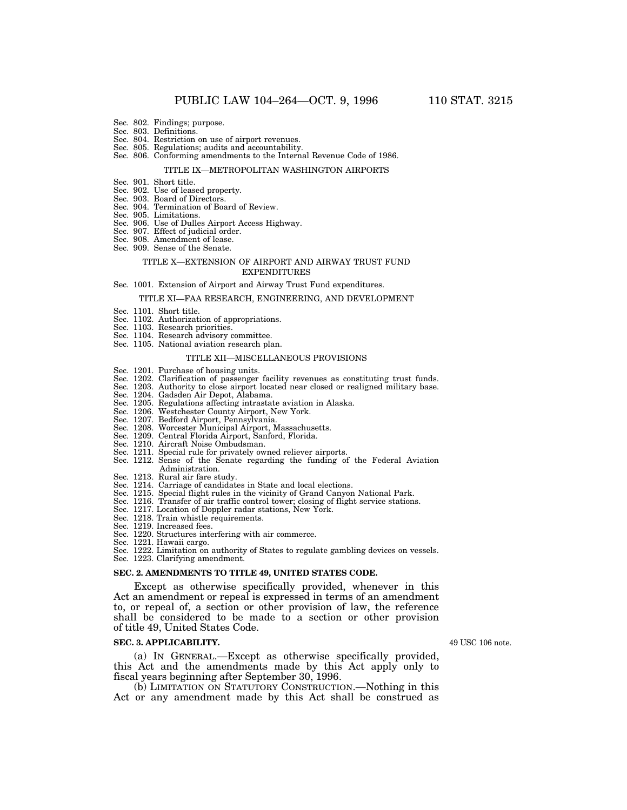- Sec. 802. Findings; purpose.
- Sec. 803. Definitions.
- Sec. 804. Restriction on use of airport revenues.
- Sec. 805. Regulations; audits and accountability.
- Sec. 806. Conforming amendments to the Internal Revenue Code of 1986.

#### TITLE IX—METROPOLITAN WASHINGTON AIRPORTS

- Sec. 901. Short title.
- Sec. 902. Use of leased property.
- Sec. 903. Board of Directors.
- Sec. 904. Termination of Board of Review.
- Sec. 905. Limitations.
- Sec. 906. Use of Dulles Airport Access Highway.
- Sec. 907. Effect of judicial order.
- Sec. 908. Amendment of lease.
- Sec. 909. Sense of the Senate.

#### TITLE X—EXTENSION OF AIRPORT AND AIRWAY TRUST FUND EXPENDITURES

#### Sec. 1001. Extension of Airport and Airway Trust Fund expenditures.

### TITLE XI—FAA RESEARCH, ENGINEERING, AND DEVELOPMENT

- Sec. 1101. Short title.
- Sec. 1102. Authorization of appropriations.
- Sec. 1103. Research priorities.
- Sec. 1104. Research advisory committee.
- Sec. 1105. National aviation research plan.

#### TITLE XII—MISCELLANEOUS PROVISIONS

- Sec. 1201. Purchase of housing units.
- Sec. 1202. Clarification of passenger facility revenues as constituting trust funds.
- Sec. 1203. Authority to close airport located near closed or realigned military base.
- Sec. 1204. Gadsden Air Depot, Alabama.
- Sec. 1205. Regulations affecting intrastate aviation in Alaska.
- Sec. 1206. Westchester County Airport, New York.
- Sec. 1207. Bedford Airport, Pennsylvania.
- Sec. 1208. Worcester Municipal Airport, Massachusetts.
- Sec. 1209. Central Florida Airport, Sanford, Florida.
- Sec. 1210. Aircraft Noise Ombudsman.
- Sec. 1211. Special rule for privately owned reliever airports.
- Sec. 1212. Sense of the Senate regarding the funding of the Federal Aviation Administration.
- Sec. 1213. Rural air fare study.
- Sec. 1214. Carriage of candidates in State and local elections.
- Sec. 1215. Special flight rules in the vicinity of Grand Canyon National Park.
- Sec. 1216. Transfer of air traffic control tower; closing of flight service stations.
- Sec. 1217. Location of Doppler radar stations, New York.
- Sec. 1218. Train whistle requirements.
- Sec. 1219. Increased fees.
- Sec. 1220. Structures interfering with air commerce.
- Sec. 1221. Hawaii cargo.

Sec. 1222. Limitation on authority of States to regulate gambling devices on vessels.

Sec. 1223. Clarifying amendment.

#### **SEC. 2. AMENDMENTS TO TITLE 49, UNITED STATES CODE.**

Except as otherwise specifically provided, whenever in this Act an amendment or repeal is expressed in terms of an amendment to, or repeal of, a section or other provision of law, the reference shall be considered to be made to a section or other provision of title 49, United States Code.

#### **SEC. 3. APPLICABILITY.**

(a) IN GENERAL.—Except as otherwise specifically provided, this Act and the amendments made by this Act apply only to fiscal years beginning after September 30, 1996.

(b) LIMITATION ON STATUTORY CONSTRUCTION.—Nothing in this Act or any amendment made by this Act shall be construed as

49 USC 106 note.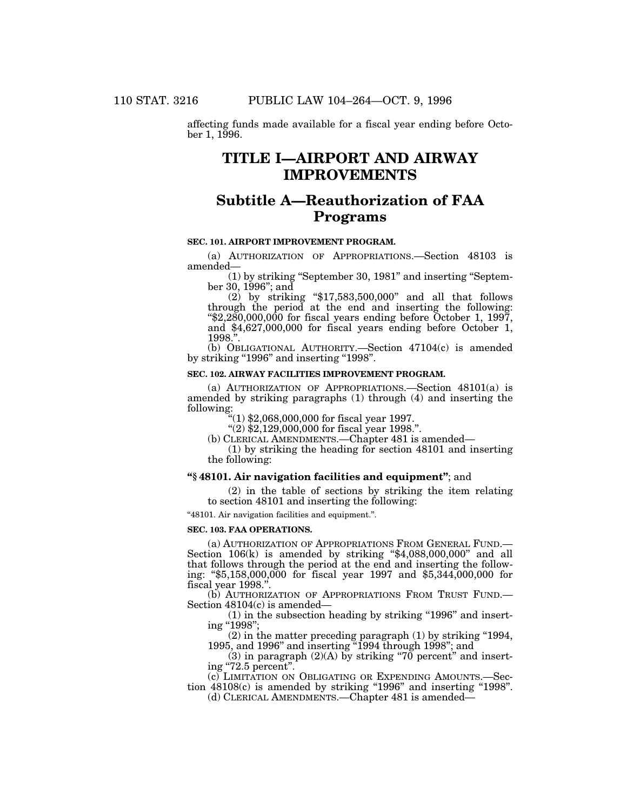affecting funds made available for a fiscal year ending before October 1, 1996.

# **TITLE I—AIRPORT AND AIRWAY IMPROVEMENTS**

# **Subtitle A—Reauthorization of FAA Programs**

## **SEC. 101. AIRPORT IMPROVEMENT PROGRAM.**

(a) AUTHORIZATION OF APPROPRIATIONS.—Section 48103 is amended—

(1) by striking ''September 30, 1981'' and inserting ''September 30, 1996''; and

(2) by striking ''\$17,583,500,000'' and all that follows through the period at the end and inserting the following: ''\$2,280,000,000 for fiscal years ending before October 1, 1997, and \$4,627,000,000 for fiscal years ending before October 1, 1998."

(b) OBLIGATIONAL AUTHORITY.—Section 47104(c) is amended by striking "1996" and inserting "1998".

#### **SEC. 102. AIRWAY FACILITIES IMPROVEMENT PROGRAM.**

(a) AUTHORIZATION OF APPROPRIATIONS.—Section 48101(a) is amended by striking paragraphs (1) through (4) and inserting the following:

''(1) \$2,068,000,000 for fiscal year 1997.

 $(2)$  \$2,129,000,000 for fiscal year 1998.".

(b) CLERICAL AMENDMENTS.—Chapter 481 is amended—

(1) by striking the heading for section 48101 and inserting the following:

### **''§ 48101. Air navigation facilities and equipment''**; and

(2) in the table of sections by striking the item relating to section 48101 and inserting the following:

''48101. Air navigation facilities and equipment.''.

### **SEC. 103. FAA OPERATIONS.**

(a) AUTHORIZATION OF APPROPRIATIONS FROM GENERAL FUND.— Section 106(k) is amended by striking "\$4,088,000,000" and all that follows through the period at the end and inserting the following: ''\$5,158,000,000 for fiscal year 1997 and \$5,344,000,000 for fiscal year 1998.''.

(b) AUTHORIZATION OF APPROPRIATIONS FROM TRUST FUND.— Section 48104(c) is amended—

 $(1)$  in the subsection heading by striking "1996" and inserting ''1998'';

(2) in the matter preceding paragraph (1) by striking ''1994, 1995, and 1996'' and inserting ''1994 through 1998''; and 1995, and 1996" and inserting "1994 through 1998"; and<br>
(3) in paragraph (2)(A) by striking "70 percent" and insert-

ing ''72.5 percent''.

(c) LIMITATION ON OBLIGATING OR EXPENDING AMOUNTS.—Section  $48108(c)$  is amended by striking "1996" and inserting "1998".

(d) CLERICAL AMENDMENTS.—Chapter 481 is amended—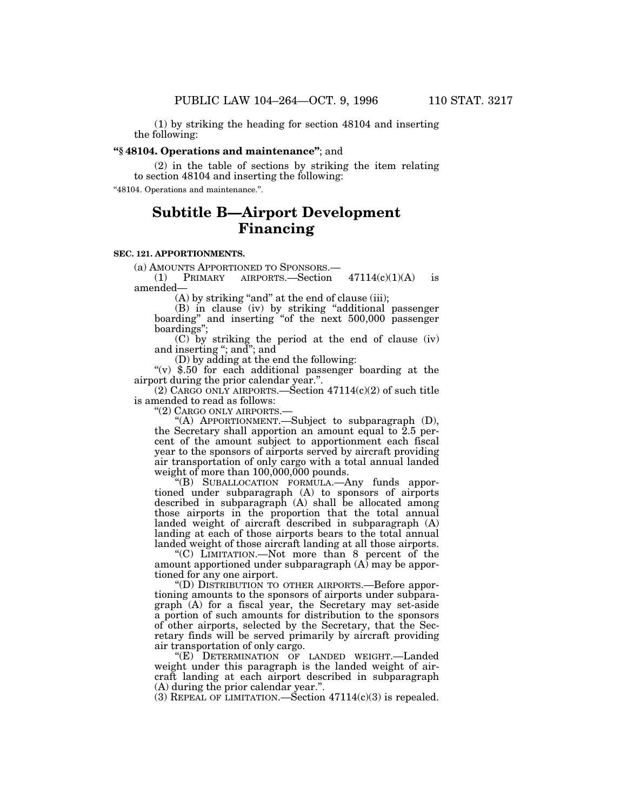(1) by striking the heading for section 48104 and inserting the following:

## **''§ 48104. Operations and maintenance''**; and

(2) in the table of sections by striking the item relating to section 48104 and inserting the following:

''48104. Operations and maintenance.''.

# **Subtitle B—Airport Development Financing**

## **SEC. 121. APPORTIONMENTS.**

(a) AMOUNTS APPORTIONED TO SPONSORS.—

(1) PRIMARY AIRPORTS.—Section  $47114(c)(1)(A)$  is amended—

 $(A)$  by striking "and" at the end of clause (iii);

(B) in clause (iv) by striking ''additional passenger boarding" and inserting "of the next 500,000 passenger boardings'';

(C) by striking the period at the end of clause (iv) and inserting ''; and''; and

(D) by adding at the end the following:

" $(v)$  \$.50 for each additional passenger boarding at the airport during the prior calendar year.''.

(2) CARGO ONLY AIRPORTS.  $-$  Section 47114(c)(2) of such title is amended to read as follows:

''(2) CARGO ONLY AIRPORTS.—

''(A) APPORTIONMENT.—Subject to subparagraph (D), the Secretary shall apportion an amount equal to 2.5 percent of the amount subject to apportionment each fiscal year to the sponsors of airports served by aircraft providing air transportation of only cargo with a total annual landed weight of more than 100,000,000 pounds.

''(B) SUBALLOCATION FORMULA.—Any funds apportioned under subparagraph (A) to sponsors of airports described in subparagraph (A) shall be allocated among those airports in the proportion that the total annual landed weight of aircraft described in subparagraph (A) landing at each of those airports bears to the total annual landed weight of those aircraft landing at all those airports.

''(C) LIMITATION.—Not more than 8 percent of the amount apportioned under subparagraph  $(A)$  may be apportioned for any one airport.

''(D) DISTRIBUTION TO OTHER AIRPORTS.—Before apportioning amounts to the sponsors of airports under subparagraph (A) for a fiscal year, the Secretary may set-aside a portion of such amounts for distribution to the sponsors of other airports, selected by the Secretary, that the Secretary finds will be served primarily by aircraft providing air transportation of only cargo.

"(E) DETERMINATION OF LANDED WEIGHT.-Landed weight under this paragraph is the landed weight of aircraft landing at each airport described in subparagraph (A) during the prior calendar year.''.

(3) REPEAL OF LIMITATION.—Section  $47114(c)(3)$  is repealed.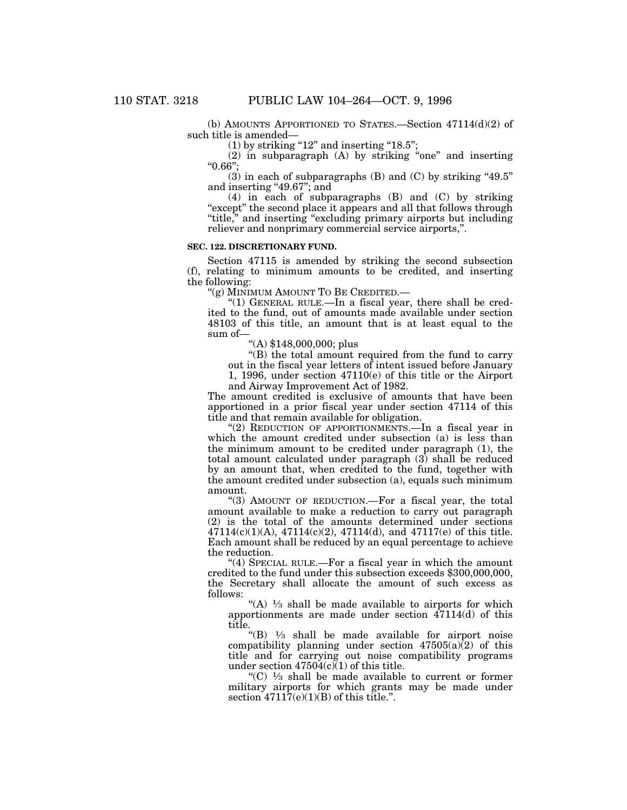(b) AMOUNTS APPORTIONED TO STATES.—Section  $47114(d)(2)$  of such title is amended—

 $(1)$  by striking "12" and inserting "18.5";

 $(2)$  in subparagraph  $(A)$  by striking "one" and inserting ''0.66'';

 $(3)$  in each of subparagraphs  $(B)$  and  $(C)$  by striking "49.5" and inserting "49.67"; and

(4) in each of subparagraphs (B) and (C) by striking "except" the second place it appears and all that follows through "title," and inserting "excluding primary airports but including reliever and nonprimary commercial service airports,''.

## **SEC. 122. DISCRETIONARY FUND.**

Section 47115 is amended by striking the second subsection (f), relating to minimum amounts to be credited, and inserting the following:

"(g) MINIMUM AMOUNT TO BE CREDITED.—

''(1) GENERAL RULE.—In a fiscal year, there shall be credited to the fund, out of amounts made available under section 48103 of this title, an amount that is at least equal to the sum of—

''(A) \$148,000,000; plus

''(B) the total amount required from the fund to carry out in the fiscal year letters of intent issued before January

1, 1996, under section 47110(e) of this title or the Airport and Airway Improvement Act of 1982.

The amount credited is exclusive of amounts that have been apportioned in a prior fiscal year under section 47114 of this title and that remain available for obligation.

''(2) REDUCTION OF APPORTIONMENTS.—In a fiscal year in which the amount credited under subsection (a) is less than the minimum amount to be credited under paragraph (1), the total amount calculated under paragraph (3) shall be reduced by an amount that, when credited to the fund, together with the amount credited under subsection (a), equals such minimum amount.

"(3) AMOUNT OF REDUCTION.—For a fiscal year, the total amount available to make a reduction to carry out paragraph (2) is the total of the amounts determined under sections  $47114(c)(1)(A)$ ,  $47114(c)(2)$ ,  $47114(d)$ , and  $47117(e)$  of this title. Each amount shall be reduced by an equal percentage to achieve the reduction.

" $(4)$  SPECIAL RULE.—For a fiscal year in which the amount credited to the fund under this subsection exceeds \$300,000,000, the Secretary shall allocate the amount of such excess as follows:

"(A)  $\frac{1}{3}$  shall be made available to airports for which apportionments are made under section 47114(d) of this title.

"(B)  $\frac{1}{3}$  shall be made available for airport noise compatibility planning under section  $47505(a)\overline{(2)}$  of this title and for carrying out noise compatibility programs under section  $47504(c)(1)$  of this title.

" $(C)$  <sup>1</sup>/<sub>3</sub> shall be made available to current or former military airports for which grants may be made under section  $47117(e)(1)(B)$  of this title.".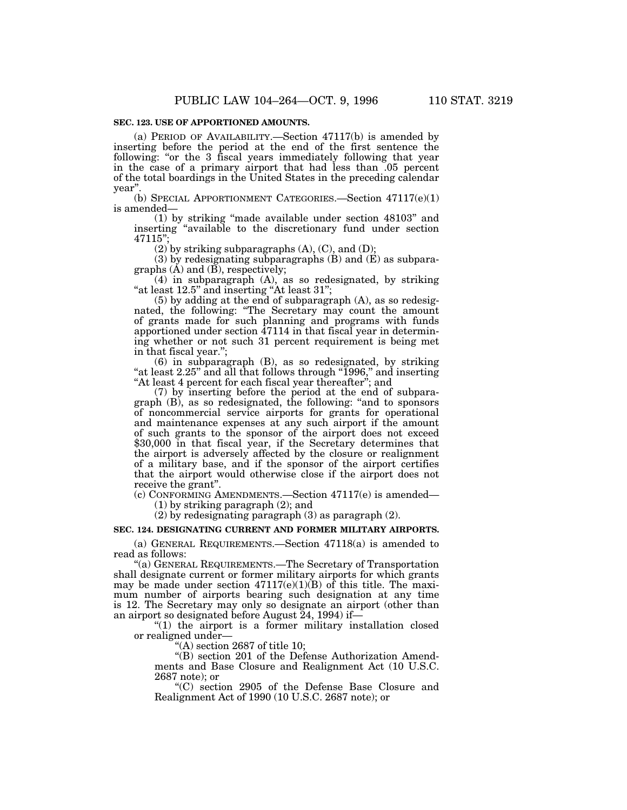### **SEC. 123. USE OF APPORTIONED AMOUNTS.**

(a) PERIOD OF AVAILABILITY.—Section 47117(b) is amended by inserting before the period at the end of the first sentence the following: "or the 3 fiscal years immediately following that year in the case of a primary airport that had less than .05 percent of the total boardings in the United States in the preceding calendar year''.

(b) SPECIAL APPORTIONMENT CATEGORIES.—Section 47117(e)(1) is amended—

(1) by striking ''made available under section 48103'' and inserting ''available to the discretionary fund under section 47115'';

 $(2)$  by striking subparagraphs  $(A)$ ,  $(C)$ , and  $(D)$ ;

(3) by redesignating subparagraphs (B) and (E) as subparagraphs  $(A)$  and  $(B)$ , respectively;

(4) in subparagraph (A), as so redesignated, by striking "at least  $12.5$ " and inserting "At least  $31$ ";

(5) by adding at the end of subparagraph (A), as so redesignated, the following: ''The Secretary may count the amount of grants made for such planning and programs with funds apportioned under section  $\overline{47114}$  in that fiscal year in determining whether or not such 31 percent requirement is being met in that fiscal year.'';

(6) in subparagraph (B), as so redesignated, by striking "at least  $2.25$ " and all that follows through "1996," and inserting "At least 4 percent for each fiscal year thereafter"; and

(7) by inserting before the period at the end of subparagraph (B), as so redesignated, the following: ''and to sponsors of noncommercial service airports for grants for operational and maintenance expenses at any such airport if the amount of such grants to the sponsor of the airport does not exceed \$30,000 in that fiscal year, if the Secretary determines that the airport is adversely affected by the closure or realignment of a military base, and if the sponsor of the airport certifies that the airport would otherwise close if the airport does not receive the grant''.

(c) CONFORMING AMENDMENTS.—Section 47117(e) is amended—

(1) by striking paragraph (2); and

(2) by redesignating paragraph (3) as paragraph (2).

## **SEC. 124. DESIGNATING CURRENT AND FORMER MILITARY AIRPORTS.**

(a) GENERAL REQUIREMENTS.—Section 47118(a) is amended to read as follows:

''(a) GENERAL REQUIREMENTS.—The Secretary of Transportation shall designate current or former military airports for which grants may be made under section  $47117(e)(1)(B)$  of this title. The maximum number of airports bearing such designation at any time is 12. The Secretary may only so designate an airport (other than an airport so designated before August 24, 1994) if—

"(1) the airport is a former military installation closed or realigned under—

"(A) section  $2687$  of title 10;

"(B) section 201 of the Defense Authorization Amendments and Base Closure and Realignment Act (10 U.S.C. 2687 note); or

''(C) section 2905 of the Defense Base Closure and Realignment Act of 1990 (10 U.S.C. 2687 note); or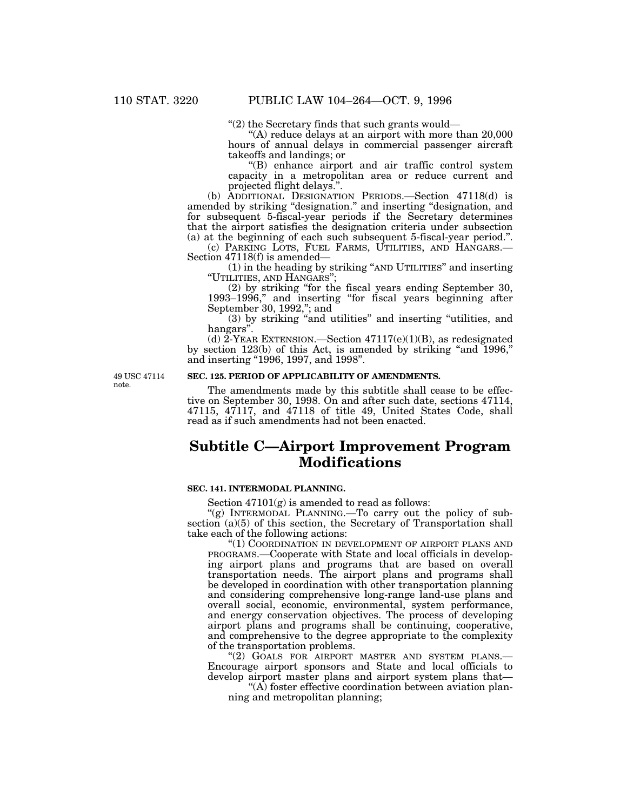''(2) the Secretary finds that such grants would—

''(A) reduce delays at an airport with more than 20,000 hours of annual delays in commercial passenger aircraft takeoffs and landings; or

''(B) enhance airport and air traffic control system capacity in a metropolitan area or reduce current and projected flight delays.''.

(b) ADDITIONAL DESIGNATION PERIODS.—Section 47118(d) is amended by striking ''designation.'' and inserting ''designation, and for subsequent 5-fiscal-year periods if the Secretary determines that the airport satisfies the designation criteria under subsection (a) at the beginning of each such subsequent 5-fiscal-year period.''.

(c) PARKING LOTS, FUEL FARMS, UTILITIES, AND HANGARS.— Section 47118(f) is amended—

(1) in the heading by striking ''AND UTILITIES'' and inserting ''UTILITIES, AND HANGARS'';

(2) by striking ''for the fiscal years ending September 30, 1993–1996," and inserting "for fiscal years beginning after September 30, 1992,''; and

(3) by striking ''and utilities'' and inserting ''utilities, and hangars''.

(d)  $2$ -YEAR EXTENSION.—Section  $47117(e)(1)(B)$ , as redesignated by section 123(b) of this Act, is amended by striking "and 1996," and inserting "1996, 1997, and 1998".

49 USC 47114 note.

## **SEC. 125. PERIOD OF APPLICABILITY OF AMENDMENTS.**

The amendments made by this subtitle shall cease to be effective on September 30, 1998. On and after such date, sections 47114, 47115, 47117, and 47118 of title 49, United States Code, shall read as if such amendments had not been enacted.

# **Subtitle C—Airport Improvement Program Modifications**

## **SEC. 141. INTERMODAL PLANNING.**

Section 47101(g) is amended to read as follows:

"(g) INTERMODAL PLANNING.—To carry out the policy of subsection (a)(5) of this section, the Secretary of Transportation shall take each of the following actions:

"(1) COORDINATION IN DEVELOPMENT OF AIRPORT PLANS AND PROGRAMS.—Cooperate with State and local officials in developing airport plans and programs that are based on overall transportation needs. The airport plans and programs shall be developed in coordination with other transportation planning and considering comprehensive long-range land-use plans and overall social, economic, environmental, system performance, and energy conservation objectives. The process of developing airport plans and programs shall be continuing, cooperative, and comprehensive to the degree appropriate to the complexity of the transportation problems.

"(2) GOALS FOR AIRPORT MASTER AND SYSTEM PLANS.-Encourage airport sponsors and State and local officials to develop airport master plans and airport system plans that—

 $\mathcal{A}$ ) foster effective coordination between aviation planning and metropolitan planning;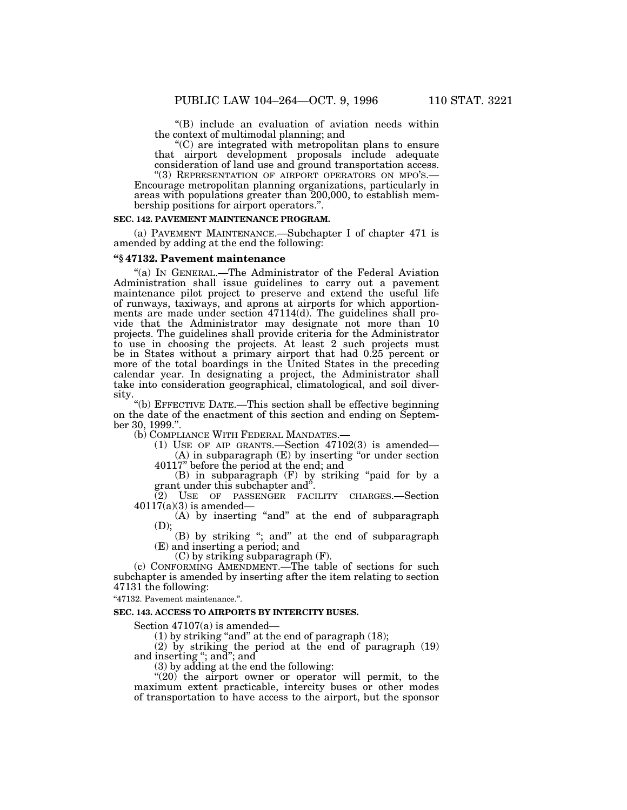''(B) include an evaluation of aviation needs within the context of multimodal planning; and

''(C) are integrated with metropolitan plans to ensure that airport development proposals include adequate consideration of land use and ground transportation access.

''(3) REPRESENTATION OF AIRPORT OPERATORS ON MPO'S.— Encourage metropolitan planning organizations, particularly in areas with populations greater than 200,000, to establish membership positions for airport operators.''.

#### **SEC. 142. PAVEMENT MAINTENANCE PROGRAM.**

(a) PAVEMENT MAINTENANCE.—Subchapter I of chapter 471 is amended by adding at the end the following:

## **''§ 47132. Pavement maintenance**

''(a) IN GENERAL.—The Administrator of the Federal Aviation Administration shall issue guidelines to carry out a pavement maintenance pilot project to preserve and extend the useful life of runways, taxiways, and aprons at airports for which apportionments are made under section 47114(d). The guidelines shall provide that the Administrator may designate not more than 10 projects. The guidelines shall provide criteria for the Administrator to use in choosing the projects. At least 2 such projects must be in States without a primary airport that had 0.25 percent or more of the total boardings in the United States in the preceding calendar year. In designating a project, the Administrator shall take into consideration geographical, climatological, and soil diversity.

''(b) EFFECTIVE DATE.—This section shall be effective beginning on the date of the enactment of this section and ending on September 30, 1999.".<br>(b) COMPLIANCE WITH FEDERAL MANDATES.-

(1) USE OF AIP GRANTS.—Section  $47102(3)$  is amended— (A) in subparagraph (E) by inserting ''or under section

40117'' before the period at the end; and

(B) in subparagraph (F) by striking ''paid for by a grant under this subchapter and''.

(2) USE OF PASSENGER FACILITY CHARGES.—Section  $40117(a)(3)$  is amended—

(A) by inserting "and" at the end of subparagraph (D);

(B) by striking "; and" at the end of subparagraph (E) and inserting a period; and

(C) by striking subparagraph (F).

(c) CONFORMING AMENDMENT.—The table of sections for such subchapter is amended by inserting after the item relating to section 47131 the following:

''47132. Pavement maintenance.''.

#### **SEC. 143. ACCESS TO AIRPORTS BY INTERCITY BUSES.**

Section 47107(a) is amended—

(1) by striking ''and'' at the end of paragraph (18);

(2) by striking the period at the end of paragraph (19) and inserting ''; and''; and

(3) by adding at the end the following:

" $(20)$  the airport owner or operator will permit, to the maximum extent practicable, intercity buses or other modes of transportation to have access to the airport, but the sponsor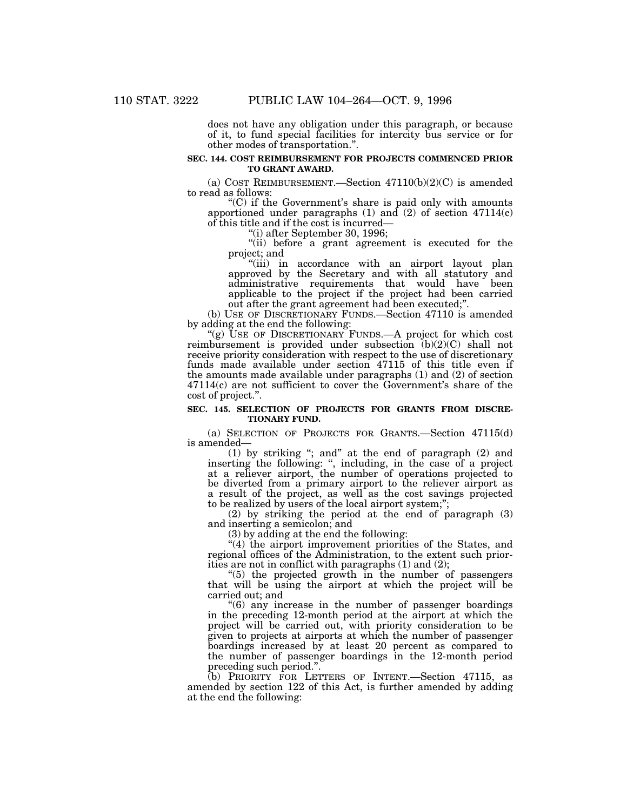does not have any obligation under this paragraph, or because of it, to fund special facilities for intercity bus service or for other modes of transportation.''.

#### **SEC. 144. COST REIMBURSEMENT FOR PROJECTS COMMENCED PRIOR TO GRANT AWARD.**

(a) COST REIMBURSEMENT.—Section  $47110(b)(2)(C)$  is amended to read as follows:

''(C) if the Government's share is paid only with amounts apportioned under paragraphs  $(1)$  and  $(2)$  of section  $47114(c)$ of this title and if the cost is incurred—

''(i) after September 30, 1996;

"(ii) before a grant agreement is executed for the project; and

''(iii) in accordance with an airport layout plan approved by the Secretary and with all statutory and administrative requirements that would have been applicable to the project if the project had been carried out after the grant agreement had been executed;''.

(b) USE OF DISCRETIONARY FUNDS.—Section 47110 is amended by adding at the end the following:

"(g) USE OF DISCRETIONARY FUNDS.—A project for which cost reimbursement is provided under subsection (b)(2)(C) shall not receive priority consideration with respect to the use of discretionary funds made available under section 47115 of this title even if the amounts made available under paragraphs (1) and (2) of section 47114(c) are not sufficient to cover the Government's share of the cost of project.''.

### **SEC. 145. SELECTION OF PROJECTS FOR GRANTS FROM DISCRE-TIONARY FUND.**

(a) SELECTION OF PROJECTS FOR GRANTS.—Section 47115(d) is amended—

(1) by striking ''; and'' at the end of paragraph (2) and inserting the following: '', including, in the case of a project at a reliever airport, the number of operations projected to be diverted from a primary airport to the reliever airport as a result of the project, as well as the cost savings projected to be realized by users of the local airport system;'';

(2) by striking the period at the end of paragraph (3) and inserting a semicolon; and

(3) by adding at the end the following:

''(4) the airport improvement priorities of the States, and regional offices of the Administration, to the extent such priorities are not in conflict with paragraphs (1) and (2);

''(5) the projected growth in the number of passengers that will be using the airport at which the project will be carried out; and

''(6) any increase in the number of passenger boardings in the preceding 12-month period at the airport at which the project will be carried out, with priority consideration to be given to projects at airports at which the number of passenger boardings increased by at least 20 percent as compared to the number of passenger boardings in the 12-month period preceding such period.''.

(b) PRIORITY FOR LETTERS OF INTENT.—Section 47115, as amended by section 122 of this Act, is further amended by adding at the end the following: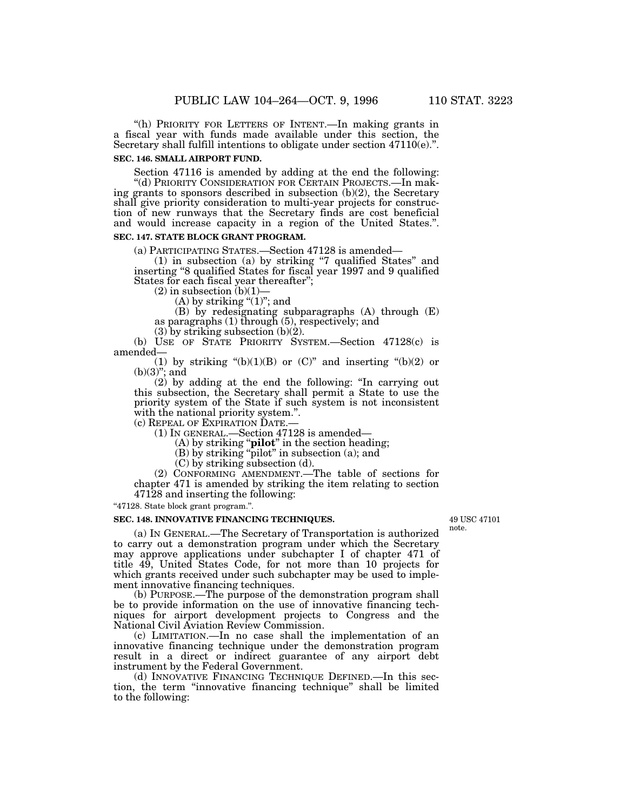''(h) PRIORITY FOR LETTERS OF INTENT.—In making grants in a fiscal year with funds made available under this section, the Secretary shall fulfill intentions to obligate under section 47110(e).".

### **SEC. 146. SMALL AIRPORT FUND.**

Section 47116 is amended by adding at the end the following: ''(d) PRIORITY CONSIDERATION FOR CERTAIN PROJECTS.—In making grants to sponsors described in subsection (b)(2), the Secretary shall give priority consideration to multi-year projects for construction of new runways that the Secretary finds are cost beneficial and would increase capacity in a region of the United States.''.

## **SEC. 147. STATE BLOCK GRANT PROGRAM.**

(a) PARTICIPATING STATES.—Section 47128 is amended—

(1) in subsection (a) by striking ''7 qualified States'' and inserting ''8 qualified States for fiscal year 1997 and 9 qualified States for each fiscal year thereafter'';

 $(2)$  in subsection  $(b)(1)$ 

(A) by striking " $(1)$ "; and

(B) by redesignating subparagraphs (A) through (E) as paragraphs (1) through (5), respectively; and

(3) by striking subsection (b)(2).

(b) USE OF STATE PRIORITY SYSTEM.—Section 47128(c) is amended—

(1) by striking " $(b)(1)(B)$  or  $(C)$ " and inserting " $(b)(2)$  or (b)(3)''; and

(2) by adding at the end the following: ''In carrying out this subsection, the Secretary shall permit a State to use the priority system of the State if such system is not inconsistent with the national priority system.".

(c) REPEAL OF EXPIRATION DATE.— (1) IN GENERAL.—Section 47128 is amended—

(A) by striking ''**pilot**'' in the section heading;

(B) by striking ''pilot'' in subsection (a); and

(C) by striking subsection (d).

(2) CONFORMING AMENDMENT.—The table of sections for chapter 471 is amended by striking the item relating to section 47128 and inserting the following:

"47128. State block grant program.".

## **SEC. 148. INNOVATIVE FINANCING TECHNIQUES.**

(a) IN GENERAL.—The Secretary of Transportation is authorized to carry out a demonstration program under which the Secretary may approve applications under subchapter I of chapter 471 of title 49, United States Code, for not more than 10 projects for which grants received under such subchapter may be used to implement innovative financing techniques.

(b) PURPOSE.—The purpose of the demonstration program shall be to provide information on the use of innovative financing techniques for airport development projects to Congress and the National Civil Aviation Review Commission.

(c) LIMITATION.—In no case shall the implementation of an innovative financing technique under the demonstration program result in a direct or indirect guarantee of any airport debt instrument by the Federal Government.

(d) INNOVATIVE FINANCING TECHNIQUE DEFINED.—In this section, the term ''innovative financing technique'' shall be limited to the following:

49 USC 47101 note.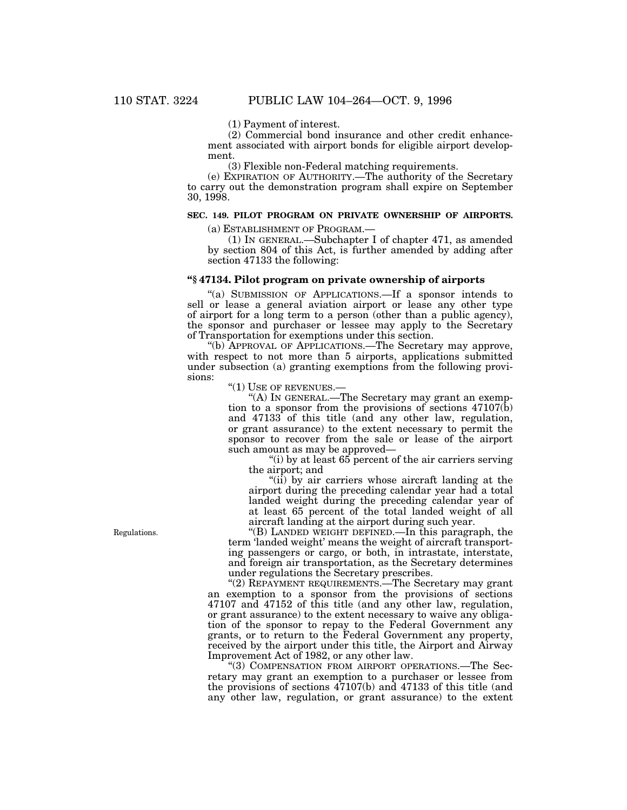(1) Payment of interest.

(2) Commercial bond insurance and other credit enhancement associated with airport bonds for eligible airport development.

(3) Flexible non-Federal matching requirements.

(e) EXPIRATION OF AUTHORITY.—The authority of the Secretary to carry out the demonstration program shall expire on September 30, 1998.

## **SEC. 149. PILOT PROGRAM ON PRIVATE OWNERSHIP OF AIRPORTS.**

(a) ESTABLISHMENT OF PROGRAM.—

(1) IN GENERAL.—Subchapter I of chapter 471, as amended by section 804 of this Act, is further amended by adding after section 47133 the following:

## **''§ 47134. Pilot program on private ownership of airports**

''(a) SUBMISSION OF APPLICATIONS.—If a sponsor intends to sell or lease a general aviation airport or lease any other type of airport for a long term to a person (other than a public agency), the sponsor and purchaser or lessee may apply to the Secretary of Transportation for exemptions under this section.

''(b) APPROVAL OF APPLICATIONS.—The Secretary may approve, with respect to not more than 5 airports, applications submitted under subsection (a) granting exemptions from the following provisions:

''(1) USE OF REVENUES.—

''(A) IN GENERAL.—The Secretary may grant an exemption to a sponsor from the provisions of sections  $47107(b)$ and 47133 of this title (and any other law, regulation, or grant assurance) to the extent necessary to permit the sponsor to recover from the sale or lease of the airport such amount as may be approved—

''(i) by at least 65 percent of the air carriers serving the airport; and

''(ii) by air carriers whose aircraft landing at the airport during the preceding calendar year had a total landed weight during the preceding calendar year of at least 65 percent of the total landed weight of all aircraft landing at the airport during such year.

''(B) LANDED WEIGHT DEFINED.—In this paragraph, the term 'landed weight' means the weight of aircraft transporting passengers or cargo, or both, in intrastate, interstate, and foreign air transportation, as the Secretary determines under regulations the Secretary prescribes.

''(2) REPAYMENT REQUIREMENTS.—The Secretary may grant an exemption to a sponsor from the provisions of sections 47107 and 47152 of this title (and any other law, regulation, or grant assurance) to the extent necessary to waive any obligation of the sponsor to repay to the Federal Government any grants, or to return to the Federal Government any property, received by the airport under this title, the Airport and Airway Improvement Act of 1982, or any other law.

''(3) COMPENSATION FROM AIRPORT OPERATIONS.—The Secretary may grant an exemption to a purchaser or lessee from the provisions of sections 47107(b) and 47133 of this title (and any other law, regulation, or grant assurance) to the extent

Regulations.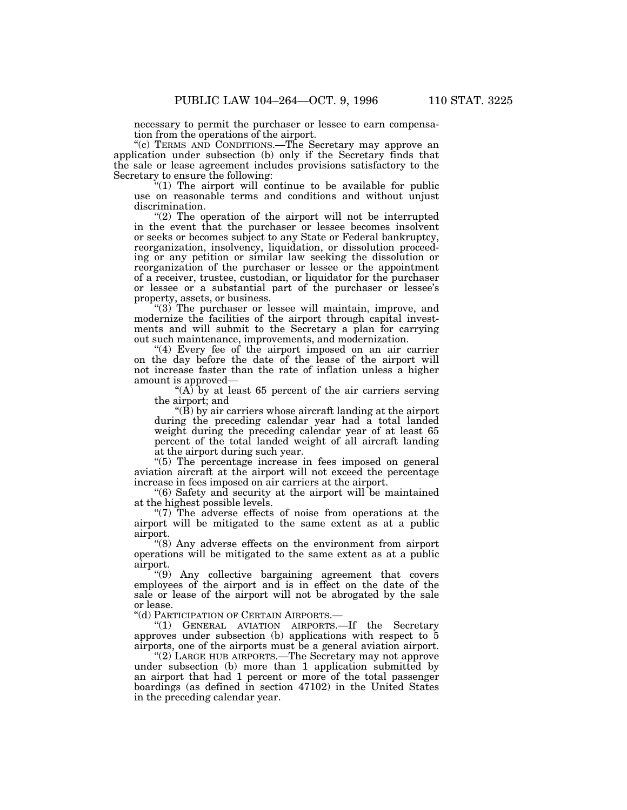necessary to permit the purchaser or lessee to earn compensation from the operations of the airport.

"(c) TERMS AND CONDITIONS.—The Secretary may approve an application under subsection (b) only if the Secretary finds that the sale or lease agreement includes provisions satisfactory to the Secretary to ensure the following:

''(1) The airport will continue to be available for public use on reasonable terms and conditions and without unjust discrimination.

"(2) The operation of the airport will not be interrupted in the event that the purchaser or lessee becomes insolvent or seeks or becomes subject to any State or Federal bankruptcy, reorganization, insolvency, liquidation, or dissolution proceeding or any petition or similar law seeking the dissolution or reorganization of the purchaser or lessee or the appointment of a receiver, trustee, custodian, or liquidator for the purchaser or lessee or a substantial part of the purchaser or lessee's property, assets, or business.

"(3) The purchaser or lessee will maintain, improve, and modernize the facilities of the airport through capital investments and will submit to the Secretary a plan for carrying out such maintenance, improvements, and modernization.

"(4) Every fee of the airport imposed on an air carrier on the day before the date of the lease of the airport will not increase faster than the rate of inflation unless a higher amount is approved—

"(A) by at least 65 percent of the air carriers serving the airport; and

 $\mathcal{L}(\overline{B})$  by air carriers whose aircraft landing at the airport during the preceding calendar year had a total landed weight during the preceding calendar year of at least 65 percent of the total landed weight of all aircraft landing at the airport during such year.

"(5) The percentage increase in fees imposed on general aviation aircraft at the airport will not exceed the percentage increase in fees imposed on air carriers at the airport.

''(6) Safety and security at the airport will be maintained at the highest possible levels.

"(7) The adverse effects of noise from operations at the airport will be mitigated to the same extent as at a public airport.

''(8) Any adverse effects on the environment from airport operations will be mitigated to the same extent as at a public airport.

''(9) Any collective bargaining agreement that covers employees of the airport and is in effect on the date of the sale or lease of the airport will not be abrogated by the sale or lease.

''(d) PARTICIPATION OF CERTAIN AIRPORTS.—

''(1) GENERAL AVIATION AIRPORTS.—If the Secretary approves under subsection (b) applications with respect to 5 airports, one of the airports must be a general aviation airport.

''(2) LARGE HUB AIRPORTS.—The Secretary may not approve under subsection (b) more than 1 application submitted by an airport that had 1 percent or more of the total passenger boardings (as defined in section 47102) in the United States in the preceding calendar year.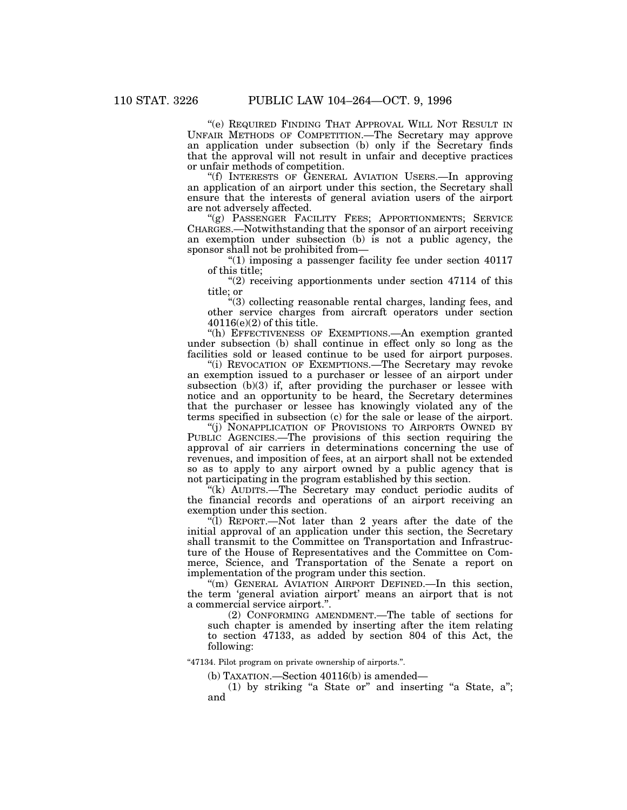''(e) REQUIRED FINDING THAT APPROVAL WILL NOT RESULT IN UNFAIR METHODS OF COMPETITION.—The Secretary may approve an application under subsection (b) only if the Secretary finds that the approval will not result in unfair and deceptive practices or unfair methods of competition.

''(f) INTERESTS OF GENERAL AVIATION USERS.—In approving an application of an airport under this section, the Secretary shall ensure that the interests of general aviation users of the airport are not adversely affected.

"(g) PASSENGER FACILITY FEES; APPORTIONMENTS; SERVICE CHARGES.—Notwithstanding that the sponsor of an airport receiving an exemption under subsection (b) is not a public agency, the sponsor shall not be prohibited from—

''(1) imposing a passenger facility fee under section 40117 of this title;

 $''(2)$  receiving apportionments under section 47114 of this title; or

''(3) collecting reasonable rental charges, landing fees, and other service charges from aircraft operators under section 40116(e)(2) of this title.

''(h) EFFECTIVENESS OF EXEMPTIONS.—An exemption granted under subsection (b) shall continue in effect only so long as the facilities sold or leased continue to be used for airport purposes.

"(i) REVOCATION OF EXEMPTIONS.—The Secretary may revoke an exemption issued to a purchaser or lessee of an airport under subsection (b)(3) if, after providing the purchaser or lessee with notice and an opportunity to be heard, the Secretary determines that the purchaser or lessee has knowingly violated any of the terms specified in subsection (c) for the sale or lease of the airport.

''(j) NONAPPLICATION OF PROVISIONS TO AIRPORTS OWNED BY PUBLIC AGENCIES.—The provisions of this section requiring the approval of air carriers in determinations concerning the use of revenues, and imposition of fees, at an airport shall not be extended so as to apply to any airport owned by a public agency that is not participating in the program established by this section.

''(k) AUDITS.—The Secretary may conduct periodic audits of the financial records and operations of an airport receiving an exemption under this section.

''(l) REPORT.—Not later than 2 years after the date of the initial approval of an application under this section, the Secretary shall transmit to the Committee on Transportation and Infrastructure of the House of Representatives and the Committee on Commerce, Science, and Transportation of the Senate a report on implementation of the program under this section.

''(m) GENERAL AVIATION AIRPORT DEFINED.—In this section, the term 'general aviation airport' means an airport that is not a commercial service airport.''.

(2) CONFORMING AMENDMENT.—The table of sections for such chapter is amended by inserting after the item relating to section 47133, as added by section 804 of this Act, the following:

"47134. Pilot program on private ownership of airports.".

(b) TAXATION.—Section 40116(b) is amended—

 $(1)$  by striking "a State or" and inserting "a State, a"; and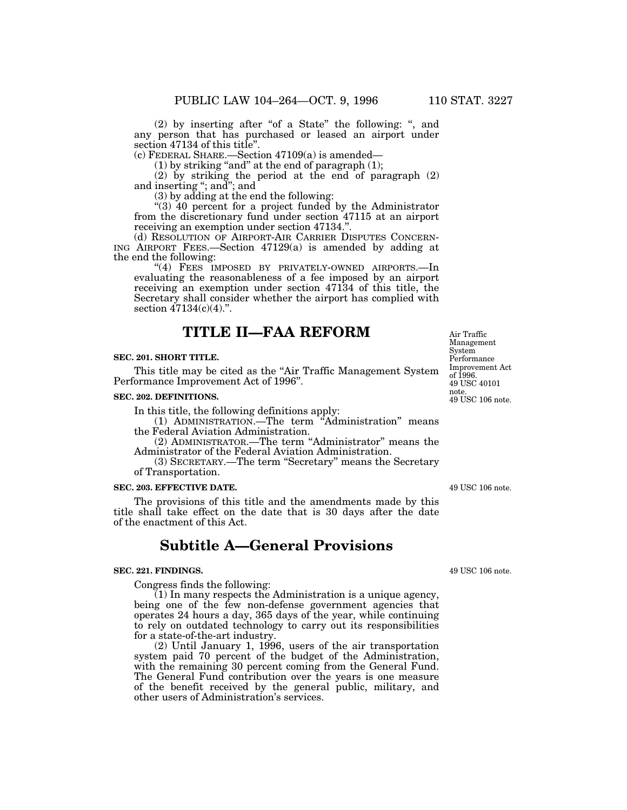(2) by inserting after "of a State" the following: ", and any person that has purchased or leased an airport under section 47134 of this title''.

(c) FEDERAL SHARE.—Section 47109(a) is amended—

(1) by striking ''and'' at the end of paragraph (1);

(2) by striking the period at the end of paragraph (2) and inserting "; and"; and

(3) by adding at the end the following:

''(3) 40 percent for a project funded by the Administrator from the discretionary fund under section 47115 at an airport receiving an exemption under section 47134.''.

(d) RESOLUTION OF AIRPORT-AIR CARRIER DISPUTES CONCERN-ING AIRPORT FEES.—Section 47129(a) is amended by adding at the end the following:

"(4) FEES IMPOSED BY PRIVATELY-OWNED AIRPORTS.-In evaluating the reasonableness of a fee imposed by an airport receiving an exemption under section 47134 of this title, the Secretary shall consider whether the airport has complied with section  $47134(c)(4)$ .".

# **TITLE II—FAA REFORM**

## **SEC. 201. SHORT TITLE.**

This title may be cited as the "Air Traffic Management System Performance Improvement Act of 1996''.

#### **SEC. 202. DEFINITIONS.**

In this title, the following definitions apply:

(1) ADMINISTRATION.—The term ''Administration'' means the Federal Aviation Administration.

(2) ADMINISTRATOR.—The term ''Administrator'' means the Administrator of the Federal Aviation Administration.

(3) SECRETARY.—The term ''Secretary'' means the Secretary of Transportation.

#### **SEC. 203. EFFECTIVE DATE.**

The provisions of this title and the amendments made by this title shall take effect on the date that is 30 days after the date of the enactment of this Act.

## **Subtitle A—General Provisions**

#### **SEC. 221. FINDINGS.**

Congress finds the following:

(1) In many respects the Administration is a unique agency, being one of the few non-defense government agencies that operates 24 hours a day, 365 days of the year, while continuing to rely on outdated technology to carry out its responsibilities for a state-of-the-art industry.

(2) Until January 1, 1996, users of the air transportation system paid 70 percent of the budget of the Administration, with the remaining 30 percent coming from the General Fund. The General Fund contribution over the years is one measure of the benefit received by the general public, military, and other users of Administration's services.

49 USC 106 note. 49 USC 40101 note. Improvement Act of 1996.

Air Traffic Management System Performance

49 USC 106 note.

49 USC 106 note.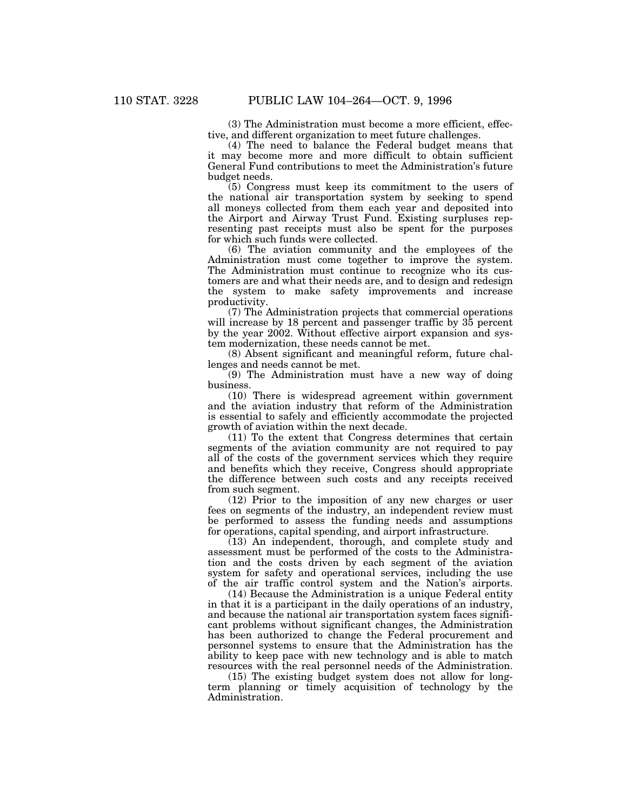(3) The Administration must become a more efficient, effective, and different organization to meet future challenges.

(4) The need to balance the Federal budget means that it may become more and more difficult to obtain sufficient General Fund contributions to meet the Administration's future budget needs.

(5) Congress must keep its commitment to the users of the national air transportation system by seeking to spend all moneys collected from them each year and deposited into the Airport and Airway Trust Fund. Existing surpluses representing past receipts must also be spent for the purposes for which such funds were collected.

(6) The aviation community and the employees of the Administration must come together to improve the system. The Administration must continue to recognize who its customers are and what their needs are, and to design and redesign the system to make safety improvements and increase productivity.

(7) The Administration projects that commercial operations will increase by 18 percent and passenger traffic by  $35$  percent by the year 2002. Without effective airport expansion and system modernization, these needs cannot be met.

(8) Absent significant and meaningful reform, future challenges and needs cannot be met.

(9) The Administration must have a new way of doing business.

(10) There is widespread agreement within government and the aviation industry that reform of the Administration is essential to safely and efficiently accommodate the projected growth of aviation within the next decade.

(11) To the extent that Congress determines that certain segments of the aviation community are not required to pay all of the costs of the government services which they require and benefits which they receive, Congress should appropriate the difference between such costs and any receipts received from such segment.

(12) Prior to the imposition of any new charges or user fees on segments of the industry, an independent review must be performed to assess the funding needs and assumptions for operations, capital spending, and airport infrastructure.

(13) An independent, thorough, and complete study and assessment must be performed of the costs to the Administration and the costs driven by each segment of the aviation system for safety and operational services, including the use of the air traffic control system and the Nation's airports.

(14) Because the Administration is a unique Federal entity in that it is a participant in the daily operations of an industry, and because the national air transportation system faces significant problems without significant changes, the Administration has been authorized to change the Federal procurement and personnel systems to ensure that the Administration has the ability to keep pace with new technology and is able to match resources with the real personnel needs of the Administration.

(15) The existing budget system does not allow for longterm planning or timely acquisition of technology by the Administration.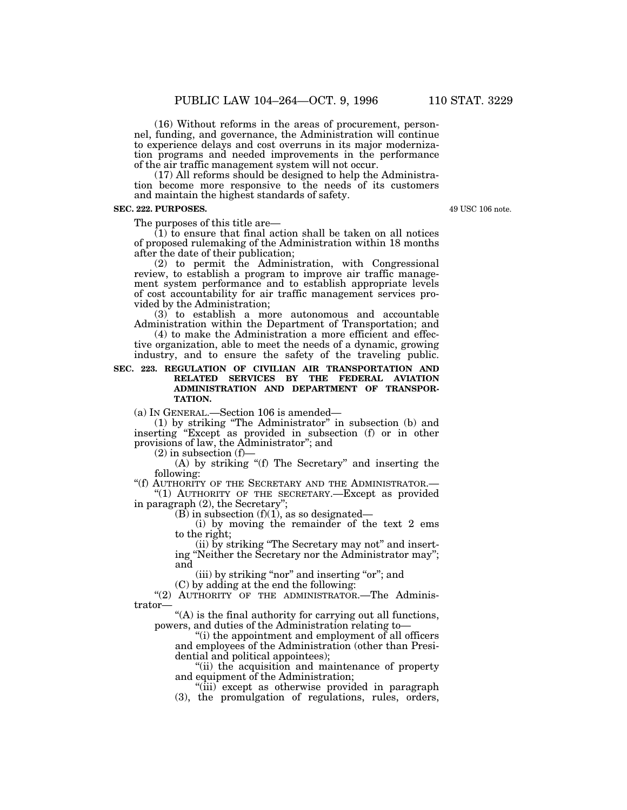(16) Without reforms in the areas of procurement, personnel, funding, and governance, the Administration will continue to experience delays and cost overruns in its major modernization programs and needed improvements in the performance of the air traffic management system will not occur.

(17) All reforms should be designed to help the Administration become more responsive to the needs of its customers and maintain the highest standards of safety.

## **SEC. 222. PURPOSES.**

The purposes of this title are—

 $(1)$  to ensure that final action shall be taken on all notices of proposed rulemaking of the Administration within 18 months after the date of their publication;

(2) to permit the Administration, with Congressional review, to establish a program to improve air traffic management system performance and to establish appropriate levels of cost accountability for air traffic management services provided by the Administration;

(3) to establish a more autonomous and accountable Administration within the Department of Transportation; and

(4) to make the Administration a more efficient and effective organization, able to meet the needs of a dynamic, growing industry, and to ensure the safety of the traveling public.

## **SEC. 223. REGULATION OF CIVILIAN AIR TRANSPORTATION AND RELATED SERVICES BY THE FEDERAL AVIATION ADMINISTRATION AND DEPARTMENT OF TRANSPOR-TATION.**

(a) IN GENERAL.—Section 106 is amended—

(1) by striking ''The Administrator'' in subsection (b) and inserting ''Except as provided in subsection (f) or in other provisions of law, the Administrator''; and

 $(2)$  in subsection  $(f)$ –

(A) by striking ''(f) The Secretary'' and inserting the following:

''(f) AUTHORITY OF THE SECRETARY AND THE ADMINISTRATOR.— ''(1) AUTHORITY OF THE SECRETARY.—Except as provided

in paragraph (2), the Secretary'';

 $(B)$  in subsection  $(f)(1)$ , as so designated—

(i) by moving the remainder of the text 2 ems to the right;

(ii) by striking ''The Secretary may not'' and inserting ''Neither the Secretary nor the Administrator may''; and

(iii) by striking "nor" and inserting "or"; and

(C) by adding at the end the following:

"(2) AUTHORITY OF THE ADMINISTRATOR. The Administrator—

"(A) is the final authority for carrying out all functions, powers, and duties of the Administration relating to—

''(i) the appointment and employment of all officers and employees of the Administration (other than Presidential and political appointees);

''(ii) the acquisition and maintenance of property and equipment of the Administration;

"(iii) except as otherwise provided in paragraph (3), the promulgation of regulations, rules, orders,

49 USC 106 note.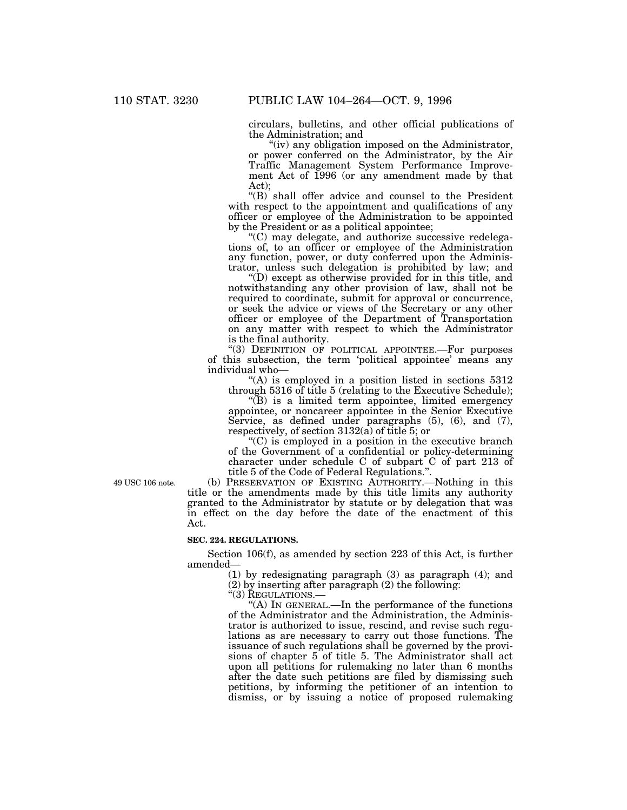circulars, bulletins, and other official publications of the Administration; and

"(iv) any obligation imposed on the Administrator, or power conferred on the Administrator, by the Air Traffic Management System Performance Improvement Act of 1996 (or any amendment made by that Act);

"(B) shall offer advice and counsel to the President with respect to the appointment and qualifications of any officer or employee of the Administration to be appointed by the President or as a political appointee;

 $(C)$  may delegate, and authorize successive redelegations of, to an officer or employee of the Administration any function, power, or duty conferred upon the Administrator, unless such delegation is prohibited by law; and

''(D) except as otherwise provided for in this title, and notwithstanding any other provision of law, shall not be required to coordinate, submit for approval or concurrence, or seek the advice or views of the Secretary or any other officer or employee of the Department of Transportation on any matter with respect to which the Administrator is the final authority.

''(3) DEFINITION OF POLITICAL APPOINTEE.—For purposes of this subsection, the term 'political appointee' means any individual who—

 $(A)$  is employed in a position listed in sections 5312 through 5316 of title 5 (relating to the Executive Schedule);

''(B) is a limited term appointee, limited emergency appointee, or noncareer appointee in the Senior Executive Service, as defined under paragraphs (5), (6), and (7), respectively, of section 3132(a) of title 5; or

''(C) is employed in a position in the executive branch of the Government of a confidential or policy-determining character under schedule C of subpart C of part 213 of title 5 of the Code of Federal Regulations.''.

49 USC 106 note.

(b) PRESERVATION OF EXISTING AUTHORITY.—Nothing in this title or the amendments made by this title limits any authority granted to the Administrator by statute or by delegation that was in effect on the day before the date of the enactment of this Act.

### **SEC. 224. REGULATIONS.**

Section 106(f), as amended by section 223 of this Act, is further amended—

(1) by redesignating paragraph (3) as paragraph (4); and

(2) by inserting after paragraph (2) the following:

"(3) REGULATIONS.-

''(A) IN GENERAL.—In the performance of the functions of the Administrator and the Administration, the Administrator is authorized to issue, rescind, and revise such regulations as are necessary to carry out those functions. The issuance of such regulations shall be governed by the provisions of chapter 5 of title 5. The Administrator shall act upon all petitions for rulemaking no later than 6 months after the date such petitions are filed by dismissing such petitions, by informing the petitioner of an intention to dismiss, or by issuing a notice of proposed rulemaking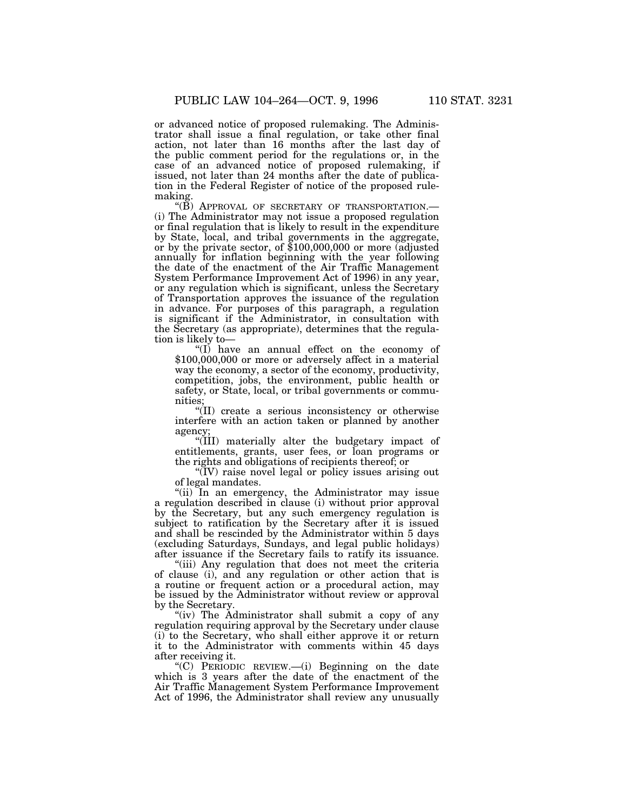or advanced notice of proposed rulemaking. The Administrator shall issue a final regulation, or take other final action, not later than 16 months after the last day of the public comment period for the regulations or, in the case of an advanced notice of proposed rulemaking, if issued, not later than 24 months after the date of publication in the Federal Register of notice of the proposed rulemaking.

"(B) APPROVAL OF SECRETARY OF TRANSPORTATION. (i) The Administrator may not issue a proposed regulation or final regulation that is likely to result in the expenditure by State, local, and tribal governments in the aggregate, or by the private sector, of \$100,000,000 or more (adjusted annually for inflation beginning with the year following the date of the enactment of the Air Traffic Management System Performance Improvement Act of 1996) in any year, or any regulation which is significant, unless the Secretary of Transportation approves the issuance of the regulation in advance. For purposes of this paragraph, a regulation is significant if the Administrator, in consultation with the Secretary (as appropriate), determines that the regulation is likely to—

''(I) have an annual effect on the economy of \$100,000,000 or more or adversely affect in a material way the economy, a sector of the economy, productivity, competition, jobs, the environment, public health or safety, or State, local, or tribal governments or communities;

''(II) create a serious inconsistency or otherwise interfere with an action taken or planned by another agency;

''(III) materially alter the budgetary impact of entitlements, grants, user fees, or loan programs or the rights and obligations of recipients thereof; or

''(IV) raise novel legal or policy issues arising out of legal mandates.

"(ii) In an emergency, the Administrator may issue a regulation described in clause (i) without prior approval by the Secretary, but any such emergency regulation is subject to ratification by the Secretary after it is issued and shall be rescinded by the Administrator within 5 days (excluding Saturdays, Sundays, and legal public holidays) after issuance if the Secretary fails to ratify its issuance.

''(iii) Any regulation that does not meet the criteria of clause (i), and any regulation or other action that is a routine or frequent action or a procedural action, may be issued by the Administrator without review or approval by the Secretary.

"(iv) The Administrator shall submit a copy of any regulation requiring approval by the Secretary under clause (i) to the Secretary, who shall either approve it or return it to the Administrator with comments within 45 days after receiving it.

 $(C)$  PERIODIC REVIEW.—(i) Beginning on the date which is 3 years after the date of the enactment of the Air Traffic Management System Performance Improvement Act of 1996, the Administrator shall review any unusually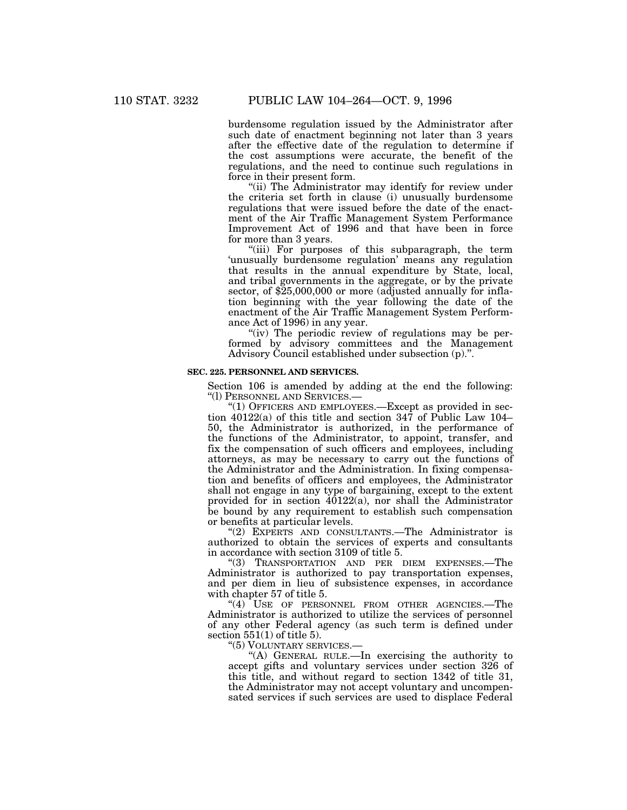burdensome regulation issued by the Administrator after such date of enactment beginning not later than 3 years after the effective date of the regulation to determine if the cost assumptions were accurate, the benefit of the regulations, and the need to continue such regulations in force in their present form.

"(ii) The Administrator may identify for review under the criteria set forth in clause (i) unusually burdensome regulations that were issued before the date of the enactment of the Air Traffic Management System Performance Improvement Act of 1996 and that have been in force for more than 3 years.

"(iii) For purposes of this subparagraph, the term 'unusually burdensome regulation' means any regulation that results in the annual expenditure by State, local, and tribal governments in the aggregate, or by the private sector, of \$25,000,000 or more (adjusted annually for inflation beginning with the year following the date of the enactment of the Air Traffic Management System Performance Act of 1996) in any year.

"(iv) The periodic review of regulations may be performed by advisory committees and the Management Advisory Council established under subsection (p).''.

## **SEC. 225. PERSONNEL AND SERVICES.**

Section 106 is amended by adding at the end the following: ''(l) PERSONNEL AND SERVICES.—

"(1) OFFICERS AND EMPLOYEES.—Except as provided in section 40122(a) of this title and section 347 of Public Law 104– 50, the Administrator is authorized, in the performance of the functions of the Administrator, to appoint, transfer, and fix the compensation of such officers and employees, including attorneys, as may be necessary to carry out the functions of the Administrator and the Administration. In fixing compensation and benefits of officers and employees, the Administrator shall not engage in any type of bargaining, except to the extent provided for in section  $40122(a)$ , nor shall the Administrator be bound by any requirement to establish such compensation or benefits at particular levels.

''(2) EXPERTS AND CONSULTANTS.—The Administrator is authorized to obtain the services of experts and consultants in accordance with section 3109 of title 5.

''(3) TRANSPORTATION AND PER DIEM EXPENSES.—The Administrator is authorized to pay transportation expenses, and per diem in lieu of subsistence expenses, in accordance with chapter 57 of title 5.

"(4) USE OF PERSONNEL FROM OTHER AGENCIES.—The Administrator is authorized to utilize the services of personnel of any other Federal agency (as such term is defined under section 551(1) of title 5).

''(5) VOLUNTARY SERVICES.—

''(A) GENERAL RULE.—In exercising the authority to accept gifts and voluntary services under section 326 of this title, and without regard to section 1342 of title 31, the Administrator may not accept voluntary and uncompensated services if such services are used to displace Federal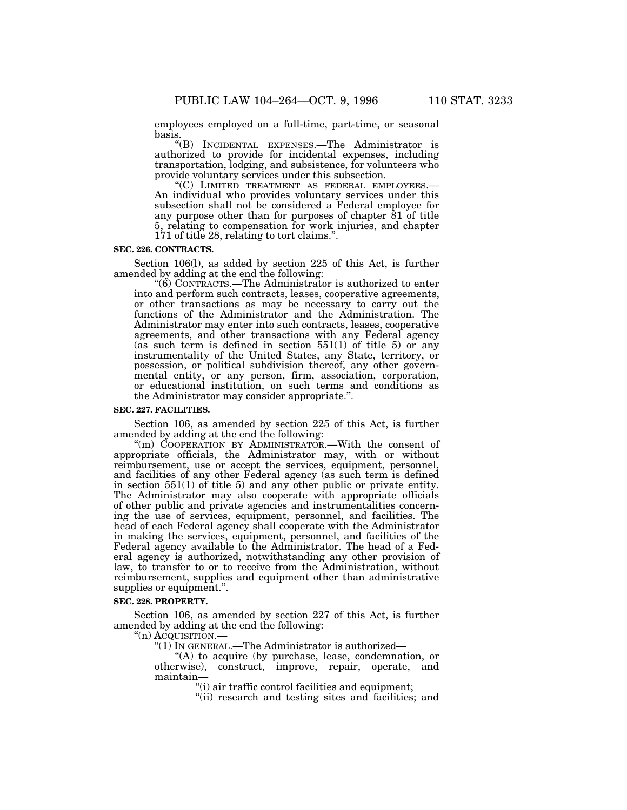employees employed on a full-time, part-time, or seasonal basis.

''(B) INCIDENTAL EXPENSES.—The Administrator is authorized to provide for incidental expenses, including transportation, lodging, and subsistence, for volunteers who provide voluntary services under this subsection.<br>"(C) LIMITED TREATMENT AS FEDERAL EMPLOYEES.—

An individual who provides voluntary services under this subsection shall not be considered a Federal employee for any purpose other than for purposes of chapter 81 of title 5, relating to compensation for work injuries, and chapter 171 of title 28, relating to tort claims.''.

#### **SEC. 226. CONTRACTS.**

Section 106(l), as added by section 225 of this Act, is further amended by adding at the end the following:

 $\degree$ (6) CONTRACTS.—The Administrator is authorized to enter into and perform such contracts, leases, cooperative agreements, or other transactions as may be necessary to carry out the functions of the Administrator and the Administration. The Administrator may enter into such contracts, leases, cooperative agreements, and other transactions with any Federal agency (as such term is defined in section  $551(1)$  of title 5) or any instrumentality of the United States, any State, territory, or possession, or political subdivision thereof, any other governmental entity, or any person, firm, association, corporation, or educational institution, on such terms and conditions as the Administrator may consider appropriate.''.

#### **SEC. 227. FACILITIES.**

Section 106, as amended by section 225 of this Act, is further amended by adding at the end the following:

"(m) COOPERATION BY ADMINISTRATOR.—With the consent of appropriate officials, the Administrator may, with or without reimbursement, use or accept the services, equipment, personnel, and facilities of any other Federal agency (as such term is defined in section 551(1) of title 5) and any other public or private entity. The Administrator may also cooperate with appropriate officials of other public and private agencies and instrumentalities concerning the use of services, equipment, personnel, and facilities. The head of each Federal agency shall cooperate with the Administrator in making the services, equipment, personnel, and facilities of the Federal agency available to the Administrator. The head of a Federal agency is authorized, notwithstanding any other provision of law, to transfer to or to receive from the Administration, without reimbursement, supplies and equipment other than administrative supplies or equipment.''.

#### **SEC. 228. PROPERTY.**

Section 106, as amended by section 227 of this Act, is further amended by adding at the end the following:

"(n) Acquisition.-

''(1) IN GENERAL.—The Administrator is authorized—

"(A) to acquire (by purchase, lease, condemnation, or otherwise), construct, improve, repair, operate, and maintain—

''(i) air traffic control facilities and equipment;

''(ii) research and testing sites and facilities; and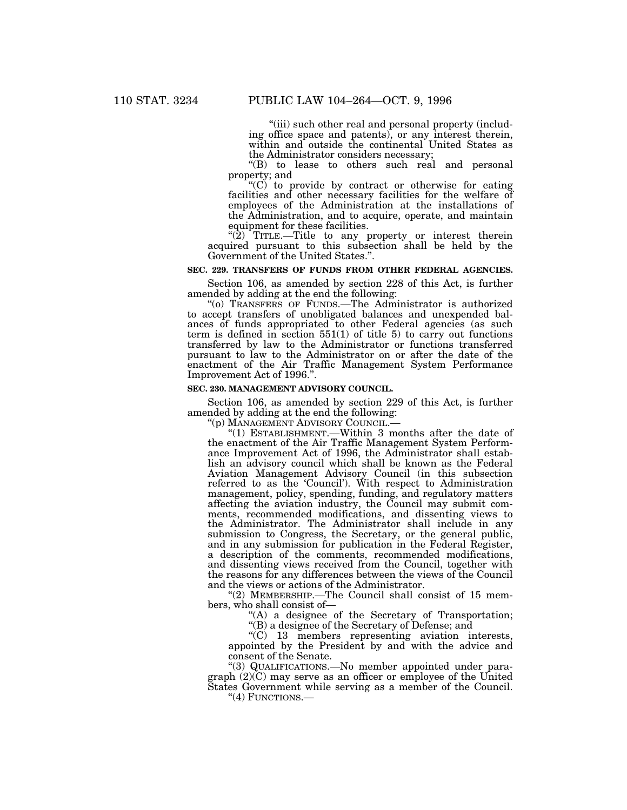"(iii) such other real and personal property (including office space and patents), or any interest therein, within and outside the continental United States as the Administrator considers necessary;

''(B) to lease to others such real and personal property; and

 $(C)$  to provide by contract or otherwise for eating facilities and other necessary facilities for the welfare of employees of the Administration at the installations of the Administration, and to acquire, operate, and maintain equipment for these facilities.

" $(2)$  TITLE.—Title to any property or interest therein acquired pursuant to this subsection shall be held by the Government of the United States.''.

## **SEC. 229. TRANSFERS OF FUNDS FROM OTHER FEDERAL AGENCIES.**

Section 106, as amended by section 228 of this Act, is further amended by adding at the end the following:

''(o) TRANSFERS OF FUNDS.—The Administrator is authorized to accept transfers of unobligated balances and unexpended balances of funds appropriated to other Federal agencies (as such term is defined in section 551(1) of title 5) to carry out functions transferred by law to the Administrator or functions transferred pursuant to law to the Administrator on or after the date of the enactment of the Air Traffic Management System Performance Improvement Act of 1996.''.

#### **SEC. 230. MANAGEMENT ADVISORY COUNCIL.**

Section 106, as amended by section 229 of this Act, is further amended by adding at the end the following:<br>"(p) MANAGEMENT ADVISORY COUNCIL.—

"(1) ESTABLISHMENT.—Within 3 months after the date of the enactment of the Air Traffic Management System Performance Improvement Act of 1996, the Administrator shall establish an advisory council which shall be known as the Federal Aviation Management Advisory Council (in this subsection referred to as the 'Council'). With respect to Administration management, policy, spending, funding, and regulatory matters affecting the aviation industry, the Council may submit comments, recommended modifications, and dissenting views to the Administrator. The Administrator shall include in any submission to Congress, the Secretary, or the general public, and in any submission for publication in the Federal Register, a description of the comments, recommended modifications, and dissenting views received from the Council, together with the reasons for any differences between the views of the Council and the views or actions of the Administrator.

"(2) MEMBERSHIP.—The Council shall consist of 15 members, who shall consist of—

"(A) a designee of the Secretary of Transportation;

''(B) a designee of the Secretary of Defense; and

''(C) 13 members representing aviation interests, appointed by the President by and with the advice and consent of the Senate.

''(3) QUALIFICATIONS.—No member appointed under paragraph (2)(C) may serve as an officer or employee of the United States Government while serving as a member of the Council.

''(4) FUNCTIONS.—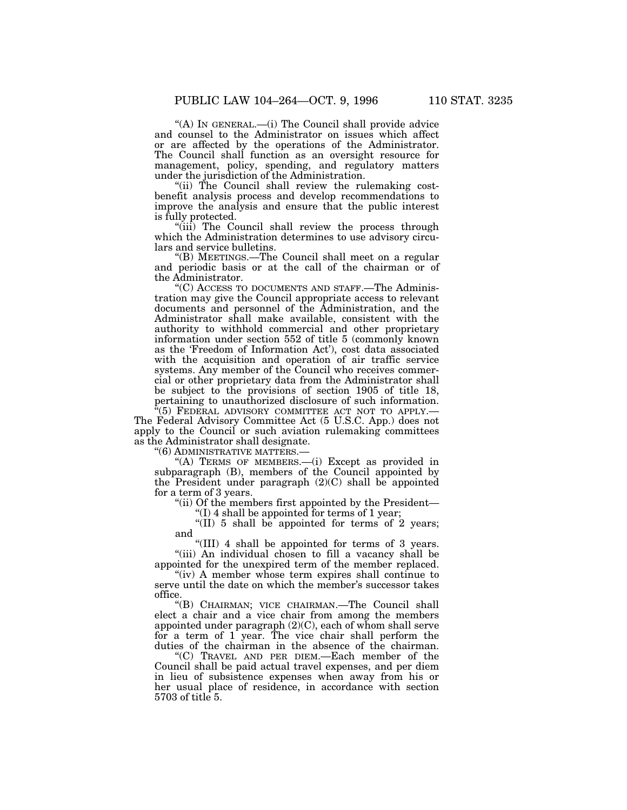''(A) IN GENERAL.—(i) The Council shall provide advice and counsel to the Administrator on issues which affect or are affected by the operations of the Administrator. The Council shall function as an oversight resource for management, policy, spending, and regulatory matters under the jurisdiction of the Administration.

"(ii) The Council shall review the rulemaking costbenefit analysis process and develop recommendations to improve the analysis and ensure that the public interest is fully protected.

"(iii) The Council shall review the process through which the Administration determines to use advisory circulars and service bulletins.

''(B) MEETINGS.—The Council shall meet on a regular and periodic basis or at the call of the chairman or of the Administrator.

''(C) ACCESS TO DOCUMENTS AND STAFF.—The Administration may give the Council appropriate access to relevant documents and personnel of the Administration, and the Administrator shall make available, consistent with the authority to withhold commercial and other proprietary information under section 552 of title 5 (commonly known as the 'Freedom of Information Act'), cost data associated with the acquisition and operation of air traffic service systems. Any member of the Council who receives commercial or other proprietary data from the Administrator shall be subject to the provisions of section 1905 of title 18, pertaining to unauthorized disclosure of such information.<br> $\frac{u}{f(5)}$  Enneated information.

 $(5)$  FEDERAL ADVISORY COMMITTEE ACT NOT TO APPLY.— The Federal Advisory Committee Act (5 U.S.C. App.) does not apply to the Council or such aviation rulemaking committees as the Administrator shall designate.

''(6) ADMINISTRATIVE MATTERS.—

"(A) TERMS OF MEMBERS.—(i) Except as provided in subparagraph (B), members of the Council appointed by the President under paragraph  $(2)(C)$  shall be appointed for a term of 3 years.

"(ii) Of the members first appointed by the President  $f(I)$  4 shall be appointed for terms of 1 year;

 $\sqrt{\text{III}}$  5 shall be appointed for terms of 2 years; and

''(III) 4 shall be appointed for terms of 3 years. ''(iii) An individual chosen to fill a vacancy shall be appointed for the unexpired term of the member replaced.

"(iv) A member whose term expires shall continue to serve until the date on which the member's successor takes office.

''(B) CHAIRMAN; VICE CHAIRMAN.—The Council shall elect a chair and a vice chair from among the members appointed under paragraph (2)(C), each of whom shall serve for a term of 1 year. The vice chair shall perform the duties of the chairman in the absence of the chairman.

''(C) TRAVEL AND PER DIEM.—Each member of the Council shall be paid actual travel expenses, and per diem in lieu of subsistence expenses when away from his or her usual place of residence, in accordance with section 5703 of title 5.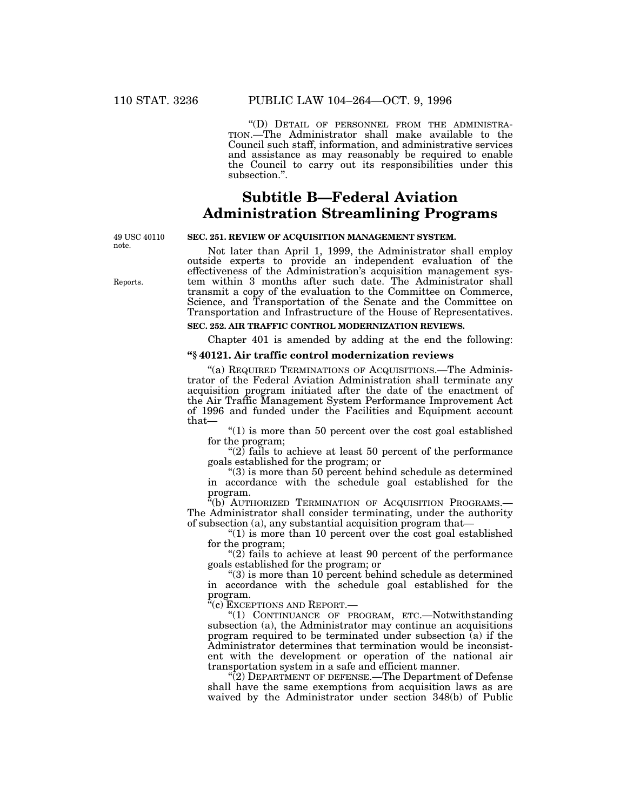''(D) DETAIL OF PERSONNEL FROM THE ADMINISTRA- TION.—The Administrator shall make available to the Council such staff, information, and administrative services and assistance as may reasonably be required to enable the Council to carry out its responsibilities under this subsection.''.

# **Subtitle B—Federal Aviation Administration Streamlining Programs**

49 USC 40110 note.

Reports.

## **SEC. 251. REVIEW OF ACQUISITION MANAGEMENT SYSTEM.**

Not later than April 1, 1999, the Administrator shall employ outside experts to provide an independent evaluation of the effectiveness of the Administration's acquisition management system within 3 months after such date. The Administrator shall transmit a copy of the evaluation to the Committee on Commerce, Science, and Transportation of the Senate and the Committee on Transportation and Infrastructure of the House of Representatives.

## **SEC. 252. AIR TRAFFIC CONTROL MODERNIZATION REVIEWS.**

Chapter 401 is amended by adding at the end the following:

## **''§ 40121. Air traffic control modernization reviews**

"(a) REQUIRED TERMINATIONS OF ACQUISITIONS.—The Administrator of the Federal Aviation Administration shall terminate any acquisition program initiated after the date of the enactment of the Air Traffic Management System Performance Improvement Act of 1996 and funded under the Facilities and Equipment account that—

" $(1)$  is more than 50 percent over the cost goal established for the program;

" $(2)$  fails to achieve at least 50 percent of the performance" goals established for the program; or

 $\degree$ (3) is more than 50 percent behind schedule as determined in accordance with the schedule goal established for the program.

''(b) AUTHORIZED TERMINATION OF ACQUISITION PROGRAMS.— The Administrator shall consider terminating, under the authority of subsection (a), any substantial acquisition program that—

" $(1)$  is more than 10 percent over the cost goal established for the program;

" $(2)$  fails to achieve at least 90 percent of the performance goals established for the program; or

 $\degree$ (3) is more than 10 percent behind schedule as determined in accordance with the schedule goal established for the  $\operatorname*{program.}_{a_{\ell}}$ 

'(c) Exceptions and Report.—

''(1) CONTINUANCE OF PROGRAM, ETC.—Notwithstanding subsection (a), the Administrator may continue an acquisitions program required to be terminated under subsection (a) if the Administrator determines that termination would be inconsistent with the development or operation of the national air transportation system in a safe and efficient manner.

''(2) DEPARTMENT OF DEFENSE.—The Department of Defense shall have the same exemptions from acquisition laws as are waived by the Administrator under section 348(b) of Public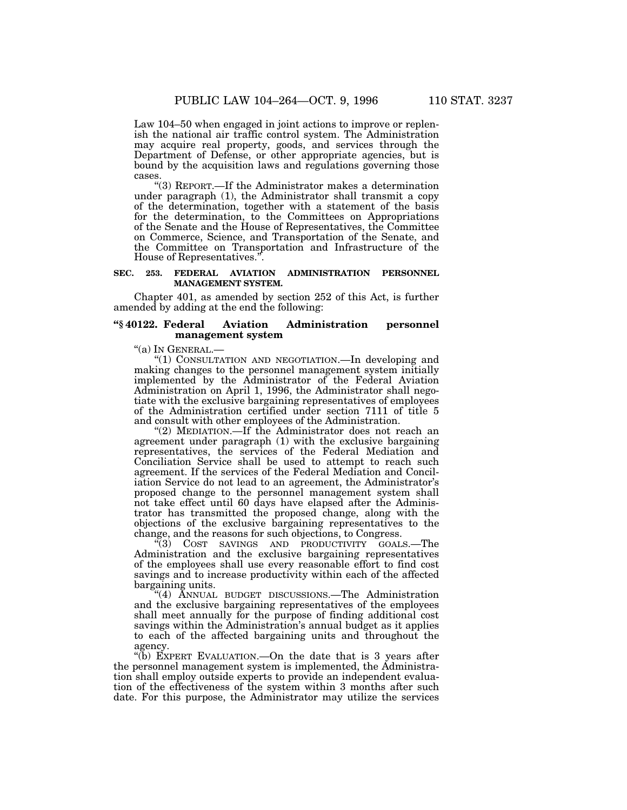Law 104–50 when engaged in joint actions to improve or replenish the national air traffic control system. The Administration may acquire real property, goods, and services through the Department of Defense, or other appropriate agencies, but is bound by the acquisition laws and regulations governing those cases.

''(3) REPORT.—If the Administrator makes a determination under paragraph (1), the Administrator shall transmit a copy of the determination, together with a statement of the basis for the determination, to the Committees on Appropriations of the Senate and the House of Representatives, the Committee on Commerce, Science, and Transportation of the Senate, and the Committee on Transportation and Infrastructure of the House of Representatives.'

#### **SEC. 253. FEDERAL AVIATION ADMINISTRATION PERSONNEL MANAGEMENT SYSTEM.**

Chapter 401, as amended by section 252 of this Act, is further amended by adding at the end the following:

### **''§ 40122. Federal Aviation Administration personnel management system**

"(a) In GENERAL.-

"(1) CONSULTATION AND NEGOTIATION. - In developing and making changes to the personnel management system initially implemented by the Administrator of the Federal Aviation Administration on April 1, 1996, the Administrator shall negotiate with the exclusive bargaining representatives of employees of the Administration certified under section 7111 of title 5 and consult with other employees of the Administration.

"(2) MEDIATION.—If the Administrator does not reach an agreement under paragraph (1) with the exclusive bargaining representatives, the services of the Federal Mediation and Conciliation Service shall be used to attempt to reach such agreement. If the services of the Federal Mediation and Conciliation Service do not lead to an agreement, the Administrator's proposed change to the personnel management system shall not take effect until 60 days have elapsed after the Administrator has transmitted the proposed change, along with the objections of the exclusive bargaining representatives to the change, and the reasons for such objections, to Congress.

''(3) COST SAVINGS AND PRODUCTIVITY GOALS.—The Administration and the exclusive bargaining representatives of the employees shall use every reasonable effort to find cost savings and to increase productivity within each of the affected bargaining units.

''(4) ANNUAL BUDGET DISCUSSIONS.—The Administration and the exclusive bargaining representatives of the employees shall meet annually for the purpose of finding additional cost savings within the Administration's annual budget as it applies to each of the affected bargaining units and throughout the agency.

"(b) EXPERT EVALUATION.—On the date that is 3 years after the personnel management system is implemented, the Administration shall employ outside experts to provide an independent evaluation of the effectiveness of the system within 3 months after such date. For this purpose, the Administrator may utilize the services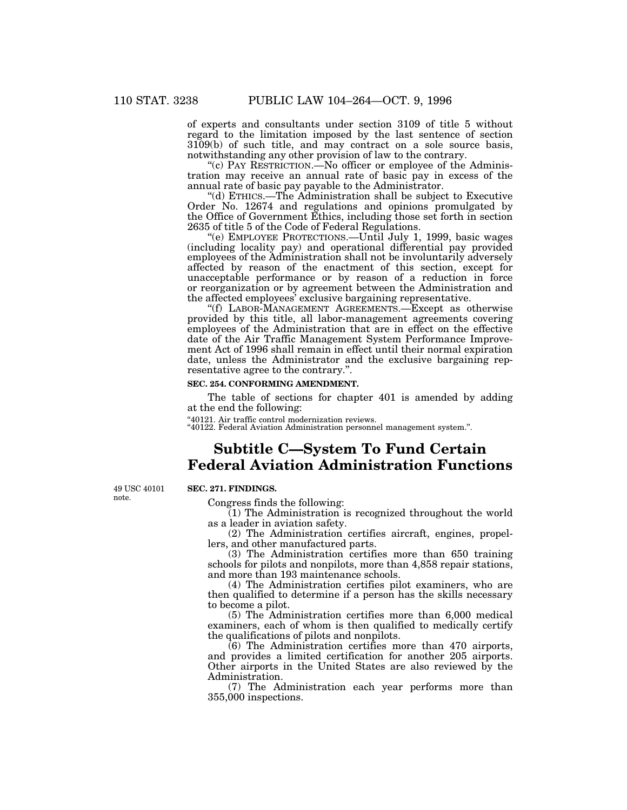of experts and consultants under section 3109 of title 5 without regard to the limitation imposed by the last sentence of section 3109(b) of such title, and may contract on a sole source basis, notwithstanding any other provision of law to the contrary.

"(c) PAY RESTRICTION.—No officer or employee of the Administration may receive an annual rate of basic pay in excess of the annual rate of basic pay payable to the Administrator.

''(d) ETHICS.—The Administration shall be subject to Executive Order No. 12674 and regulations and opinions promulgated by the Office of Government Ethics, including those set forth in section 2635 of title 5 of the Code of Federal Regulations.

''(e) EMPLOYEE PROTECTIONS.—Until July 1, 1999, basic wages (including locality pay) and operational differential pay provided employees of the Administration shall not be involuntarily adversely affected by reason of the enactment of this section, except for unacceptable performance or by reason of a reduction in force or reorganization or by agreement between the Administration and the affected employees' exclusive bargaining representative.

''(f) LABOR-MANAGEMENT AGREEMENTS.—Except as otherwise provided by this title, all labor-management agreements covering employees of the Administration that are in effect on the effective date of the Air Traffic Management System Performance Improvement Act of 1996 shall remain in effect until their normal expiration date, unless the Administrator and the exclusive bargaining representative agree to the contrary.''.

## **SEC. 254. CONFORMING AMENDMENT.**

The table of sections for chapter 401 is amended by adding at the end the following:

''40121. Air traffic control modernization reviews. ''40122. Federal Aviation Administration personnel management system.''.

## **Subtitle C—System To Fund Certain Federal Aviation Administration Functions**

49 USC 40101 note.

### **SEC. 271. FINDINGS.**

Congress finds the following:

(1) The Administration is recognized throughout the world as a leader in aviation safety.

(2) The Administration certifies aircraft, engines, propellers, and other manufactured parts.

(3) The Administration certifies more than 650 training schools for pilots and nonpilots, more than 4,858 repair stations, and more than 193 maintenance schools.

(4) The Administration certifies pilot examiners, who are then qualified to determine if a person has the skills necessary to become a pilot.

(5) The Administration certifies more than 6,000 medical examiners, each of whom is then qualified to medically certify the qualifications of pilots and nonpilots.

(6) The Administration certifies more than 470 airports, and provides a limited certification for another 205 airports. Other airports in the United States are also reviewed by the Administration.

(7) The Administration each year performs more than 355,000 inspections.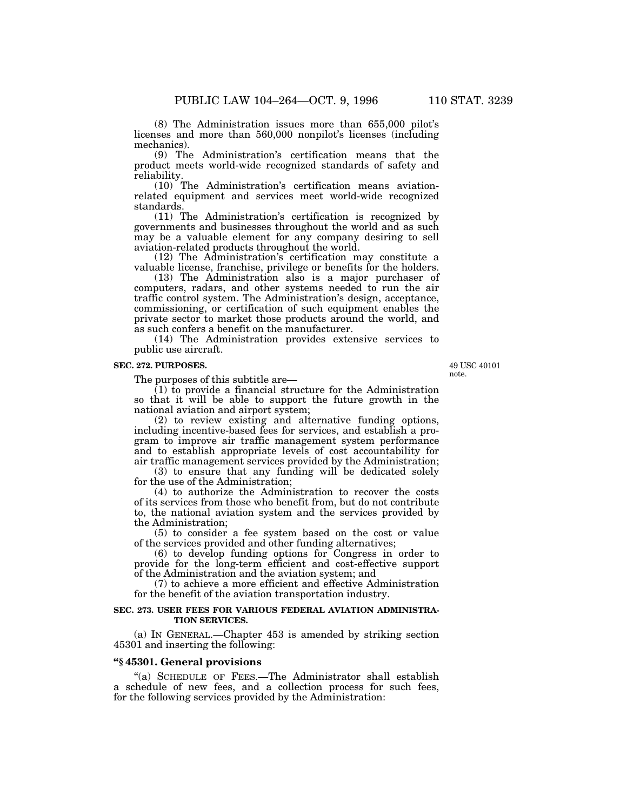(8) The Administration issues more than 655,000 pilot's licenses and more than 560,000 nonpilot's licenses (including mechanics).

(9) The Administration's certification means that the product meets world-wide recognized standards of safety and reliability.

(10) The Administration's certification means aviationrelated equipment and services meet world-wide recognized standards.

(11) The Administration's certification is recognized by governments and businesses throughout the world and as such may be a valuable element for any company desiring to sell aviation-related products throughout the world.

(12) The Administration's certification may constitute a valuable license, franchise, privilege or benefits for the holders.

(13) The Administration also is a major purchaser of computers, radars, and other systems needed to run the air traffic control system. The Administration's design, acceptance, commissioning, or certification of such equipment enables the private sector to market those products around the world, and as such confers a benefit on the manufacturer.

(14) The Administration provides extensive services to public use aircraft.

#### **SEC. 272. PURPOSES.**

The purposes of this subtitle are—

(1) to provide a financial structure for the Administration so that it will be able to support the future growth in the national aviation and airport system;

(2) to review existing and alternative funding options, including incentive-based fees for services, and establish a program to improve air traffic management system performance and to establish appropriate levels of cost accountability for air traffic management services provided by the Administration;

(3) to ensure that any funding will be dedicated solely for the use of the Administration;

(4) to authorize the Administration to recover the costs of its services from those who benefit from, but do not contribute to, the national aviation system and the services provided by the Administration;

(5) to consider a fee system based on the cost or value of the services provided and other funding alternatives;

(6) to develop funding options for Congress in order to provide for the long-term efficient and cost-effective support of the Administration and the aviation system; and

(7) to achieve a more efficient and effective Administration for the benefit of the aviation transportation industry.

#### **SEC. 273. USER FEES FOR VARIOUS FEDERAL AVIATION ADMINISTRA-TION SERVICES.**

(a) IN GENERAL.—Chapter 453 is amended by striking section 45301 and inserting the following:

### **''§ 45301. General provisions**

''(a) SCHEDULE OF FEES.—The Administrator shall establish a schedule of new fees, and a collection process for such fees, for the following services provided by the Administration:

49 USC 40101 note.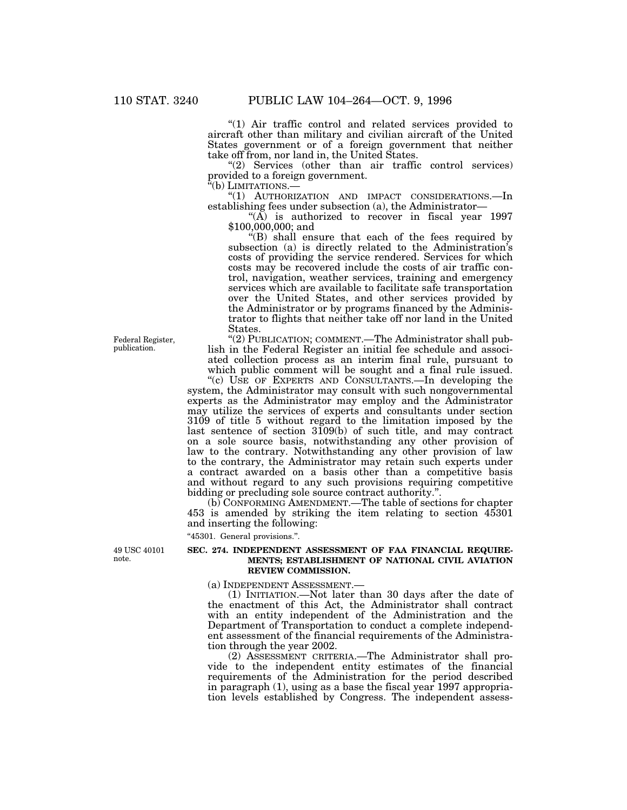"(1) Air traffic control and related services provided to aircraft other than military and civilian aircraft of the United States government or of a foreign government that neither take off from, nor land in, the United States.

"(2) Services (other than air traffic control services) provided to a foreign government.

''(b) LIMITATIONS.—

"(1) AUTHORIZATION AND IMPACT CONSIDERATIONS.—In establishing fees under subsection (a), the Administrator—

"(A) is authorized to recover in fiscal year  $1997$ \$100,000,000; and

 $f(B)$  shall ensure that each of the fees required by subsection (a) is directly related to the Administration's costs of providing the service rendered. Services for which costs may be recovered include the costs of air traffic control, navigation, weather services, training and emergency services which are available to facilitate safe transportation over the United States, and other services provided by the Administrator or by programs financed by the Administrator to flights that neither take off nor land in the United States.

"(2) PUBLICATION; COMMENT.—The Administrator shall publish in the Federal Register an initial fee schedule and associated collection process as an interim final rule, pursuant to which public comment will be sought and a final rule issued.

"(c) USE OF EXPERTS AND CONSULTANTS.—In developing the system, the Administrator may consult with such nongovernmental experts as the Administrator may employ and the Administrator may utilize the services of experts and consultants under section 3109 of title 5 without regard to the limitation imposed by the last sentence of section 3109(b) of such title, and may contract on a sole source basis, notwithstanding any other provision of law to the contrary. Notwithstanding any other provision of law to the contrary, the Administrator may retain such experts under a contract awarded on a basis other than a competitive basis and without regard to any such provisions requiring competitive bidding or precluding sole source contract authority.''.

(b) CONFORMING AMENDMENT.—The table of sections for chapter 453 is amended by striking the item relating to section 45301 and inserting the following:

''45301. General provisions.''.

49 USC 40101 note.

#### **SEC. 274. INDEPENDENT ASSESSMENT OF FAA FINANCIAL REQUIRE-MENTS; ESTABLISHMENT OF NATIONAL CIVIL AVIATION REVIEW COMMISSION.**

(a) INDEPENDENT ASSESSMENT.—

(1) INITIATION.—Not later than 30 days after the date of the enactment of this Act, the Administrator shall contract with an entity independent of the Administration and the Department of Transportation to conduct a complete independent assessment of the financial requirements of the Administration through the year 2002.

(2) ASSESSMENT CRITERIA.—The Administrator shall provide to the independent entity estimates of the financial requirements of the Administration for the period described in paragraph (1), using as a base the fiscal year 1997 appropriation levels established by Congress. The independent assess-

Federal Register, publication.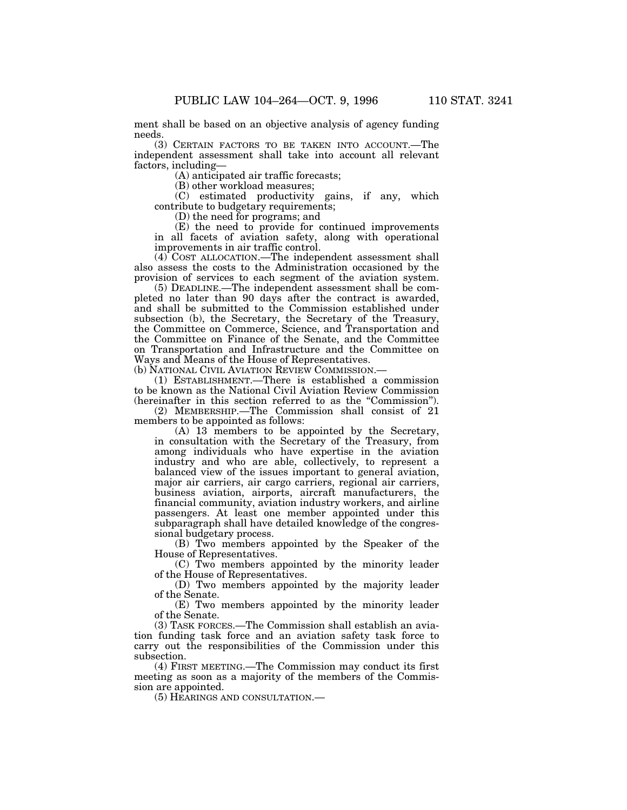ment shall be based on an objective analysis of agency funding needs.

(3) CERTAIN FACTORS TO BE TAKEN INTO ACCOUNT.—The independent assessment shall take into account all relevant factors, including—

(A) anticipated air traffic forecasts;

(B) other workload measures;

(C) estimated productivity gains, if any, which contribute to budgetary requirements;

(D) the need for programs; and

(E) the need to provide for continued improvements in all facets of aviation safety, along with operational improvements in air traffic control.

(4) COST ALLOCATION.—The independent assessment shall also assess the costs to the Administration occasioned by the provision of services to each segment of the aviation system.

(5) DEADLINE.—The independent assessment shall be completed no later than 90 days after the contract is awarded, and shall be submitted to the Commission established under subsection (b), the Secretary, the Secretary of the Treasury, the Committee on Commerce, Science, and Transportation and the Committee on Finance of the Senate, and the Committee on Transportation and Infrastructure and the Committee on Ways and Means of the House of Representatives.

(b) NATIONAL CIVIL AVIATION REVIEW COMMISSION.—

(1) ESTABLISHMENT.—There is established a commission to be known as the National Civil Aviation Review Commission (hereinafter in this section referred to as the ''Commission'').

(2) MEMBERSHIP.—The Commission shall consist of 21 members to be appointed as follows:

(A) 13 members to be appointed by the Secretary, in consultation with the Secretary of the Treasury, from among individuals who have expertise in the aviation industry and who are able, collectively, to represent a balanced view of the issues important to general aviation, major air carriers, air cargo carriers, regional air carriers, business aviation, airports, aircraft manufacturers, the financial community, aviation industry workers, and airline passengers. At least one member appointed under this subparagraph shall have detailed knowledge of the congressional budgetary process.

(B) Two members appointed by the Speaker of the House of Representatives.

(C) Two members appointed by the minority leader of the House of Representatives.

(D) Two members appointed by the majority leader of the Senate.

(E) Two members appointed by the minority leader of the Senate.

(3) TASK FORCES.—The Commission shall establish an aviation funding task force and an aviation safety task force to carry out the responsibilities of the Commission under this subsection.

(4) FIRST MEETING.—The Commission may conduct its first meeting as soon as a majority of the members of the Commission are appointed.

(5) HEARINGS AND CONSULTATION.—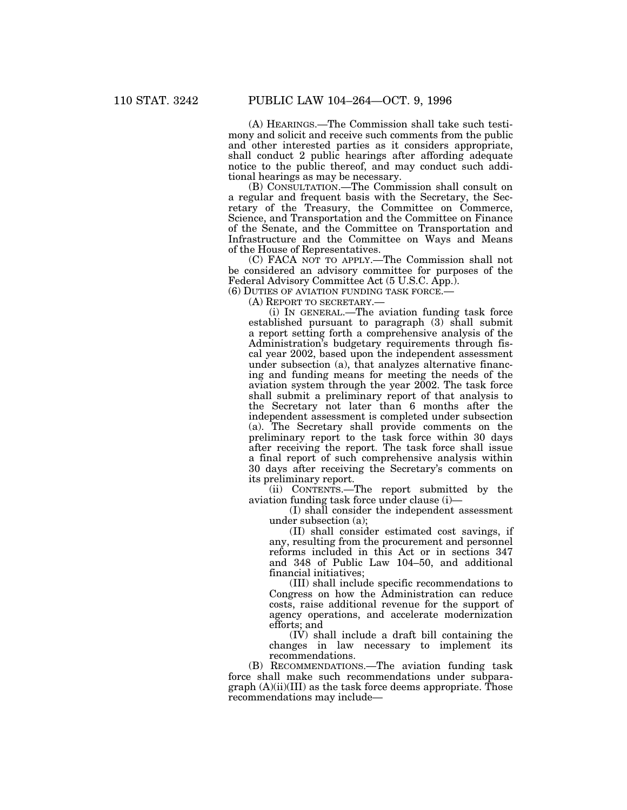(A) HEARINGS.—The Commission shall take such testimony and solicit and receive such comments from the public and other interested parties as it considers appropriate, shall conduct 2 public hearings after affording adequate notice to the public thereof, and may conduct such additional hearings as may be necessary.

(B) CONSULTATION.—The Commission shall consult on a regular and frequent basis with the Secretary, the Secretary of the Treasury, the Committee on Commerce, Science, and Transportation and the Committee on Finance of the Senate, and the Committee on Transportation and Infrastructure and the Committee on Ways and Means of the House of Representatives.

(C) FACA NOT TO APPLY.—The Commission shall not be considered an advisory committee for purposes of the Federal Advisory Committee Act (5 U.S.C. App.).

(6) DUTIES OF AVIATION FUNDING TASK FORCE.—

(A) REPORT TO SECRETARY.—

(i) IN GENERAL.—The aviation funding task force established pursuant to paragraph (3) shall submit a report setting forth a comprehensive analysis of the Administration's budgetary requirements through fiscal year 2002, based upon the independent assessment under subsection (a), that analyzes alternative financing and funding means for meeting the needs of the aviation system through the year 2002. The task force shall submit a preliminary report of that analysis to the Secretary not later than 6 months after the independent assessment is completed under subsection (a). The Secretary shall provide comments on the preliminary report to the task force within 30 days after receiving the report. The task force shall issue a final report of such comprehensive analysis within 30 days after receiving the Secretary's comments on its preliminary report.

(ii) CONTENTS.—The report submitted by the aviation funding task force under clause (i)—

(I) shall consider the independent assessment under subsection (a);

(II) shall consider estimated cost savings, if any, resulting from the procurement and personnel reforms included in this Act or in sections 347 and 348 of Public Law 104–50, and additional financial initiatives;

(III) shall include specific recommendations to Congress on how the Administration can reduce costs, raise additional revenue for the support of agency operations, and accelerate modernization efforts; and

(IV) shall include a draft bill containing the changes in law necessary to implement its recommendations.

(B) RECOMMENDATIONS.—The aviation funding task force shall make such recommendations under subpara $graph (A)(ii)(III)$  as the task force deems appropriate. Those recommendations may include—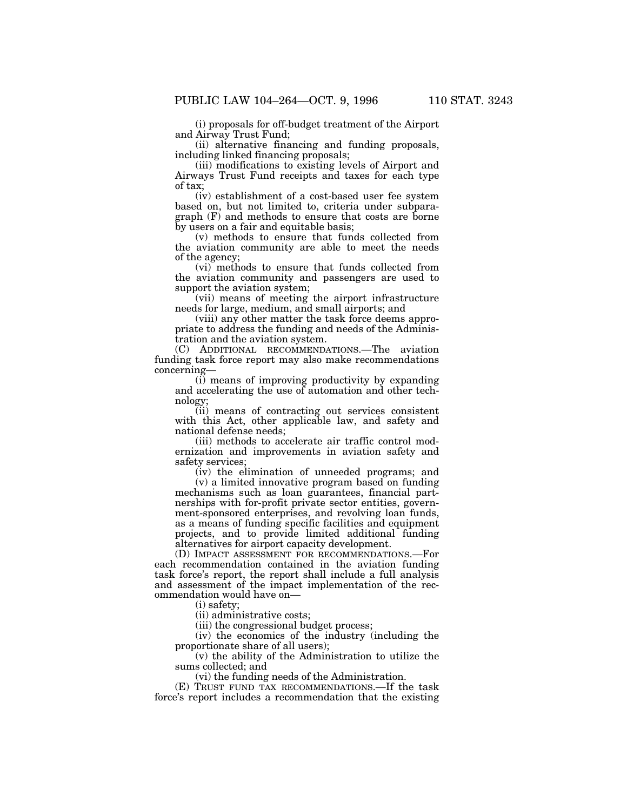(i) proposals for off-budget treatment of the Airport and Airway Trust Fund;

(ii) alternative financing and funding proposals, including linked financing proposals;

(iii) modifications to existing levels of Airport and Airways Trust Fund receipts and taxes for each type of tax;

(iv) establishment of a cost-based user fee system based on, but not limited to, criteria under subparagraph (F) and methods to ensure that costs are borne by users on a fair and equitable basis;

(v) methods to ensure that funds collected from the aviation community are able to meet the needs of the agency;

(vi) methods to ensure that funds collected from the aviation community and passengers are used to support the aviation system;

(vii) means of meeting the airport infrastructure needs for large, medium, and small airports; and

(viii) any other matter the task force deems appropriate to address the funding and needs of the Administration and the aviation system.

(C) ADDITIONAL RECOMMENDATIONS.—The aviation funding task force report may also make recommendations concerning—

(i) means of improving productivity by expanding and accelerating the use of automation and other technology;

(ii) means of contracting out services consistent with this Act, other applicable law, and safety and national defense needs;

(iii) methods to accelerate air traffic control modernization and improvements in aviation safety and safety services;

(iv) the elimination of unneeded programs; and

(v) a limited innovative program based on funding mechanisms such as loan guarantees, financial partnerships with for-profit private sector entities, government-sponsored enterprises, and revolving loan funds, as a means of funding specific facilities and equipment projects, and to provide limited additional funding alternatives for airport capacity development.

(D) IMPACT ASSESSMENT FOR RECOMMENDATIONS.—For each recommendation contained in the aviation funding task force's report, the report shall include a full analysis and assessment of the impact implementation of the recommendation would have on—

(i) safety;

(ii) administrative costs;

(iii) the congressional budget process;

(iv) the economics of the industry (including the proportionate share of all users);

(v) the ability of the Administration to utilize the sums collected; and

(vi) the funding needs of the Administration.

(E) TRUST FUND TAX RECOMMENDATIONS.—If the task force's report includes a recommendation that the existing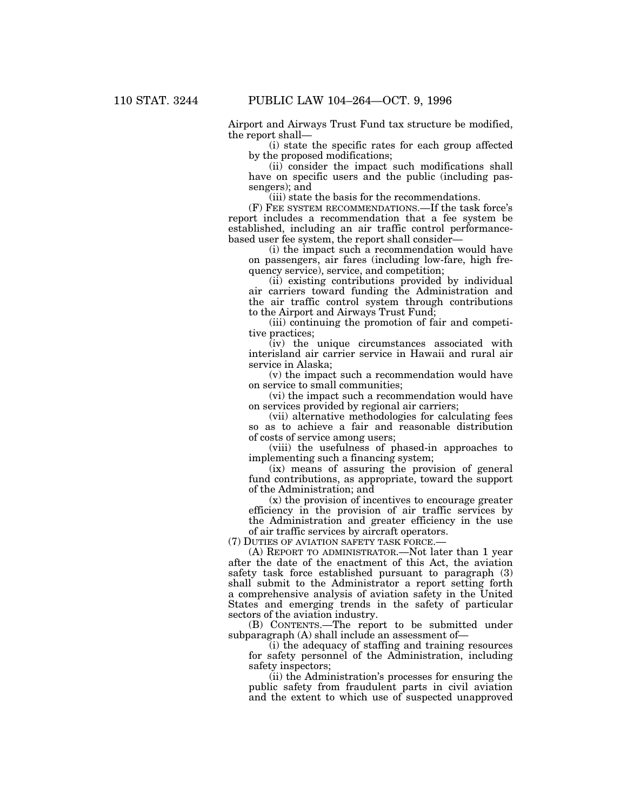Airport and Airways Trust Fund tax structure be modified, the report shall—

(i) state the specific rates for each group affected by the proposed modifications;

(ii) consider the impact such modifications shall have on specific users and the public (including passengers); and

(iii) state the basis for the recommendations.

(F) FEE SYSTEM RECOMMENDATIONS.—If the task force's report includes a recommendation that a fee system be established, including an air traffic control performancebased user fee system, the report shall consider—

(i) the impact such a recommendation would have on passengers, air fares (including low-fare, high frequency service), service, and competition;

(ii) existing contributions provided by individual air carriers toward funding the Administration and the air traffic control system through contributions to the Airport and Airways Trust Fund;

(iii) continuing the promotion of fair and competitive practices;

(iv) the unique circumstances associated with interisland air carrier service in Hawaii and rural air service in Alaska;

(v) the impact such a recommendation would have on service to small communities;

(vi) the impact such a recommendation would have on services provided by regional air carriers;

(vii) alternative methodologies for calculating fees so as to achieve a fair and reasonable distribution of costs of service among users;

(viii) the usefulness of phased-in approaches to implementing such a financing system;

(ix) means of assuring the provision of general fund contributions, as appropriate, toward the support of the Administration; and

(x) the provision of incentives to encourage greater efficiency in the provision of air traffic services by the Administration and greater efficiency in the use of air traffic services by aircraft operators.

(7) DUTIES OF AVIATION SAFETY TASK FORCE.—

(A) REPORT TO ADMINISTRATOR.—Not later than 1 year after the date of the enactment of this Act, the aviation safety task force established pursuant to paragraph (3) shall submit to the Administrator a report setting forth a comprehensive analysis of aviation safety in the United States and emerging trends in the safety of particular sectors of the aviation industry.

(B) CONTENTS.—The report to be submitted under subparagraph (A) shall include an assessment of—

(i) the adequacy of staffing and training resources for safety personnel of the Administration, including safety inspectors;

(ii) the Administration's processes for ensuring the public safety from fraudulent parts in civil aviation and the extent to which use of suspected unapproved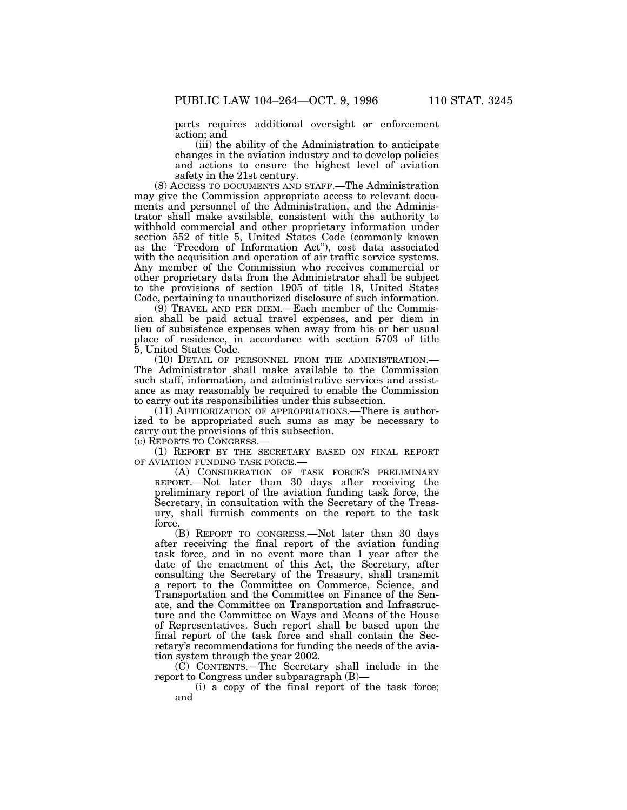parts requires additional oversight or enforcement action; and

(iii) the ability of the Administration to anticipate changes in the aviation industry and to develop policies and actions to ensure the highest level of aviation safety in the 21st century.

(8) ACCESS TO DOCUMENTS AND STAFF.—The Administration may give the Commission appropriate access to relevant documents and personnel of the Administration, and the Administrator shall make available, consistent with the authority to withhold commercial and other proprietary information under section 552 of title 5, United States Code (commonly known as the "Freedom of Information Act"), cost data associated with the acquisition and operation of air traffic service systems. Any member of the Commission who receives commercial or other proprietary data from the Administrator shall be subject to the provisions of section 1905 of title 18, United States Code, pertaining to unauthorized disclosure of such information.

(9) TRAVEL AND PER DIEM.—Each member of the Commission shall be paid actual travel expenses, and per diem in lieu of subsistence expenses when away from his or her usual place of residence, in accordance with section 5703 of title 5, United States Code.

(10) DETAIL OF PERSONNEL FROM THE ADMINISTRATION.— The Administrator shall make available to the Commission such staff, information, and administrative services and assistance as may reasonably be required to enable the Commission to carry out its responsibilities under this subsection.

(11) AUTHORIZATION OF APPROPRIATIONS.—There is authorized to be appropriated such sums as may be necessary to carry out the provisions of this subsection.

(c) REPORTS TO CONGRESS.—

(1) REPORT BY THE SECRETARY BASED ON FINAL REPORT OF AVIATION FUNDING TASK FORCE.—

(A) CONSIDERATION OF TASK FORCE'S PRELIMINARY REPORT.—Not later than 30 days after receiving the preliminary report of the aviation funding task force, the Secretary, in consultation with the Secretary of the Treasury, shall furnish comments on the report to the task force

(B) REPORT TO CONGRESS.—Not later than 30 days after receiving the final report of the aviation funding task force, and in no event more than 1 year after the date of the enactment of this Act, the Secretary, after consulting the Secretary of the Treasury, shall transmit a report to the Committee on Commerce, Science, and Transportation and the Committee on Finance of the Senate, and the Committee on Transportation and Infrastructure and the Committee on Ways and Means of the House of Representatives. Such report shall be based upon the final report of the task force and shall contain the Secretary's recommendations for funding the needs of the aviation system through the year 2002.

(C) CONTENTS.—The Secretary shall include in the report to Congress under subparagraph (B)—

(i) a copy of the final report of the task force; and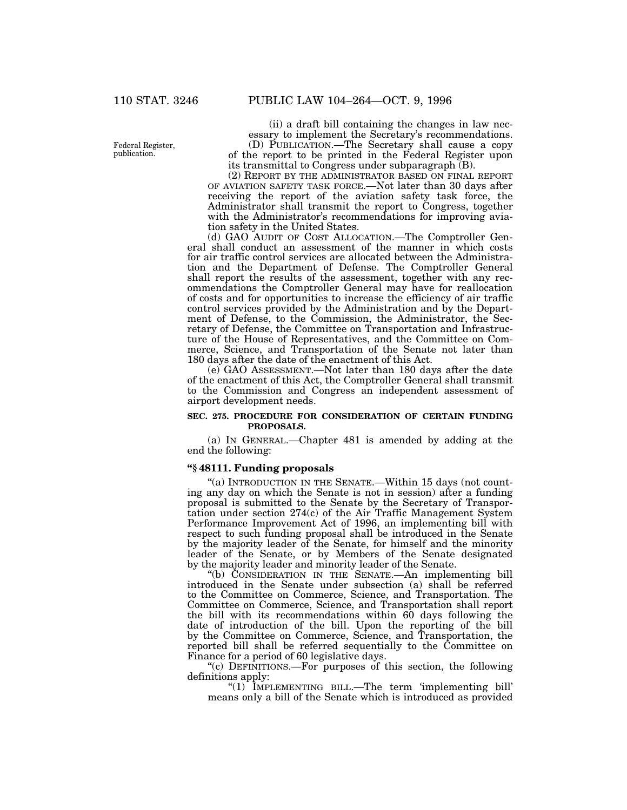Federal Register, publication.

(ii) a draft bill containing the changes in law necessary to implement the Secretary's recommendations. (D) PUBLICATION.—The Secretary shall cause a copy of the report to be printed in the Federal Register upon its transmittal to Congress under subparagraph (B).

(2) REPORT BY THE ADMINISTRATOR BASED ON FINAL REPORT OF AVIATION SAFETY TASK FORCE.—Not later than 30 days after receiving the report of the aviation safety task force, the Administrator shall transmit the report to Congress, together with the Administrator's recommendations for improving aviation safety in the United States.

(d) GAO AUDIT OF COST ALLOCATION.—The Comptroller General shall conduct an assessment of the manner in which costs for air traffic control services are allocated between the Administration and the Department of Defense. The Comptroller General shall report the results of the assessment, together with any recommendations the Comptroller General may have for reallocation of costs and for opportunities to increase the efficiency of air traffic control services provided by the Administration and by the Department of Defense, to the Commission, the Administrator, the Secretary of Defense, the Committee on Transportation and Infrastructure of the House of Representatives, and the Committee on Commerce, Science, and Transportation of the Senate not later than 180 days after the date of the enactment of this Act.

(e) GAO ASSESSMENT.—Not later than 180 days after the date of the enactment of this Act, the Comptroller General shall transmit to the Commission and Congress an independent assessment of airport development needs.

### **SEC. 275. PROCEDURE FOR CONSIDERATION OF CERTAIN FUNDING PROPOSALS.**

(a) IN GENERAL.—Chapter 481 is amended by adding at the end the following:

## **''§ 48111. Funding proposals**

"(a) INTRODUCTION IN THE SENATE.-Within 15 days (not counting any day on which the Senate is not in session) after a funding proposal is submitted to the Senate by the Secretary of Transportation under section 274(c) of the Air Traffic Management System Performance Improvement Act of 1996, an implementing bill with respect to such funding proposal shall be introduced in the Senate by the majority leader of the Senate, for himself and the minority leader of the Senate, or by Members of the Senate designated by the majority leader and minority leader of the Senate.

''(b) CONSIDERATION IN THE SENATE.—An implementing bill introduced in the Senate under subsection (a) shall be referred to the Committee on Commerce, Science, and Transportation. The Committee on Commerce, Science, and Transportation shall report the bill with its recommendations within 60 days following the date of introduction of the bill. Upon the reporting of the bill by the Committee on Commerce, Science, and Transportation, the reported bill shall be referred sequentially to the Committee on Finance for a period of 60 legislative days.

''(c) DEFINITIONS.—For purposes of this section, the following definitions apply:

"(1) IMPLEMENTING BILL.—The term 'implementing bill' means only a bill of the Senate which is introduced as provided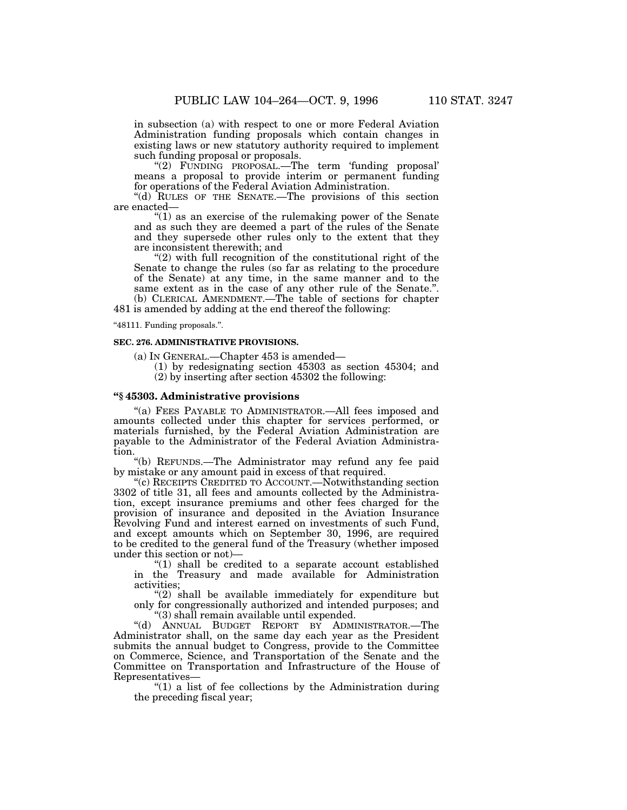in subsection (a) with respect to one or more Federal Aviation Administration funding proposals which contain changes in existing laws or new statutory authority required to implement such funding proposal or proposals.

''(2) FUNDING PROPOSAL.—The term 'funding proposal' means a proposal to provide interim or permanent funding for operations of the Federal Aviation Administration.

''(d) RULES OF THE SENATE.—The provisions of this section are enacted—

''(1) as an exercise of the rulemaking power of the Senate and as such they are deemed a part of the rules of the Senate and they supersede other rules only to the extent that they are inconsistent therewith; and

" $(2)$  with full recognition of the constitutional right of the Senate to change the rules (so far as relating to the procedure of the Senate) at any time, in the same manner and to the same extent as in the case of any other rule of the Senate.''. (b) CLERICAL AMENDMENT.—The table of sections for chapter 481 is amended by adding at the end thereof the following:

''48111. Funding proposals.''.

#### **SEC. 276. ADMINISTRATIVE PROVISIONS.**

- (a) IN GENERAL.—Chapter 453 is amended—
	- (1) by redesignating section 45303 as section 45304; and (2) by inserting after section 45302 the following:

### **''§ 45303. Administrative provisions**

"(a) FEES PAYABLE TO ADMINISTRATOR.—All fees imposed and amounts collected under this chapter for services performed, or materials furnished, by the Federal Aviation Administration are payable to the Administrator of the Federal Aviation Administration.

''(b) REFUNDS.—The Administrator may refund any fee paid by mistake or any amount paid in excess of that required.

''(c) RECEIPTS CREDITED TO ACCOUNT.—Notwithstanding section 3302 of title 31, all fees and amounts collected by the Administration, except insurance premiums and other fees charged for the provision of insurance and deposited in the Aviation Insurance Revolving Fund and interest earned on investments of such Fund, and except amounts which on September 30, 1996, are required to be credited to the general fund of the Treasury (whether imposed under this section or not)—

" $(1)$  shall be credited to a separate account established in the Treasury and made available for Administration activities;

"(2) shall be available immediately for expenditure but only for congressionally authorized and intended purposes; and ''(3) shall remain available until expended.

''(d) ANNUAL BUDGET REPORT BY ADMINISTRATOR.—The Administrator shall, on the same day each year as the President submits the annual budget to Congress, provide to the Committee on Commerce, Science, and Transportation of the Senate and the Committee on Transportation and Infrastructure of the House of Representatives—

" $(1)$  a list of fee collections by the Administration during the preceding fiscal year;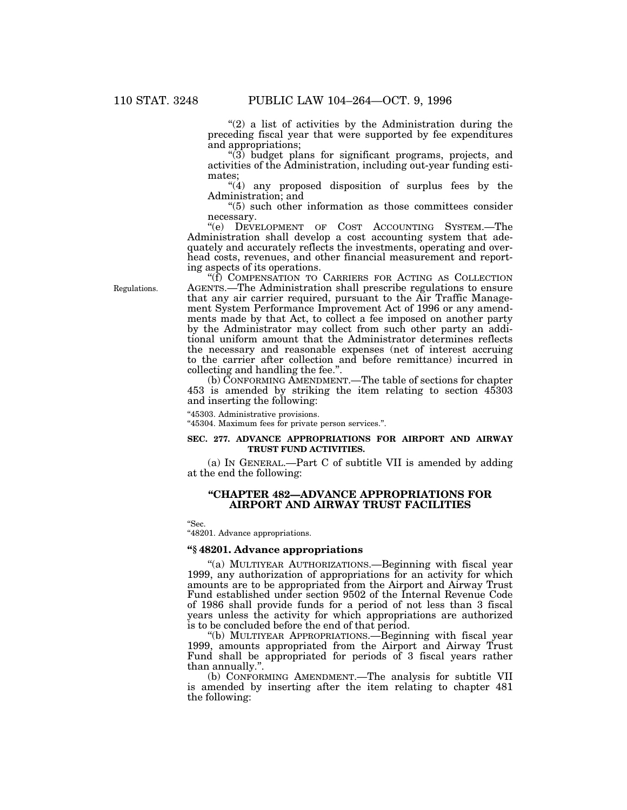" $(2)$  a list of activities by the Administration during the preceding fiscal year that were supported by fee expenditures and appropriations;

''(3) budget plans for significant programs, projects, and activities of the Administration, including out-year funding estimates;

"(4) any proposed disposition of surplus fees by the Administration; and

''(5) such other information as those committees consider necessary.

''(e) DEVELOPMENT OF COST ACCOUNTING SYSTEM.—The Administration shall develop a cost accounting system that adequately and accurately reflects the investments, operating and overhead costs, revenues, and other financial measurement and reporting aspects of its operations.

''(f) COMPENSATION TO CARRIERS FOR ACTING AS COLLECTION AGENTS.—The Administration shall prescribe regulations to ensure that any air carrier required, pursuant to the Air Traffic Management System Performance Improvement Act of 1996 or any amendments made by that Act, to collect a fee imposed on another party by the Administrator may collect from such other party an additional uniform amount that the Administrator determines reflects the necessary and reasonable expenses (net of interest accruing to the carrier after collection and before remittance) incurred in collecting and handling the fee.''.

(b) CONFORMING AMENDMENT.—The table of sections for chapter 453 is amended by striking the item relating to section 45303 and inserting the following:

''45303. Administrative provisions.

''45304. Maximum fees for private person services.''.

## **SEC. 277. ADVANCE APPROPRIATIONS FOR AIRPORT AND AIRWAY TRUST FUND ACTIVITIES.**

(a) IN GENERAL.—Part C of subtitle VII is amended by adding at the end the following:

## **''CHAPTER 482—ADVANCE APPROPRIATIONS FOR AIRPORT AND AIRWAY TRUST FACILITIES**

''Sec.

"48201. Advance appropriations.

## **''§ 48201. Advance appropriations**

''(a) MULTIYEAR AUTHORIZATIONS.—Beginning with fiscal year 1999, any authorization of appropriations for an activity for which amounts are to be appropriated from the Airport and Airway Trust Fund established under section 9502 of the Internal Revenue Code of 1986 shall provide funds for a period of not less than 3 fiscal years unless the activity for which appropriations are authorized is to be concluded before the end of that period.

''(b) MULTIYEAR APPROPRIATIONS.—Beginning with fiscal year 1999, amounts appropriated from the Airport and Airway Trust Fund shall be appropriated for periods of 3 fiscal years rather than annually.''.

(b) CONFORMING AMENDMENT.—The analysis for subtitle VII is amended by inserting after the item relating to chapter 481 the following:

Regulations.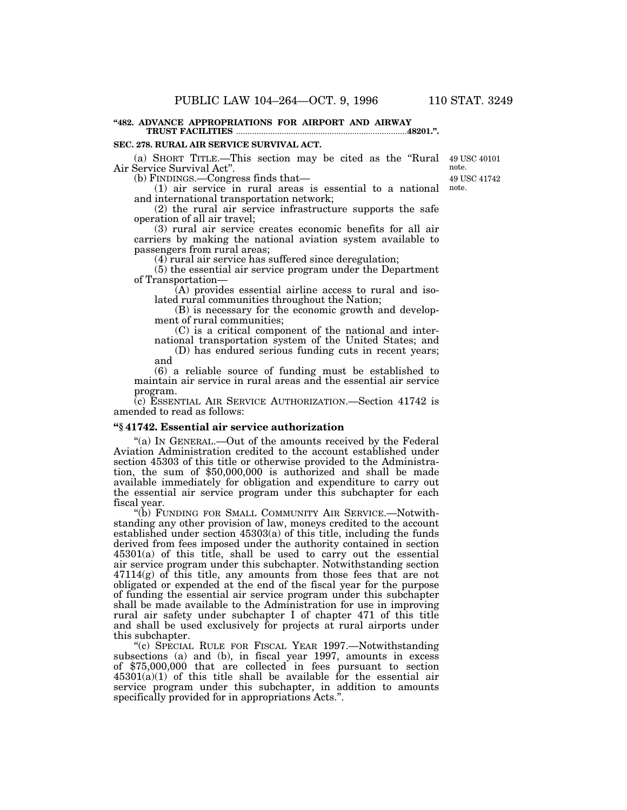#### **''482. ADVANCE APPROPRIATIONS FOR AIRPORT AND AIRWAY TRUST FACILITIES** .............................................................................**48201.''.**

#### **SEC. 278. RURAL AIR SERVICE SURVIVAL ACT.**

(a) SHORT TITLE.—This section may be cited as the ''Rural 49 USC 40101 Air Service Survival Act''.

(b) FINDINGS.—Congress finds that—

(1) air service in rural areas is essential to a national note. and international transportation network;

(2) the rural air service infrastructure supports the safe operation of all air travel;

(3) rural air service creates economic benefits for all air carriers by making the national aviation system available to passengers from rural areas;

(4) rural air service has suffered since deregulation;

(5) the essential air service program under the Department of Transportation—

(A) provides essential airline access to rural and isolated rural communities throughout the Nation;

(B) is necessary for the economic growth and development of rural communities;

(C) is a critical component of the national and international transportation system of the United States; and (D) has endured serious funding cuts in recent years;

and (6) a reliable source of funding must be established to

maintain air service in rural areas and the essential air service program.

(c) ESSENTIAL AIR SERVICE AUTHORIZATION.—Section 41742 is amended to read as follows:

#### **''§ 41742. Essential air service authorization**

"(a) In GENERAL.—Out of the amounts received by the Federal Aviation Administration credited to the account established under section 45303 of this title or otherwise provided to the Administration, the sum of \$50,000,000 is authorized and shall be made available immediately for obligation and expenditure to carry out the essential air service program under this subchapter for each fiscal year.

''(b) FUNDING FOR SMALL COMMUNITY AIR SERVICE.—Notwithstanding any other provision of law, moneys credited to the account established under section 45303(a) of this title, including the funds derived from fees imposed under the authority contained in section 45301(a) of this title, shall be used to carry out the essential air service program under this subchapter. Notwithstanding section  $47114(g)$  of this title, any amounts from those fees that are not obligated or expended at the end of the fiscal year for the purpose of funding the essential air service program under this subchapter shall be made available to the Administration for use in improving rural air safety under subchapter I of chapter 471 of this title and shall be used exclusively for projects at rural airports under this subchapter.

''(c) SPECIAL RULE FOR FISCAL YEAR 1997.—Notwithstanding subsections (a) and (b), in fiscal year 1997, amounts in excess of \$75,000,000 that are collected in fees pursuant to section  $45301(a)(1)$  of this title shall be available for the essential air service program under this subchapter, in addition to amounts specifically provided for in appropriations Acts.''.

49 USC 41742 note.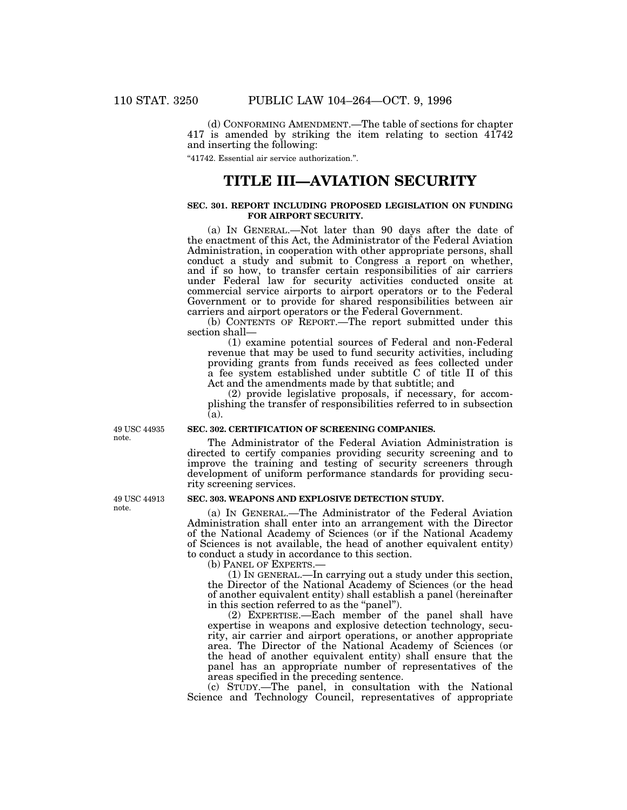(d) CONFORMING AMENDMENT.—The table of sections for chapter 417 is amended by striking the item relating to section 41742 and inserting the following:

''41742. Essential air service authorization.''.

# **TITLE III—AVIATION SECURITY**

## **SEC. 301. REPORT INCLUDING PROPOSED LEGISLATION ON FUNDING FOR AIRPORT SECURITY.**

(a) IN GENERAL.—Not later than 90 days after the date of the enactment of this Act, the Administrator of the Federal Aviation Administration, in cooperation with other appropriate persons, shall conduct a study and submit to Congress a report on whether, and if so how, to transfer certain responsibilities of air carriers under Federal law for security activities conducted onsite at commercial service airports to airport operators or to the Federal Government or to provide for shared responsibilities between air carriers and airport operators or the Federal Government.

(b) CONTENTS OF REPORT.—The report submitted under this section shall—

(1) examine potential sources of Federal and non-Federal revenue that may be used to fund security activities, including providing grants from funds received as fees collected under a fee system established under subtitle C of title II of this Act and the amendments made by that subtitle; and

(2) provide legislative proposals, if necessary, for accomplishing the transfer of responsibilities referred to in subsection  $(a)$ 

## **SEC. 302. CERTIFICATION OF SCREENING COMPANIES.**

The Administrator of the Federal Aviation Administration is directed to certify companies providing security screening and to improve the training and testing of security screeners through development of uniform performance standards for providing security screening services.

#### **SEC. 303. WEAPONS AND EXPLOSIVE DETECTION STUDY.**

(a) IN GENERAL.—The Administrator of the Federal Aviation Administration shall enter into an arrangement with the Director of the National Academy of Sciences (or if the National Academy of Sciences is not available, the head of another equivalent entity) to conduct a study in accordance to this section.

(b) PANEL OF EXPERTS.—

(1) IN GENERAL.—In carrying out a study under this section, the Director of the National Academy of Sciences (or the head of another equivalent entity) shall establish a panel (hereinafter in this section referred to as the "panel".

(2) EXPERTISE.—Each member of the panel shall have expertise in weapons and explosive detection technology, security, air carrier and airport operations, or another appropriate area. The Director of the National Academy of Sciences (or the head of another equivalent entity) shall ensure that the panel has an appropriate number of representatives of the areas specified in the preceding sentence.

(c) STUDY.—The panel, in consultation with the National Science and Technology Council, representatives of appropriate

49 USC 44935 note.

49 USC 44913 note.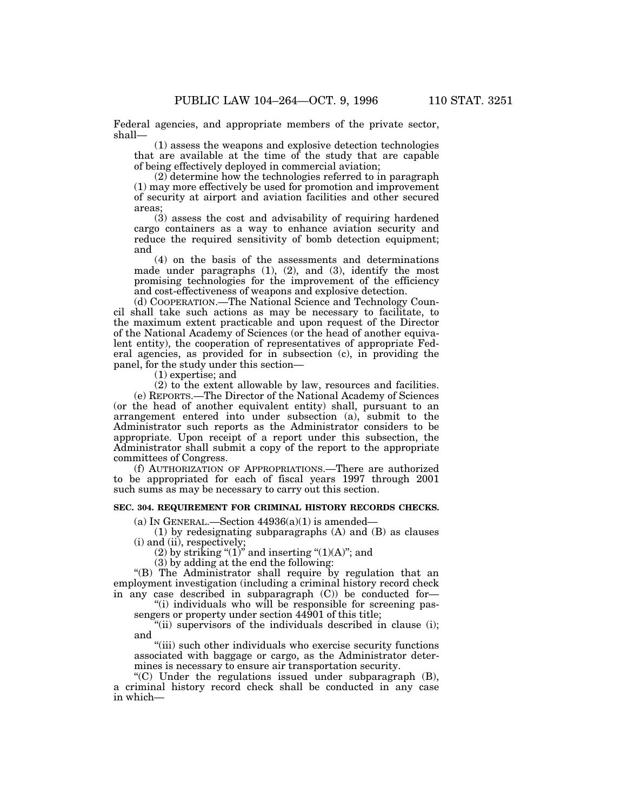Federal agencies, and appropriate members of the private sector, shall—

(1) assess the weapons and explosive detection technologies that are available at the time of the study that are capable of being effectively deployed in commercial aviation;

(2) determine how the technologies referred to in paragraph (1) may more effectively be used for promotion and improvement of security at airport and aviation facilities and other secured areas;

(3) assess the cost and advisability of requiring hardened cargo containers as a way to enhance aviation security and reduce the required sensitivity of bomb detection equipment; and

(4) on the basis of the assessments and determinations made under paragraphs (1), (2), and (3), identify the most promising technologies for the improvement of the efficiency and cost-effectiveness of weapons and explosive detection.

(d) COOPERATION.—The National Science and Technology Council shall take such actions as may be necessary to facilitate, to the maximum extent practicable and upon request of the Director of the National Academy of Sciences (or the head of another equivalent entity), the cooperation of representatives of appropriate Federal agencies, as provided for in subsection (c), in providing the panel, for the study under this section—

(1) expertise; and

(2) to the extent allowable by law, resources and facilities.

(e) REPORTS.—The Director of the National Academy of Sciences (or the head of another equivalent entity) shall, pursuant to an arrangement entered into under subsection (a), submit to the Administrator such reports as the Administrator considers to be appropriate. Upon receipt of a report under this subsection, the Administrator shall submit a copy of the report to the appropriate committees of Congress.

(f) AUTHORIZATION OF APPROPRIATIONS.—There are authorized to be appropriated for each of fiscal years 1997 through 2001 such sums as may be necessary to carry out this section.

## **SEC. 304. REQUIREMENT FOR CRIMINAL HISTORY RECORDS CHECKS.**

(a) IN GENERAL.—Section  $44936(a)(1)$  is amended—

(1) by redesignating subparagraphs (A) and (B) as clauses (i) and (ii), respectively;

(2) by striking " $(1)$ " and inserting " $(1)(A)$ "; and

(3) by adding at the end the following:

''(B) The Administrator shall require by regulation that an employment investigation (including a criminal history record check in any case described in subparagraph (C)) be conducted for—

''(i) individuals who will be responsible for screening passengers or property under section 44901 of this title;

"(ii) supervisors of the individuals described in clause (i); and

"(iii) such other individuals who exercise security functions associated with baggage or cargo, as the Administrator determines is necessary to ensure air transportation security.

 $(C)$  Under the regulations issued under subparagraph  $(B)$ , a criminal history record check shall be conducted in any case in which—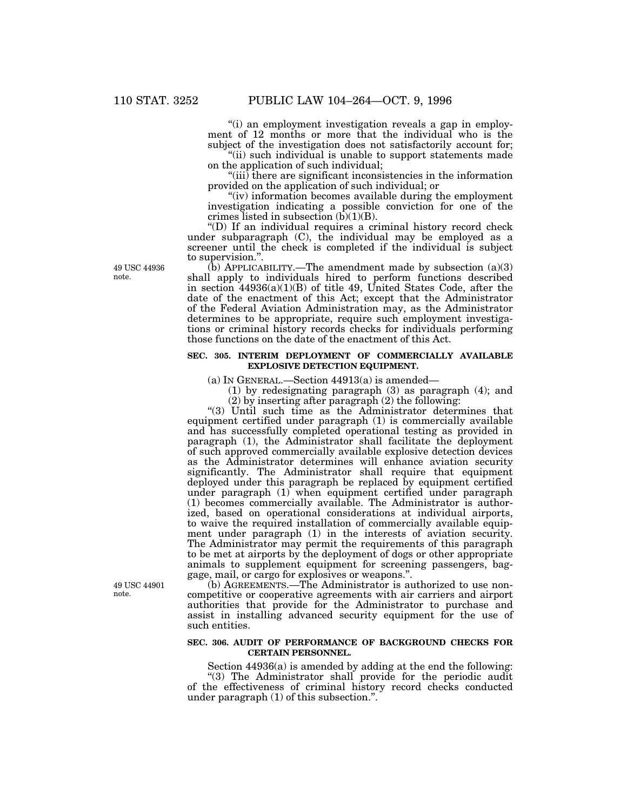''(i) an employment investigation reveals a gap in employment of 12 months or more that the individual who is the subject of the investigation does not satisfactorily account for;

"(ii) such individual is unable to support statements made on the application of such individual;

''(iii) there are significant inconsistencies in the information provided on the application of such individual; or

"(iv) information becomes available during the employment investigation indicating a possible conviction for one of the crimes listed in subsection  $(b)(1)(B)$ .

''(D) If an individual requires a criminal history record check under subparagraph (C), the individual may be employed as a screener until the check is completed if the individual is subject to supervision.''.

 $(b)$  APPLICABILITY.—The amendment made by subsection  $(a)(3)$ shall apply to individuals hired to perform functions described in section 44936(a)(1)(B) of title 49, United States Code, after the date of the enactment of this Act; except that the Administrator of the Federal Aviation Administration may, as the Administrator determines to be appropriate, require such employment investigations or criminal history records checks for individuals performing those functions on the date of the enactment of this Act.

#### **SEC. 305. INTERIM DEPLOYMENT OF COMMERCIALLY AVAILABLE EXPLOSIVE DETECTION EQUIPMENT.**

(a) In GENERAL.—Section  $44913(a)$  is amended—

(1) by redesignating paragraph (3) as paragraph (4); and

(2) by inserting after paragraph (2) the following:

''(3) Until such time as the Administrator determines that equipment certified under paragraph (1) is commercially available and has successfully completed operational testing as provided in paragraph (1), the Administrator shall facilitate the deployment of such approved commercially available explosive detection devices as the Administrator determines will enhance aviation security significantly. The Administrator shall require that equipment deployed under this paragraph be replaced by equipment certified under paragraph (1) when equipment certified under paragraph (1) becomes commercially available. The Administrator is authorized, based on operational considerations at individual airports, to waive the required installation of commercially available equipment under paragraph (1) in the interests of aviation security. The Administrator may permit the requirements of this paragraph to be met at airports by the deployment of dogs or other appropriate animals to supplement equipment for screening passengers, baggage, mail, or cargo for explosives or weapons.''.

(b) AGREEMENTS.—The Administrator is authorized to use noncompetitive or cooperative agreements with air carriers and airport authorities that provide for the Administrator to purchase and assist in installing advanced security equipment for the use of such entities.

## **SEC. 306. AUDIT OF PERFORMANCE OF BACKGROUND CHECKS FOR CERTAIN PERSONNEL.**

Section 44936(a) is amended by adding at the end the following:

''(3) The Administrator shall provide for the periodic audit of the effectiveness of criminal history record checks conducted under paragraph (1) of this subsection.''.

49 USC 44936 note.

49 USC 44901 note.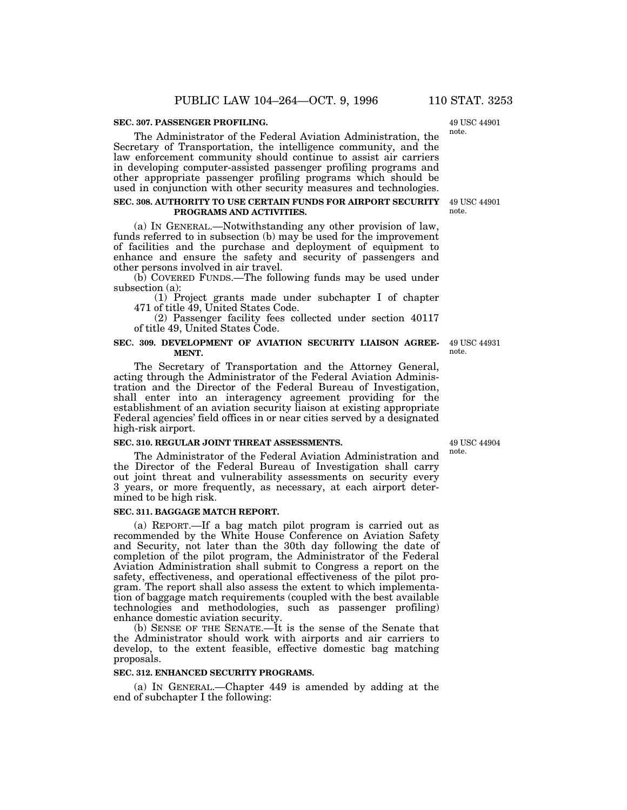#### **SEC. 307. PASSENGER PROFILING.**

49 USC 44901 note.

The Administrator of the Federal Aviation Administration, the Secretary of Transportation, the intelligence community, and the law enforcement community should continue to assist air carriers in developing computer-assisted passenger profiling programs and other appropriate passenger profiling programs which should be used in conjunction with other security measures and technologies.

### **SEC. 308. AUTHORITY TO USE CERTAIN FUNDS FOR AIRPORT SECURITY PROGRAMS AND ACTIVITIES.**

(a) IN GENERAL.—Notwithstanding any other provision of law, funds referred to in subsection (b) may be used for the improvement of facilities and the purchase and deployment of equipment to enhance and ensure the safety and security of passengers and other persons involved in air travel.

(b) COVERED FUNDS.—The following funds may be used under subsection (a):

(1) Project grants made under subchapter I of chapter 471 of title 49, United States Code.

(2) Passenger facility fees collected under section 40117 of title 49, United States Code.

### **SEC. 309. DEVELOPMENT OF AVIATION SECURITY LIAISON AGREE-MENT.**

The Secretary of Transportation and the Attorney General, acting through the Administrator of the Federal Aviation Administration and the Director of the Federal Bureau of Investigation, shall enter into an interagency agreement providing for the establishment of an aviation security liaison at existing appropriate Federal agencies' field offices in or near cities served by a designated high-risk airport.

#### **SEC. 310. REGULAR JOINT THREAT ASSESSMENTS.**

The Administrator of the Federal Aviation Administration and the Director of the Federal Bureau of Investigation shall carry out joint threat and vulnerability assessments on security every 3 years, or more frequently, as necessary, at each airport determined to be high risk.

#### **SEC. 311. BAGGAGE MATCH REPORT.**

(a) REPORT.—If a bag match pilot program is carried out as recommended by the White House Conference on Aviation Safety and Security, not later than the 30th day following the date of completion of the pilot program, the Administrator of the Federal Aviation Administration shall submit to Congress a report on the safety, effectiveness, and operational effectiveness of the pilot program. The report shall also assess the extent to which implementation of baggage match requirements (coupled with the best available technologies and methodologies, such as passenger profiling) enhance domestic aviation security.

(b) SENSE OF THE SENATE.—It is the sense of the Senate that the Administrator should work with airports and air carriers to develop, to the extent feasible, effective domestic bag matching proposals.

## **SEC. 312. ENHANCED SECURITY PROGRAMS.**

(a) IN GENERAL.—Chapter 449 is amended by adding at the end of subchapter I the following:

49 USC 44904 note.

49 USC 44931 note.

49 USC 44901 note.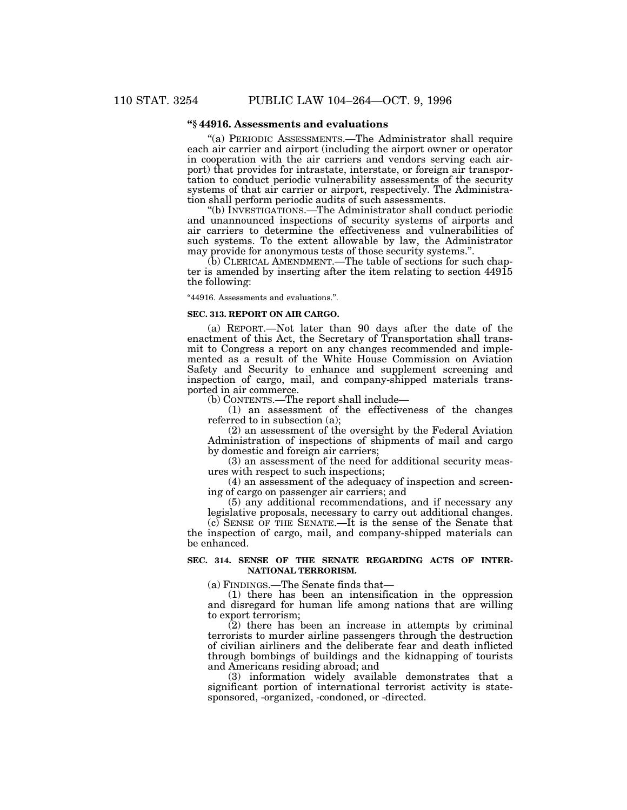# **''§ 44916. Assessments and evaluations**

''(a) PERIODIC ASSESSMENTS.—The Administrator shall require each air carrier and airport (including the airport owner or operator in cooperation with the air carriers and vendors serving each airport) that provides for intrastate, interstate, or foreign air transportation to conduct periodic vulnerability assessments of the security systems of that air carrier or airport, respectively. The Administration shall perform periodic audits of such assessments.

''(b) INVESTIGATIONS.—The Administrator shall conduct periodic and unannounced inspections of security systems of airports and air carriers to determine the effectiveness and vulnerabilities of such systems. To the extent allowable by law, the Administrator may provide for anonymous tests of those security systems.''.

(b) CLERICAL AMENDMENT.—The table of sections for such chapter is amended by inserting after the item relating to section 44915 the following:

''44916. Assessments and evaluations.''.

#### **SEC. 313. REPORT ON AIR CARGO.**

(a) REPORT.—Not later than 90 days after the date of the enactment of this Act, the Secretary of Transportation shall transmit to Congress a report on any changes recommended and implemented as a result of the White House Commission on Aviation Safety and Security to enhance and supplement screening and inspection of cargo, mail, and company-shipped materials transported in air commerce.

(b) CONTENTS.—The report shall include—

(1) an assessment of the effectiveness of the changes referred to in subsection (a);

(2) an assessment of the oversight by the Federal Aviation Administration of inspections of shipments of mail and cargo by domestic and foreign air carriers;

(3) an assessment of the need for additional security measures with respect to such inspections;

(4) an assessment of the adequacy of inspection and screening of cargo on passenger air carriers; and

(5) any additional recommendations, and if necessary any legislative proposals, necessary to carry out additional changes.

(c) SENSE OF THE SENATE.—It is the sense of the Senate that the inspection of cargo, mail, and company-shipped materials can be enhanced.

### **SEC. 314. SENSE OF THE SENATE REGARDING ACTS OF INTER-NATIONAL TERRORISM.**

(a) FINDINGS.—The Senate finds that—

(1) there has been an intensification in the oppression and disregard for human life among nations that are willing to export terrorism;

(2) there has been an increase in attempts by criminal terrorists to murder airline passengers through the destruction of civilian airliners and the deliberate fear and death inflicted through bombings of buildings and the kidnapping of tourists and Americans residing abroad; and

(3) information widely available demonstrates that a significant portion of international terrorist activity is statesponsored, -organized, -condoned, or -directed.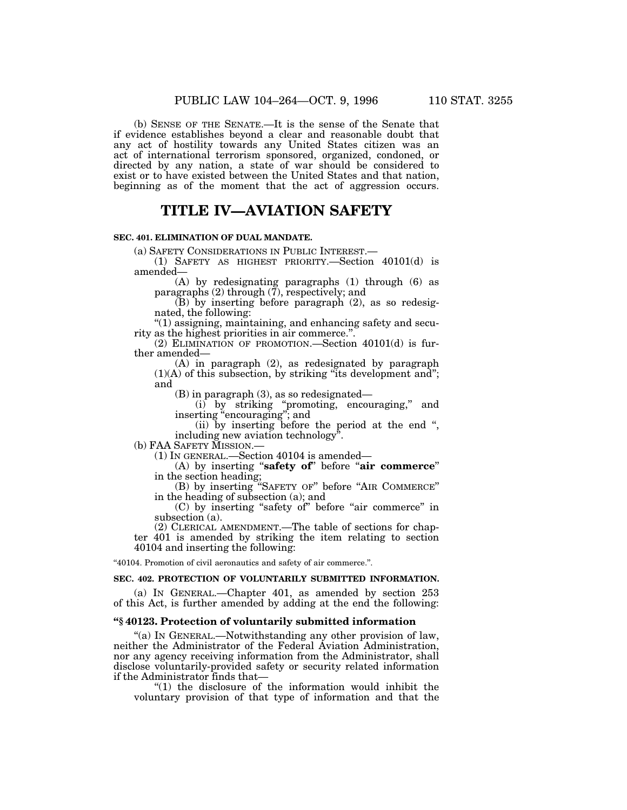(b) SENSE OF THE SENATE.—It is the sense of the Senate that if evidence establishes beyond a clear and reasonable doubt that any act of hostility towards any United States citizen was an act of international terrorism sponsored, organized, condoned, or directed by any nation, a state of war should be considered to exist or to have existed between the United States and that nation,

# **TITLE IV—AVIATION SAFETY**

beginning as of the moment that the act of aggression occurs.

## **SEC. 401. ELIMINATION OF DUAL MANDATE.**

(a) SAFETY CONSIDERATIONS IN PUBLIC INTEREST.—

(1) SAFETY AS HIGHEST PRIORITY.—Section 40101(d) is amended—

(A) by redesignating paragraphs (1) through (6) as paragraphs (2) through (7), respectively; and

(B) by inserting before paragraph (2), as so redesignated, the following:

''(1) assigning, maintaining, and enhancing safety and security as the highest priorities in air commerce.''.

(2) ELIMINATION OF PROMOTION.—Section 40101(d) is further amended—

(A) in paragraph (2), as redesignated by paragraph  $(1)(A)$  of this subsection, by striking "its development and"; and

(B) in paragraph (3), as so redesignated—

(i) by striking ''promoting, encouraging,'' and inserting ''encouraging''; and

(ii) by inserting before the period at the end '', including new aviation technology''.

(b) FAA SAFETY MISSION.—

(1) IN GENERAL.—Section 40104 is amended—

(A) by inserting "**safety of**" before "air commerce" in the section heading;

(B) by inserting ''SAFETY OF'' before ''AIR COMMERCE'' in the heading of subsection (a); and

(C) by inserting "safety of" before "air commerce" in subsection (a).

(2) CLERICAL AMENDMENT.—The table of sections for chapter 401 is amended by striking the item relating to section 40104 and inserting the following:

''40104. Promotion of civil aeronautics and safety of air commerce.''.

## **SEC. 402. PROTECTION OF VOLUNTARILY SUBMITTED INFORMATION.**

(a) IN GENERAL.—Chapter 401, as amended by section 253 of this Act, is further amended by adding at the end the following:

### **''§ 40123. Protection of voluntarily submitted information**

''(a) IN GENERAL.—Notwithstanding any other provision of law, neither the Administrator of the Federal Aviation Administration, nor any agency receiving information from the Administrator, shall disclose voluntarily-provided safety or security related information if the Administrator finds that—

''(1) the disclosure of the information would inhibit the voluntary provision of that type of information and that the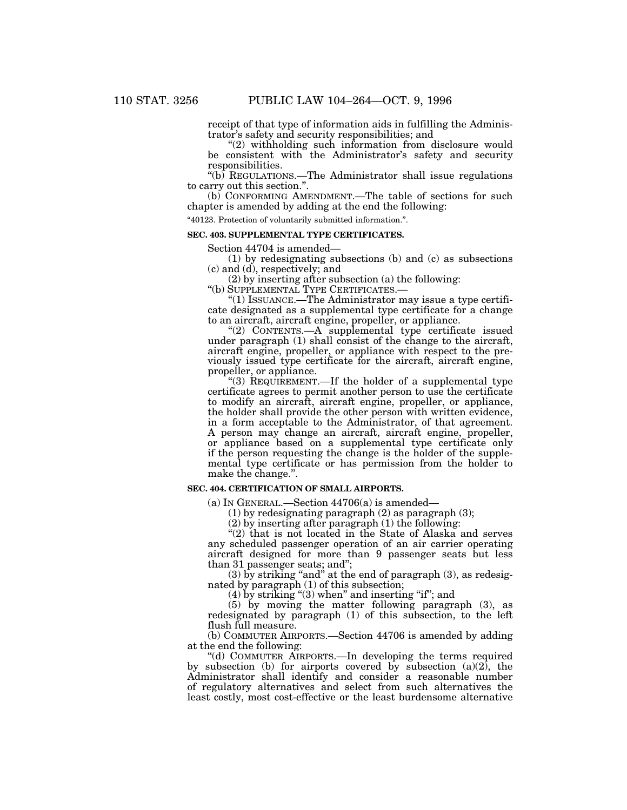receipt of that type of information aids in fulfilling the Administrator's safety and security responsibilities; and

"(2) withholding such information from disclosure would be consistent with the Administrator's safety and security responsibilities.

" $(b)$  REGULATIONS.—The Administrator shall issue regulations to carry out this section.''.

(b) CONFORMING AMENDMENT.—The table of sections for such chapter is amended by adding at the end the following:

''40123. Protection of voluntarily submitted information.''.

#### **SEC. 403. SUPPLEMENTAL TYPE CERTIFICATES.**

Section 44704 is amended—

(1) by redesignating subsections (b) and (c) as subsections (c) and (d), respectively; and

(2) by inserting after subsection (a) the following:

''(b) SUPPLEMENTAL TYPE CERTIFICATES.—

''(1) ISSUANCE.—The Administrator may issue a type certificate designated as a supplemental type certificate for a change to an aircraft, aircraft engine, propeller, or appliance.

"(2) CONTENTS.—A supplemental type certificate issued under paragraph (1) shall consist of the change to the aircraft, aircraft engine, propeller, or appliance with respect to the previously issued type certificate for the aircraft, aircraft engine, propeller, or appliance.

"(3) REQUIREMENT.—If the holder of a supplemental type certificate agrees to permit another person to use the certificate to modify an aircraft, aircraft engine, propeller, or appliance, the holder shall provide the other person with written evidence, in a form acceptable to the Administrator, of that agreement. A person may change an aircraft, aircraft engine, propeller, or appliance based on a supplemental type certificate only if the person requesting the change is the holder of the supplemental type certificate or has permission from the holder to make the change.''.

#### **SEC. 404. CERTIFICATION OF SMALL AIRPORTS.**

(a) IN GENERAL.—Section 44706(a) is amended—

(1) by redesignating paragraph (2) as paragraph (3);

(2) by inserting after paragraph (1) the following:

 $'(2)$  that is not located in the State of Alaska and serves any scheduled passenger operation of an air carrier operating aircraft designed for more than 9 passenger seats but less than 31 passenger seats; and'';

 $(3)$  by striking "and" at the end of paragraph  $(3)$ , as redesignated by paragraph (1) of this subsection;

 $(4)$  by striking " $(3)$  when" and inserting "if"; and

(5) by moving the matter following paragraph (3), as redesignated by paragraph (1) of this subsection, to the left flush full measure.

(b) COMMUTER AIRPORTS.—Section 44706 is amended by adding at the end the following:

''(d) COMMUTER AIRPORTS.—In developing the terms required by subsection (b) for airports covered by subsection  $(a)(2)$ , the Administrator shall identify and consider a reasonable number of regulatory alternatives and select from such alternatives the least costly, most cost-effective or the least burdensome alternative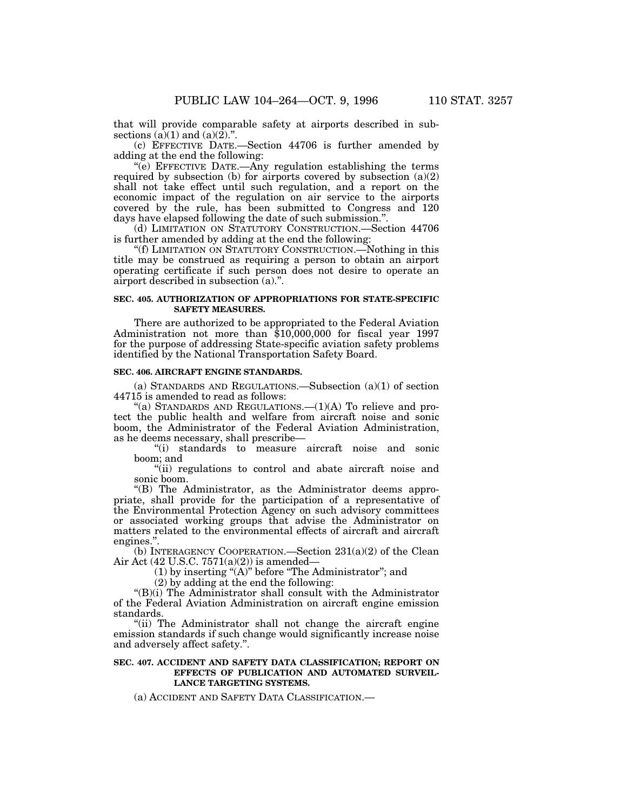that will provide comparable safety at airports described in subsections  $(a)(1)$  and  $(a)(2)$ .".

(c) EFFECTIVE DATE.—Section 44706 is further amended by adding at the end the following:

''(e) EFFECTIVE DATE.—Any regulation establishing the terms required by subsection (b) for airports covered by subsection (a)(2) shall not take effect until such regulation, and a report on the economic impact of the regulation on air service to the airports covered by the rule, has been submitted to Congress and 120 days have elapsed following the date of such submission.''.

(d) LIMITATION ON STATUTORY CONSTRUCTION.—Section 44706 is further amended by adding at the end the following:

''(f) LIMITATION ON STATUTORY CONSTRUCTION.—Nothing in this title may be construed as requiring a person to obtain an airport operating certificate if such person does not desire to operate an airport described in subsection (a).''.

## **SEC. 405. AUTHORIZATION OF APPROPRIATIONS FOR STATE-SPECIFIC SAFETY MEASURES.**

There are authorized to be appropriated to the Federal Aviation Administration not more than \$10,000,000 for fiscal year 1997 for the purpose of addressing State-specific aviation safety problems identified by the National Transportation Safety Board.

#### **SEC. 406. AIRCRAFT ENGINE STANDARDS.**

(a) STANDARDS AND REGULATIONS.—Subsection (a)(1) of section 44715 is amended to read as follows:

"(a) STANDARDS AND REGULATIONS.— $(1)(A)$  To relieve and protect the public health and welfare from aircraft noise and sonic boom, the Administrator of the Federal Aviation Administration, as he deems necessary, shall prescribe—

''(i) standards to measure aircraft noise and sonic boom; and

"(ii) regulations to control and abate aircraft noise and sonic boom.

''(B) The Administrator, as the Administrator deems appropriate, shall provide for the participation of a representative of the Environmental Protection Agency on such advisory committees or associated working groups that advise the Administrator on matters related to the environmental effects of aircraft and aircraft engines.''.

(b) INTERAGENCY COOPERATION.—Section 231(a)(2) of the Clean Air Act (42 U.S.C. 7571(a)(2)) is amended—

(1) by inserting " $(A)$ " before "The Administrator"; and

(2) by adding at the end the following:

" $(B)(i)$  The Administrator shall consult with the Administrator of the Federal Aviation Administration on aircraft engine emission standards.

"(ii) The Administrator shall not change the aircraft engine emission standards if such change would significantly increase noise and adversely affect safety.''.

### **SEC. 407. ACCIDENT AND SAFETY DATA CLASSIFICATION; REPORT ON EFFECTS OF PUBLICATION AND AUTOMATED SURVEIL-LANCE TARGETING SYSTEMS.**

(a) ACCIDENT AND SAFETY DATA CLASSIFICATION.—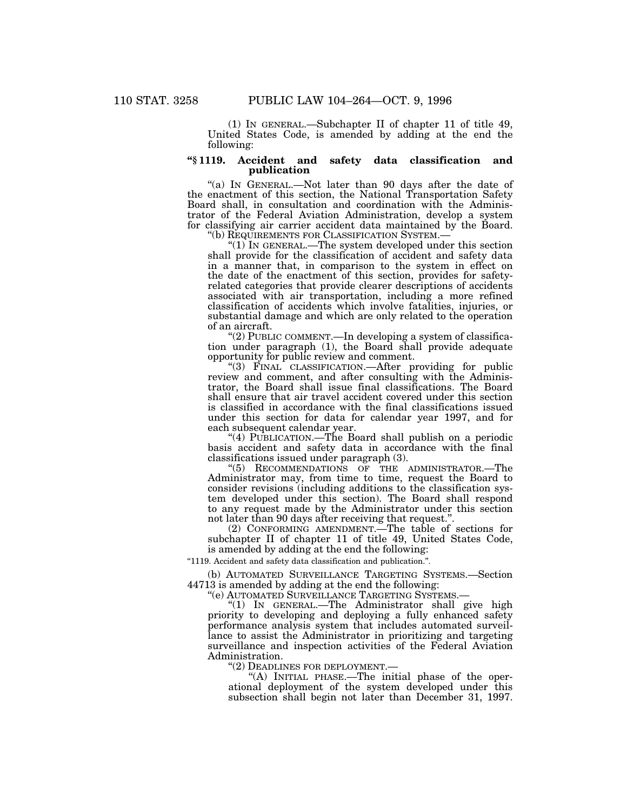(1) IN GENERAL.—Subchapter II of chapter 11 of title 49, United States Code, is amended by adding at the end the following:

## **''§ 1119. Accident and safety data classification and publication**

"(a) IN GENERAL.—Not later than 90 days after the date of the enactment of this section, the National Transportation Safety Board shall, in consultation and coordination with the Administrator of the Federal Aviation Administration, develop a system for classifying air carrier accident data maintained by the Board. "(b) REQUIREMENTS FOR CLASSIFICATION SYSTEM.—

" $(1)$  In GENERAL.—The system developed under this section. shall provide for the classification of accident and safety data in a manner that, in comparison to the system in effect on the date of the enactment of this section, provides for safetyrelated categories that provide clearer descriptions of accidents associated with air transportation, including a more refined classification of accidents which involve fatalities, injuries, or substantial damage and which are only related to the operation of an aircraft.

"(2) PUBLIC COMMENT.—In developing a system of classification under paragraph (1), the Board shall provide adequate opportunity for public review and comment.

''(3) FINAL CLASSIFICATION.—After providing for public review and comment, and after consulting with the Administrator, the Board shall issue final classifications. The Board shall ensure that air travel accident covered under this section is classified in accordance with the final classifications issued under this section for data for calendar year 1997, and for each subsequent calendar year.

"(4) PUBLICATION.—The Board shall publish on a periodic basis accident and safety data in accordance with the final classifications issued under paragraph (3).

''(5) RECOMMENDATIONS OF THE ADMINISTRATOR.—The Administrator may, from time to time, request the Board to consider revisions (including additions to the classification system developed under this section). The Board shall respond to any request made by the Administrator under this section not later than 90 days after receiving that request.''.

(2) CONFORMING AMENDMENT.—The table of sections for subchapter II of chapter 11 of title 49, United States Code, is amended by adding at the end the following:

''1119. Accident and safety data classification and publication.''.

(b) AUTOMATED SURVEILLANCE TARGETING SYSTEMS.—Section 44713 is amended by adding at the end the following:

"(1) IN GENERAL.—The Administrator shall give high priority to developing and deploying a fully enhanced safety performance analysis system that includes automated surveillance to assist the Administrator in prioritizing and targeting surveillance and inspection activities of the Federal Aviation Administration.

''(2) DEADLINES FOR DEPLOYMENT.— ''(A) INITIAL PHASE.—The initial phase of the operational deployment of the system developed under this subsection shall begin not later than December 31, 1997.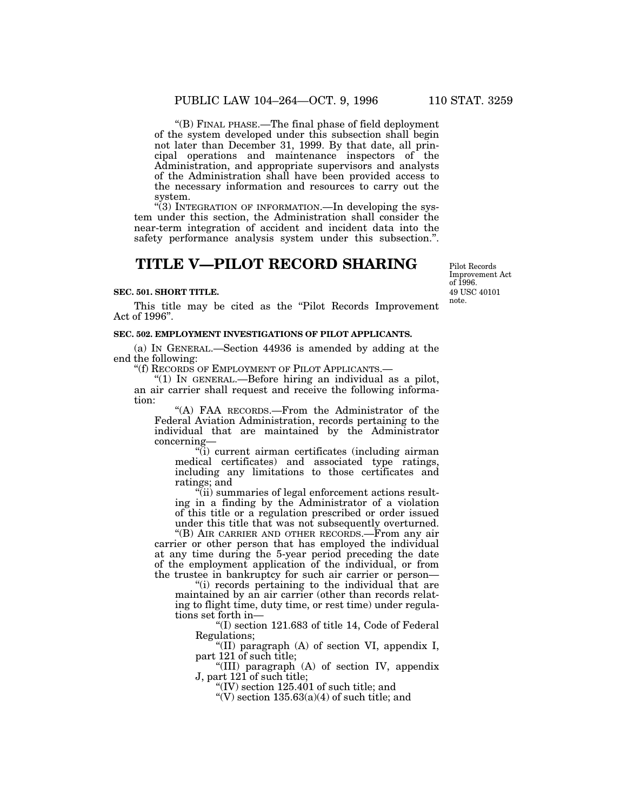''(B) FINAL PHASE.—The final phase of field deployment of the system developed under this subsection shall begin not later than December 31, 1999. By that date, all principal operations and maintenance inspectors of the Administration, and appropriate supervisors and analysts of the Administration shall have been provided access to the necessary information and resources to carry out the system.

''(3) INTEGRATION OF INFORMATION.—In developing the system under this section, the Administration shall consider the near-term integration of accident and incident data into the safety performance analysis system under this subsection.''.

# **TITLE V—PILOT RECORD SHARING**

#### **SEC. 501. SHORT TITLE.**

This title may be cited as the "Pilot Records Improvement" Act of 1996''.

#### **SEC. 502. EMPLOYMENT INVESTIGATIONS OF PILOT APPLICANTS.**

(a) IN GENERAL.—Section 44936 is amended by adding at the end the following:

''(f) RECORDS OF EMPLOYMENT OF PILOT APPLICANTS.—

"(1) IN GENERAL.—Before hiring an individual as a pilot, an air carrier shall request and receive the following information:

''(A) FAA RECORDS.—From the Administrator of the Federal Aviation Administration, records pertaining to the individual that are maintained by the Administrator concerning—

''(i) current airman certificates (including airman medical certificates) and associated type ratings, including any limitations to those certificates and ratings; and

''(ii) summaries of legal enforcement actions resulting in a finding by the Administrator of a violation of this title or a regulation prescribed or order issued under this title that was not subsequently overturned.

''(B) AIR CARRIER AND OTHER RECORDS.—From any air carrier or other person that has employed the individual at any time during the 5-year period preceding the date of the employment application of the individual, or from the trustee in bankruptcy for such air carrier or person—

''(i) records pertaining to the individual that are maintained by an air carrier (other than records relating to flight time, duty time, or rest time) under regulations set forth in—

''(I) section 121.683 of title 14, Code of Federal Regulations;

''(II) paragraph (A) of section VI, appendix I, part 121 of such title;

''(III) paragraph (A) of section IV, appendix J, part 121 of such title;

"(IV) section  $125.401$  of such title; and

"(V) section  $135.63(a)(4)$  of such title; and

49 USC 40101 note. Pilot Records Improvement Act of 1996.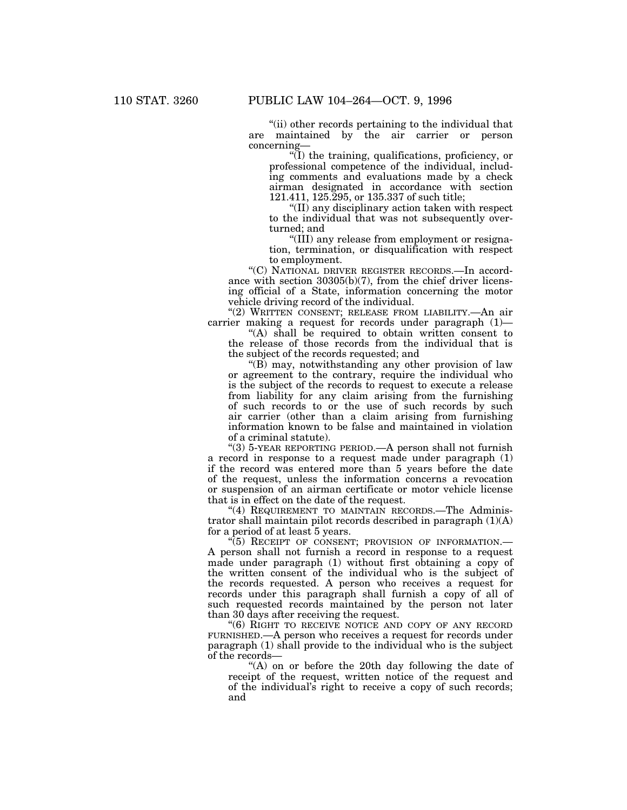''(ii) other records pertaining to the individual that are maintained by the air carrier or person concerning—

''(I) the training, qualifications, proficiency, or professional competence of the individual, including comments and evaluations made by a check airman designated in accordance with section 121.411, 125.295, or 135.337 of such title;

''(II) any disciplinary action taken with respect to the individual that was not subsequently overturned; and

''(III) any release from employment or resignation, termination, or disqualification with respect to employment.

''(C) NATIONAL DRIVER REGISTER RECORDS.—In accordance with section 30305(b)(7), from the chief driver licensing official of a State, information concerning the motor vehicle driving record of the individual.

"(2) WRITTEN CONSENT; RELEASE FROM LIABILITY. - An air carrier making a request for records under paragraph (1)—

"(A) shall be required to obtain written consent to the release of those records from the individual that is the subject of the records requested; and

 $\mathrm{H}(B)$  may, notwithstanding any other provision of law or agreement to the contrary, require the individual who is the subject of the records to request to execute a release from liability for any claim arising from the furnishing of such records to or the use of such records by such air carrier (other than a claim arising from furnishing information known to be false and maintained in violation of a criminal statute).

''(3) 5-YEAR REPORTING PERIOD.—A person shall not furnish a record in response to a request made under paragraph (1) if the record was entered more than 5 years before the date of the request, unless the information concerns a revocation or suspension of an airman certificate or motor vehicle license that is in effect on the date of the request.

"(4) REQUIREMENT TO MAINTAIN RECORDS.—The Administrator shall maintain pilot records described in paragraph  $(1)(A)$ for a period of at least 5 years.

"(5) RECEIPT OF CONSENT; PROVISION OF INFORMATION.-A person shall not furnish a record in response to a request made under paragraph (1) without first obtaining a copy of the written consent of the individual who is the subject of the records requested. A person who receives a request for records under this paragraph shall furnish a copy of all of such requested records maintained by the person not later than 30 days after receiving the request.

''(6) RIGHT TO RECEIVE NOTICE AND COPY OF ANY RECORD FURNISHED.—A person who receives a request for records under paragraph (1) shall provide to the individual who is the subject of the records—

''(A) on or before the 20th day following the date of receipt of the request, written notice of the request and of the individual's right to receive a copy of such records; and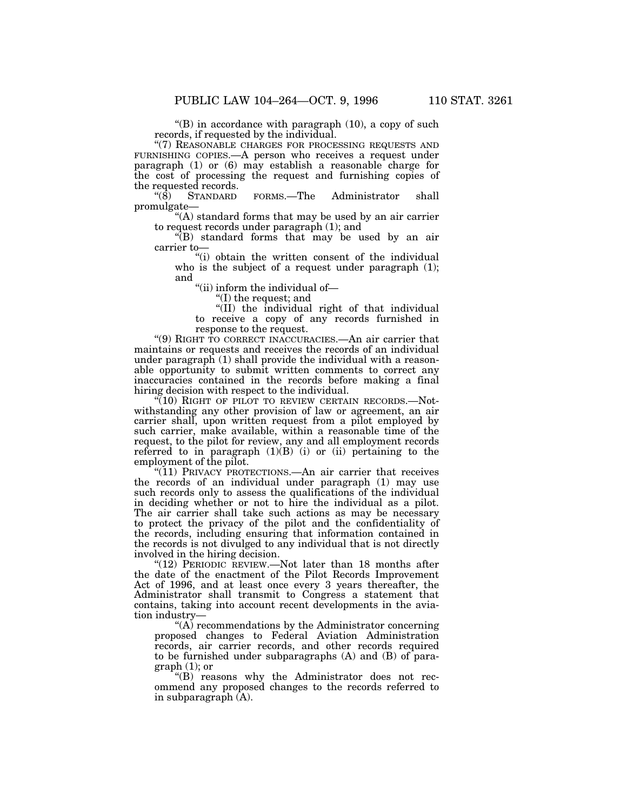" $(B)$  in accordance with paragraph  $(10)$ , a copy of such records, if requested by the individual.

''(7) REASONABLE CHARGES FOR PROCESSING REQUESTS AND FURNISHING COPIES.—A person who receives a request under paragraph (1) or (6) may establish a reasonable charge for the cost of processing the request and furnishing copies of the requested records.<br>
"(8) STANDARD

FORMS.—The Administrator shall promulgate—

"(A) standard forms that may be used by an air carrier to request records under paragraph (1); and

''(B) standard forms that may be used by an air carrier to—

"(i) obtain the written consent of the individual who is the subject of a request under paragraph (1); and

''(ii) inform the individual of—

''(I) the request; and

''(II) the individual right of that individual to receive a copy of any records furnished in response to the request.

''(9) RIGHT TO CORRECT INACCURACIES.—An air carrier that maintains or requests and receives the records of an individual under paragraph (1) shall provide the individual with a reasonable opportunity to submit written comments to correct any inaccuracies contained in the records before making a final hiring decision with respect to the individual.

"(10) RIGHT OF PILOT TO REVIEW CERTAIN RECORDS.—Notwithstanding any other provision of law or agreement, an air carrier shall, upon written request from a pilot employed by such carrier, make available, within a reasonable time of the request, to the pilot for review, any and all employment records referred to in paragraph  $(1)(B)$  (i) or (ii) pertaining to the employment of the pilot.

"(11) PRIVACY PROTECTIONS.—An air carrier that receives the records of an individual under paragraph (1) may use such records only to assess the qualifications of the individual in deciding whether or not to hire the individual as a pilot. The air carrier shall take such actions as may be necessary to protect the privacy of the pilot and the confidentiality of the records, including ensuring that information contained in the records is not divulged to any individual that is not directly involved in the hiring decision.

"(12) PERIODIC REVIEW.—Not later than 18 months after the date of the enactment of the Pilot Records Improvement Act of 1996, and at least once every 3 years thereafter, the Administrator shall transmit to Congress a statement that contains, taking into account recent developments in the aviation industry—

"(A) recommendations by the Administrator concerning proposed changes to Federal Aviation Administration records, air carrier records, and other records required to be furnished under subparagraphs (A) and (B) of para $graph(1);$  or

''(B) reasons why the Administrator does not recommend any proposed changes to the records referred to in subparagraph (A).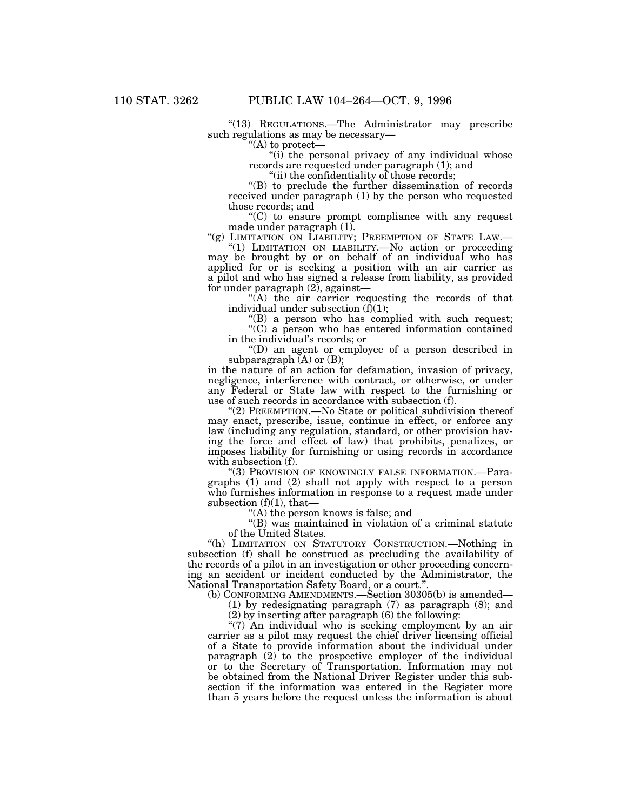"(13) REGULATIONS.—The Administrator may prescribe such regulations as may be necessary—

''(A) to protect—

"(i) the personal privacy of any individual whose records are requested under paragraph (1); and

''(ii) the confidentiality of those records;

''(B) to preclude the further dissemination of records received under paragraph (1) by the person who requested those records; and

''(C) to ensure prompt compliance with any request made under paragraph (1).

"(g) LIMITATION ON LIABILITY; PREEMPTION OF STATE LAW.-

"(1) LIMITATION ON LIABILITY.—No action or proceeding may be brought by or on behalf of an individual who has applied for or is seeking a position with an air carrier as a pilot and who has signed a release from liability, as provided for under paragraph  $(2)$ , against-

"(A) the air carrier requesting the records of that individual under subsection  $(f)(1)$ ;

 $f(B)$  a person who has complied with such request;

"(C) a person who has entered information contained in the individual's records; or

''(D) an agent or employee of a person described in subparagraph  $(A)$  or  $(B)$ ;

in the nature of an action for defamation, invasion of privacy, negligence, interference with contract, or otherwise, or under any Federal or State law with respect to the furnishing or use of such records in accordance with subsection (f).

''(2) PREEMPTION.—No State or political subdivision thereof may enact, prescribe, issue, continue in effect, or enforce any law (including any regulation, standard, or other provision having the force and effect of law) that prohibits, penalizes, or imposes liability for furnishing or using records in accordance with subsection (f).

"(3) PROVISION OF KNOWINGLY FALSE INFORMATION.—Paragraphs (1) and (2) shall not apply with respect to a person who furnishes information in response to a request made under subsection  $(f)(1)$ , that-

 $(A)$  the person knows is false; and

''(B) was maintained in violation of a criminal statute of the United States.

''(h) LIMITATION ON STATUTORY CONSTRUCTION.—Nothing in subsection (f) shall be construed as precluding the availability of the records of a pilot in an investigation or other proceeding concerning an accident or incident conducted by the Administrator, the National Transportation Safety Board, or a court.''.

(b) CONFORMING AMENDMENTS.—Section 30305(b) is amended—

(1) by redesignating paragraph (7) as paragraph (8); and

(2) by inserting after paragraph (6) the following:

"(7) An individual who is seeking employment by an air carrier as a pilot may request the chief driver licensing official of a State to provide information about the individual under paragraph (2) to the prospective employer of the individual or to the Secretary of Transportation. Information may not be obtained from the National Driver Register under this subsection if the information was entered in the Register more than 5 years before the request unless the information is about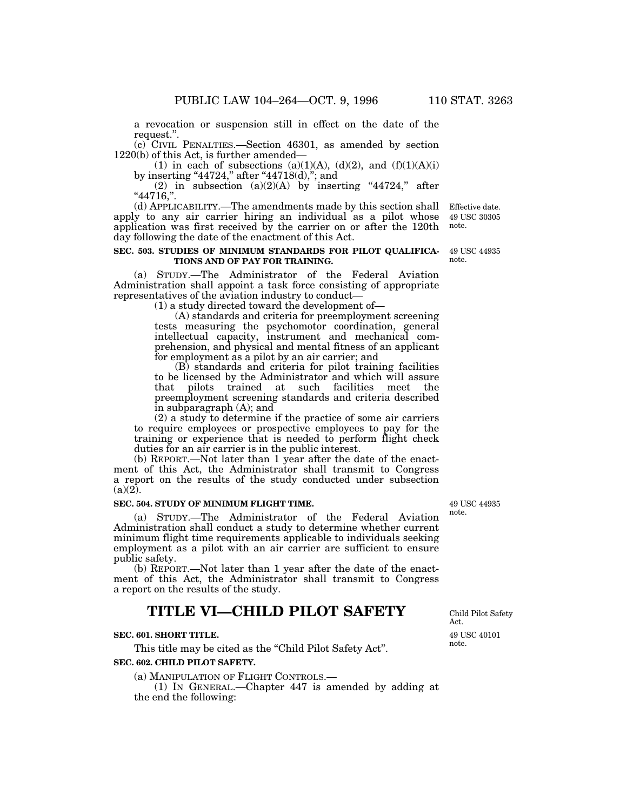a revocation or suspension still in effect on the date of the request.''.

(c) CIVIL PENALTIES.—Section 46301, as amended by section 1220(b) of this Act, is further amended—

(1) in each of subsections (a)(1)(A), (d)(2), and  $(f)(1)(A)(i)$ by inserting "44724," after "44718(d),"; and

(2) in subsection  $(a)(2)(A)$  by inserting "44724," after ''44716,''.

(d) APPLICABILITY.—The amendments made by this section shall Effective date.apply to any air carrier hiring an individual as a pilot whose application was first received by the carrier on or after the 120th day following the date of the enactment of this Act.

#### **SEC. 503. STUDIES OF MINIMUM STANDARDS FOR PILOT QUALIFICA-**49 USC 44935 **TIONS AND OF PAY FOR TRAINING.**

(a) STUDY.—The Administrator of the Federal Aviation Administration shall appoint a task force consisting of appropriate representatives of the aviation industry to conduct—

(1) a study directed toward the development of—

(A) standards and criteria for preemployment screening tests measuring the psychomotor coordination, general intellectual capacity, instrument and mechanical comprehension, and physical and mental fitness of an applicant for employment as a pilot by an air carrier; and

(B) standards and criteria for pilot training facilities to be licensed by the Administrator and which will assure that pilots trained at such facilities meet the preemployment screening standards and criteria described in subparagraph (A); and

(2) a study to determine if the practice of some air carriers to require employees or prospective employees to pay for the training or experience that is needed to perform flight check duties for an air carrier is in the public interest.

(b) REPORT.—Not later than 1 year after the date of the enactment of this Act, the Administrator shall transmit to Congress a report on the results of the study conducted under subsection  $(a)(2)$ .

### **SEC. 504. STUDY OF MINIMUM FLIGHT TIME.**

(a) STUDY.—The Administrator of the Federal Aviation Administration shall conduct a study to determine whether current minimum flight time requirements applicable to individuals seeking employment as a pilot with an air carrier are sufficient to ensure public safety.

(b) REPORT.—Not later than 1 year after the date of the enactment of this Act, the Administrator shall transmit to Congress a report on the results of the study.

# **TITLE VI—CHILD PILOT SAFETY**

## **SEC. 601. SHORT TITLE.**

This title may be cited as the "Child Pilot Safety Act". **SEC. 602. CHILD PILOT SAFETY.**

(a) MANIPULATION OF FLIGHT CONTROLS.—

(1) IN GENERAL.—Chapter 447 is amended by adding at the end the following:

Child Pilot Safety Act.

49 USC 40101 note.

49 USC 44935 note.

note.

49 USC 30305 note.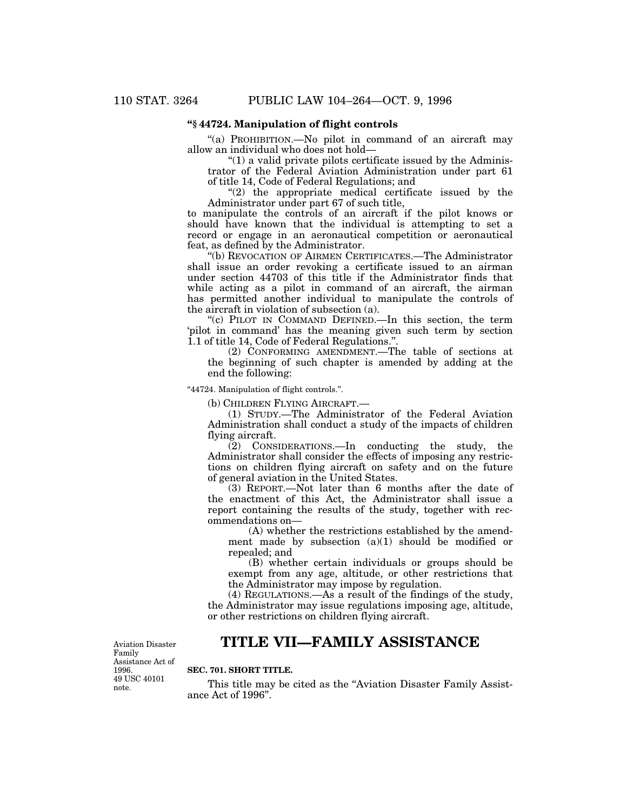# **''§ 44724. Manipulation of flight controls**

"(a) PROHIBITION.—No pilot in command of an aircraft may allow an individual who does not hold—

 $''(1)$  a valid private pilots certificate issued by the Administrator of the Federal Aviation Administration under part 61 of title 14, Code of Federal Regulations; and

 $''(2)$  the appropriate medical certificate issued by the Administrator under part 67 of such title,

to manipulate the controls of an aircraft if the pilot knows or should have known that the individual is attempting to set a record or engage in an aeronautical competition or aeronautical feat, as defined by the Administrator.

''(b) REVOCATION OF AIRMEN CERTIFICATES.—The Administrator shall issue an order revoking a certificate issued to an airman under section 44703 of this title if the Administrator finds that while acting as a pilot in command of an aircraft, the airman has permitted another individual to manipulate the controls of the aircraft in violation of subsection (a).

''(c) PILOT IN COMMAND DEFINED.—In this section, the term 'pilot in command' has the meaning given such term by section 1.1 of title 14, Code of Federal Regulations.''.

(2) CONFORMING AMENDMENT.—The table of sections at the beginning of such chapter is amended by adding at the end the following:

''44724. Manipulation of flight controls.''.

(b) CHILDREN FLYING AIRCRAFT.—

(1) STUDY.—The Administrator of the Federal Aviation Administration shall conduct a study of the impacts of children flying aircraft.

(2) CONSIDERATIONS.—In conducting the study, the Administrator shall consider the effects of imposing any restrictions on children flying aircraft on safety and on the future of general aviation in the United States.

(3) REPORT.—Not later than 6 months after the date of the enactment of this Act, the Administrator shall issue a report containing the results of the study, together with recommendations on—

(A) whether the restrictions established by the amendment made by subsection  $(a)(1)$  should be modified or repealed; and

(B) whether certain individuals or groups should be exempt from any age, altitude, or other restrictions that the Administrator may impose by regulation.

(4) REGULATIONS.—As a result of the findings of the study, the Administrator may issue regulations imposing age, altitude, or other restrictions on children flying aircraft.

#### Aviation Disaster Family Assistance Act of 1996. 49 USC 40101 note.

# **TITLE VII—FAMILY ASSISTANCE**

# **SEC. 701. SHORT TITLE.**

This title may be cited as the "Aviation Disaster Family Assistance Act of 1996''.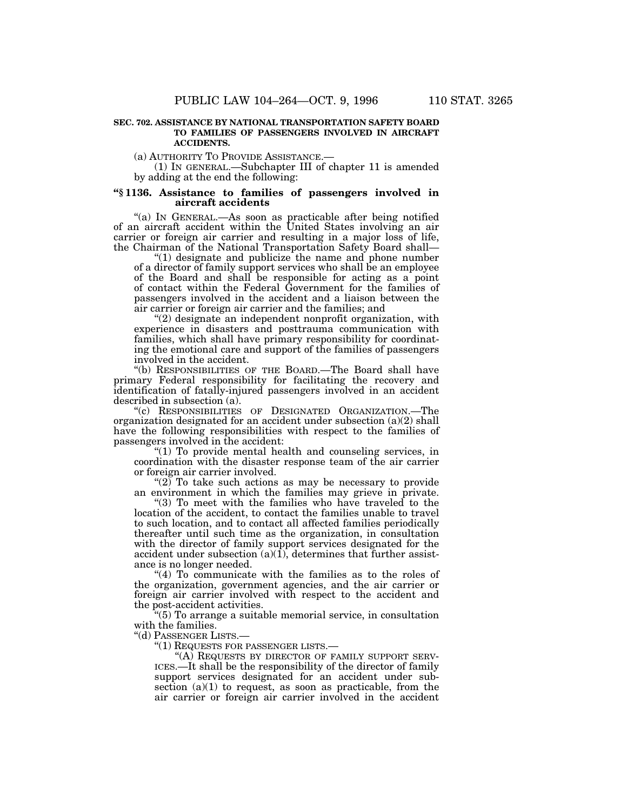#### **SEC. 702. ASSISTANCE BY NATIONAL TRANSPORTATION SAFETY BOARD TO FAMILIES OF PASSENGERS INVOLVED IN AIRCRAFT ACCIDENTS.**

(a) AUTHORITY TO PROVIDE ASSISTANCE.— (1) IN GENERAL.—Subchapter III of chapter 11 is amended by adding at the end the following:

#### **''§ 1136. Assistance to families of passengers involved in aircraft accidents**

''(a) IN GENERAL.—As soon as practicable after being notified of an aircraft accident within the United States involving an air carrier or foreign air carrier and resulting in a major loss of life, the Chairman of the National Transportation Safety Board shall—

" $(1)$  designate and publicize the name and phone number of a director of family support services who shall be an employee of the Board and shall be responsible for acting as a point of contact within the Federal Government for the families of passengers involved in the accident and a liaison between the air carrier or foreign air carrier and the families; and

 $(2)$  designate an independent nonprofit organization, with experience in disasters and posttrauma communication with families, which shall have primary responsibility for coordinating the emotional care and support of the families of passengers involved in the accident.

''(b) RESPONSIBILITIES OF THE BOARD.—The Board shall have primary Federal responsibility for facilitating the recovery and identification of fatally-injured passengers involved in an accident described in subsection (a).

''(c) RESPONSIBILITIES OF DESIGNATED ORGANIZATION.—The organization designated for an accident under subsection (a)(2) shall have the following responsibilities with respect to the families of passengers involved in the accident:

" $(1)$  To provide mental health and counseling services, in coordination with the disaster response team of the air carrier or foreign air carrier involved.

" $(2)$  To take such actions as may be necessary to provide an environment in which the families may grieve in private.

''(3) To meet with the families who have traveled to the location of the accident, to contact the families unable to travel to such location, and to contact all affected families periodically thereafter until such time as the organization, in consultation with the director of family support services designated for the accident under subsection  $(a)(1)$ , determines that further assistance is no longer needed.

''(4) To communicate with the families as to the roles of the organization, government agencies, and the air carrier or foreign air carrier involved with respect to the accident and the post-accident activities.

 $(5)$  To arrange a suitable memorial service, in consultation with the families.

''(d) PASSENGER LISTS.—

''(1) REQUESTS FOR PASSENGER LISTS.—

"(A) REQUESTS BY DIRECTOR OF FAMILY SUPPORT SERV-ICES.—It shall be the responsibility of the director of family support services designated for an accident under subsection  $(a)(1)$  to request, as soon as practicable, from the air carrier or foreign air carrier involved in the accident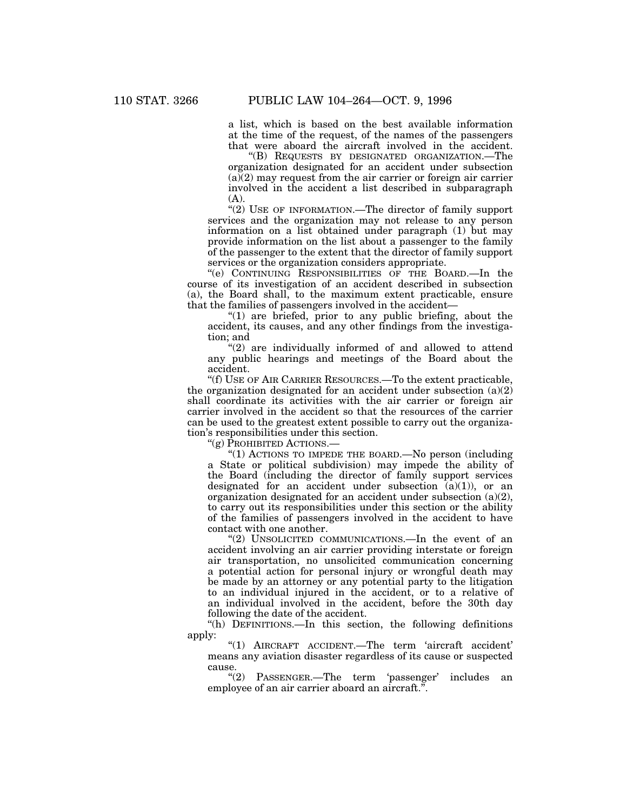a list, which is based on the best available information at the time of the request, of the names of the passengers that were aboard the aircraft involved in the accident.

''(B) REQUESTS BY DESIGNATED ORGANIZATION.—The organization designated for an accident under subsection  $(a)(2)$  may request from the air carrier or foreign air carrier involved in the accident a list described in subparagraph (A).

"(2) USE OF INFORMATION.—The director of family support services and the organization may not release to any person information on a list obtained under paragraph (1) but may provide information on the list about a passenger to the family of the passenger to the extent that the director of family support services or the organization considers appropriate.

''(e) CONTINUING RESPONSIBILITIES OF THE BOARD.—In the course of its investigation of an accident described in subsection (a), the Board shall, to the maximum extent practicable, ensure that the families of passengers involved in the accident—

" $(1)$  are briefed, prior to any public briefing, about the accident, its causes, and any other findings from the investigation; and

"(2) are individually informed of and allowed to attend any public hearings and meetings of the Board about the accident.

''(f) USE OF AIR CARRIER RESOURCES.—To the extent practicable, the organization designated for an accident under subsection  $(a)(2)$ shall coordinate its activities with the air carrier or foreign air carrier involved in the accident so that the resources of the carrier can be used to the greatest extent possible to carry out the organization's responsibilities under this section.

''(g) PROHIBITED ACTIONS.—

''(1) ACTIONS TO IMPEDE THE BOARD.—No person (including a State or political subdivision) may impede the ability of the Board (including the director of family support services designated for an accident under subsection  $(a)(1)$ , or an organization designated for an accident under subsection (a)(2), to carry out its responsibilities under this section or the ability of the families of passengers involved in the accident to have contact with one another.

"(2) UNSOLICITED COMMUNICATIONS.—In the event of an accident involving an air carrier providing interstate or foreign air transportation, no unsolicited communication concerning a potential action for personal injury or wrongful death may be made by an attorney or any potential party to the litigation to an individual injured in the accident, or to a relative of an individual involved in the accident, before the 30th day following the date of the accident.

"(h) DEFINITIONS.—In this section, the following definitions apply:

''(1) AIRCRAFT ACCIDENT.—The term 'aircraft accident' means any aviation disaster regardless of its cause or suspected cause.

"(2) PASSENGER.—The term 'passenger' includes an employee of an air carrier aboard an aircraft.''.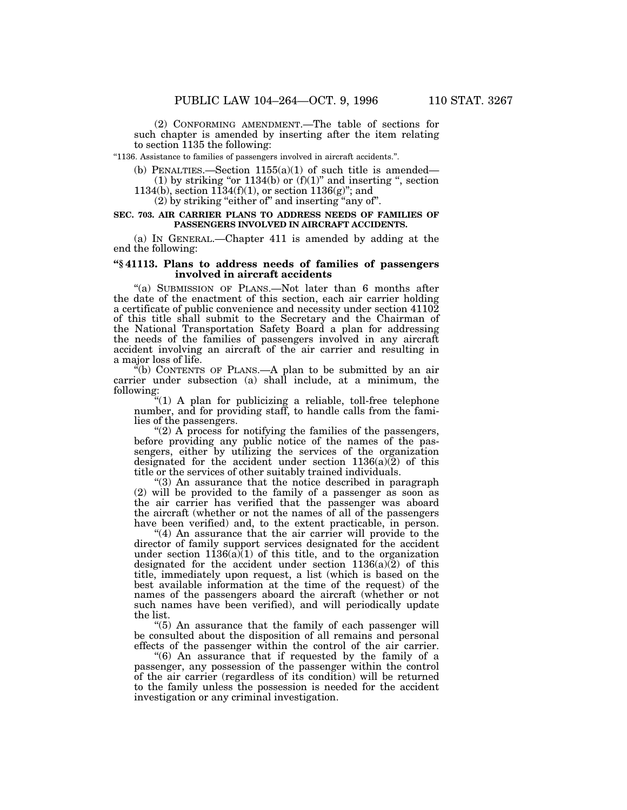(2) CONFORMING AMENDMENT.—The table of sections for such chapter is amended by inserting after the item relating to section 1135 the following:

''1136. Assistance to families of passengers involved in aircraft accidents.''.

(b) PENALTIES.—Section  $1155(a)(1)$  of such title is amended— (1) by striking "or  $1134(b)$  or  $(f)(1)$ " and inserting ", section

1134(b), section  $1134(f)(1)$ , or section  $1136(g)$ "; and

(2) by striking ''either of'' and inserting ''any of''.

#### **SEC. 703. AIR CARRIER PLANS TO ADDRESS NEEDS OF FAMILIES OF PASSENGERS INVOLVED IN AIRCRAFT ACCIDENTS.**

(a) IN GENERAL.—Chapter 411 is amended by adding at the end the following:

# **''§ 41113. Plans to address needs of families of passengers involved in aircraft accidents**

''(a) SUBMISSION OF PLANS.—Not later than 6 months after the date of the enactment of this section, each air carrier holding a certificate of public convenience and necessity under section 41102 of this title shall submit to the Secretary and the Chairman of the National Transportation Safety Board a plan for addressing the needs of the families of passengers involved in any aircraft accident involving an aircraft of the air carrier and resulting in a major loss of life.

 $E$ <sup>"(b)</sup> CONTENTS OF PLANS.—A plan to be submitted by an air carrier under subsection (a) shall include, at a minimum, the following:

"(1) A plan for publicizing a reliable, toll-free telephone number, and for providing staff, to handle calls from the families of the passengers.

"(2) A process for notifying the families of the passengers, before providing any public notice of the names of the passengers, either by utilizing the services of the organization designated for the accident under section  $1136(a)(2)$  of this title or the services of other suitably trained individuals.

''(3) An assurance that the notice described in paragraph (2) will be provided to the family of a passenger as soon as the air carrier has verified that the passenger was aboard the aircraft (whether or not the names of all of the passengers have been verified) and, to the extent practicable, in person.

" $(4)$  An assurance that the air carrier will provide to the director of family support services designated for the accident under section  $1136(a)(1)$  of this title, and to the organization designated for the accident under section  $1136(a)(2)$  of this title, immediately upon request, a list (which is based on the best available information at the time of the request) of the names of the passengers aboard the aircraft (whether or not such names have been verified), and will periodically update the list.

''(5) An assurance that the family of each passenger will be consulted about the disposition of all remains and personal effects of the passenger within the control of the air carrier.

''(6) An assurance that if requested by the family of a passenger, any possession of the passenger within the control of the air carrier (regardless of its condition) will be returned to the family unless the possession is needed for the accident investigation or any criminal investigation.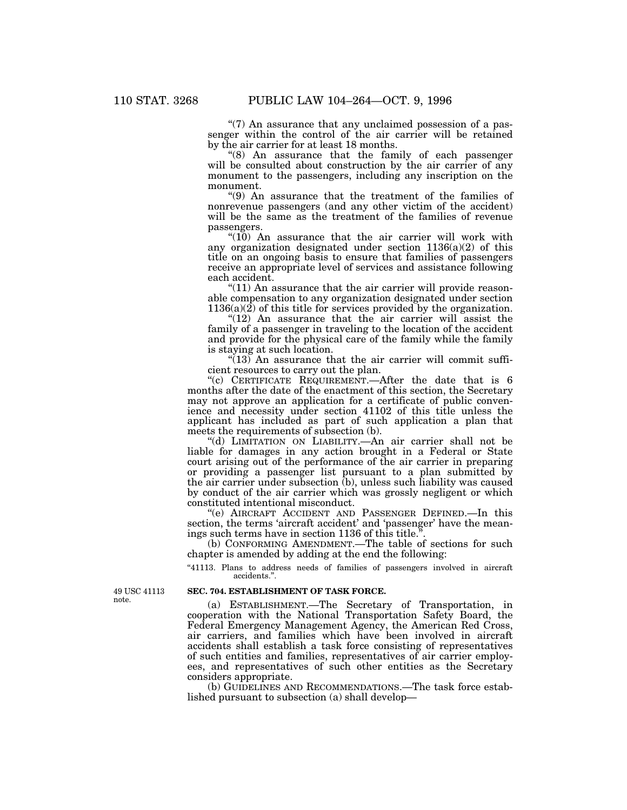"(7) An assurance that any unclaimed possession of a passenger within the control of the air carrier will be retained by the air carrier for at least 18 months.

(8) An assurance that the family of each passenger will be consulted about construction by the air carrier of any monument to the passengers, including any inscription on the monument.

''(9) An assurance that the treatment of the families of nonrevenue passengers (and any other victim of the accident) will be the same as the treatment of the families of revenue passengers.

" $(10)$  An assurance that the air carrier will work with any organization designated under section 1136(a)(2) of this title on an ongoing basis to ensure that families of passengers receive an appropriate level of services and assistance following each accident.

 $(11)$  An assurance that the air carrier will provide reasonable compensation to any organization designated under section  $1136(a)(2)$  of this title for services provided by the organization.

" $(12)$  An assurance that the air carrier will assist the family of a passenger in traveling to the location of the accident and provide for the physical care of the family while the family is staying at such location.

 $\sqrt{13}$  An assurance that the air carrier will commit sufficient resources to carry out the plan.

"(c) CERTIFICATE REQUIREMENT.—After the date that is 6 months after the date of the enactment of this section, the Secretary may not approve an application for a certificate of public convenience and necessity under section 41102 of this title unless the applicant has included as part of such application a plan that meets the requirements of subsection (b).

''(d) LIMITATION ON LIABILITY.—An air carrier shall not be liable for damages in any action brought in a Federal or State court arising out of the performance of the air carrier in preparing or providing a passenger list pursuant to a plan submitted by the air carrier under subsection (b), unless such liability was caused by conduct of the air carrier which was grossly negligent or which constituted intentional misconduct.

''(e) AIRCRAFT ACCIDENT AND PASSENGER DEFINED.—In this section, the terms 'aircraft accident' and 'passenger' have the meanings such terms have in section 1136 of this title.

(b) CONFORMING AMENDMENT.—The table of sections for such chapter is amended by adding at the end the following:

''41113. Plans to address needs of families of passengers involved in aircraft accidents.''.

#### **SEC. 704. ESTABLISHMENT OF TASK FORCE.**

(a) ESTABLISHMENT.—The Secretary of Transportation, in cooperation with the National Transportation Safety Board, the Federal Emergency Management Agency, the American Red Cross, air carriers, and families which have been involved in aircraft accidents shall establish a task force consisting of representatives of such entities and families, representatives of air carrier employees, and representatives of such other entities as the Secretary considers appropriate.

(b) GUIDELINES AND RECOMMENDATIONS.—The task force established pursuant to subsection (a) shall develop—

49 USC 41113 note.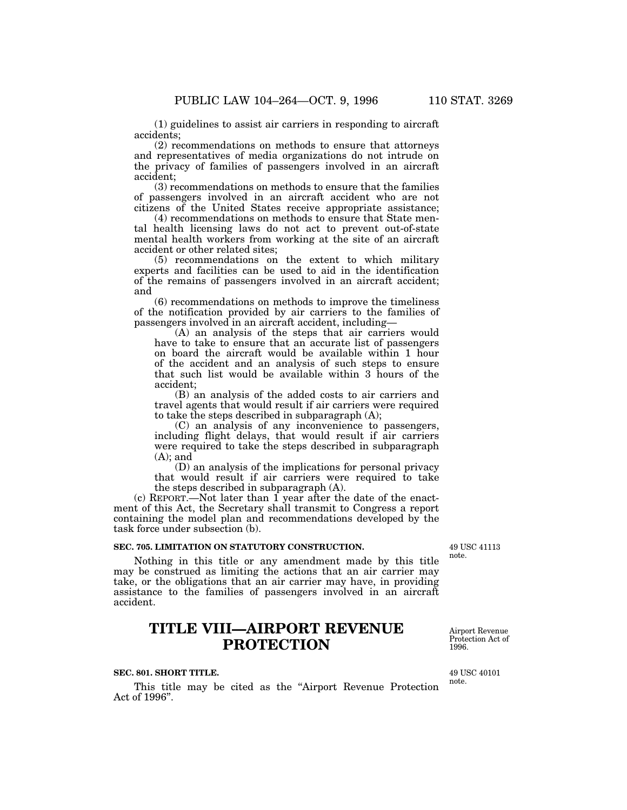(1) guidelines to assist air carriers in responding to aircraft accidents;

(2) recommendations on methods to ensure that attorneys and representatives of media organizations do not intrude on the privacy of families of passengers involved in an aircraft accident;

(3) recommendations on methods to ensure that the families of passengers involved in an aircraft accident who are not citizens of the United States receive appropriate assistance;

(4) recommendations on methods to ensure that State mental health licensing laws do not act to prevent out-of-state mental health workers from working at the site of an aircraft accident or other related sites;

(5) recommendations on the extent to which military experts and facilities can be used to aid in the identification of the remains of passengers involved in an aircraft accident; and

(6) recommendations on methods to improve the timeliness of the notification provided by air carriers to the families of passengers involved in an aircraft accident, including—

(A) an analysis of the steps that air carriers would have to take to ensure that an accurate list of passengers on board the aircraft would be available within 1 hour of the accident and an analysis of such steps to ensure that such list would be available within 3 hours of the accident;

(B) an analysis of the added costs to air carriers and travel agents that would result if air carriers were required to take the steps described in subparagraph (A);

(C) an analysis of any inconvenience to passengers, including flight delays, that would result if air carriers were required to take the steps described in subparagraph  $(A)$ ; and

(D) an analysis of the implications for personal privacy that would result if air carriers were required to take the steps described in subparagraph (A).

(c) REPORT.—Not later than 1 year after the date of the enactment of this Act, the Secretary shall transmit to Congress a report containing the model plan and recommendations developed by the task force under subsection (b).

## **SEC. 705. LIMITATION ON STATUTORY CONSTRUCTION.**

Nothing in this title or any amendment made by this title may be construed as limiting the actions that an air carrier may take, or the obligations that an air carrier may have, in providing assistance to the families of passengers involved in an aircraft accident.

# **TITLE VIII—AIRPORT REVENUE PROTECTION**

#### **SEC. 801. SHORT TITLE.**

This title may be cited as the ''Airport Revenue Protection Act of 1996''.

49 USC 41113 note.

49 USC 40101

Airport Revenue Protection Act of

note.

1996.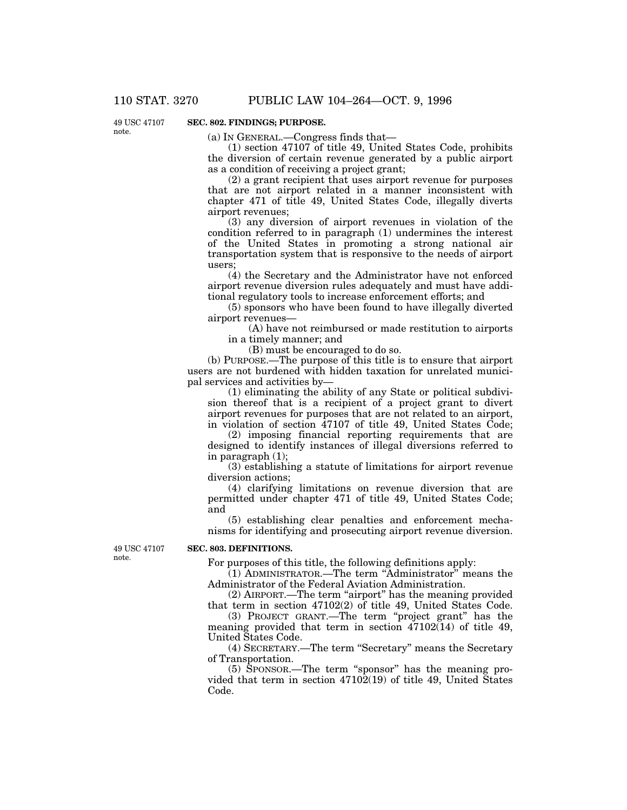49 USC 47107 note.

# **SEC. 802. FINDINGS; PURPOSE.**

(a) IN GENERAL.—Congress finds that—

(1) section 47107 of title 49, United States Code, prohibits the diversion of certain revenue generated by a public airport as a condition of receiving a project grant;

(2) a grant recipient that uses airport revenue for purposes that are not airport related in a manner inconsistent with chapter 471 of title 49, United States Code, illegally diverts airport revenues;

(3) any diversion of airport revenues in violation of the condition referred to in paragraph (1) undermines the interest of the United States in promoting a strong national air transportation system that is responsive to the needs of airport users;

(4) the Secretary and the Administrator have not enforced airport revenue diversion rules adequately and must have additional regulatory tools to increase enforcement efforts; and

(5) sponsors who have been found to have illegally diverted airport revenues—

(A) have not reimbursed or made restitution to airports in a timely manner; and

(B) must be encouraged to do so.

(b) PURPOSE.—The purpose of this title is to ensure that airport users are not burdened with hidden taxation for unrelated municipal services and activities by—

(1) eliminating the ability of any State or political subdivision thereof that is a recipient of a project grant to divert airport revenues for purposes that are not related to an airport, in violation of section 47107 of title 49, United States Code;

(2) imposing financial reporting requirements that are designed to identify instances of illegal diversions referred to in paragraph (1);

(3) establishing a statute of limitations for airport revenue diversion actions;

(4) clarifying limitations on revenue diversion that are permitted under chapter 471 of title 49, United States Code; and

(5) establishing clear penalties and enforcement mechanisms for identifying and prosecuting airport revenue diversion.

49 USC 47107 note.

#### **SEC. 803. DEFINITIONS.**

For purposes of this title, the following definitions apply:

(1) ADMINISTRATOR.—The term ''Administrator'' means the Administrator of the Federal Aviation Administration.

(2) AIRPORT.—The term ''airport'' has the meaning provided that term in section 47102(2) of title 49, United States Code.

(3) PROJECT GRANT.—The term ''project grant'' has the meaning provided that term in section 47102(14) of title 49, United States Code.

(4) SECRETARY.—The term ''Secretary'' means the Secretary of Transportation.

(5) SPONSOR.—The term ''sponsor'' has the meaning provided that term in section  $47102(19)$  of title 49, United States Code.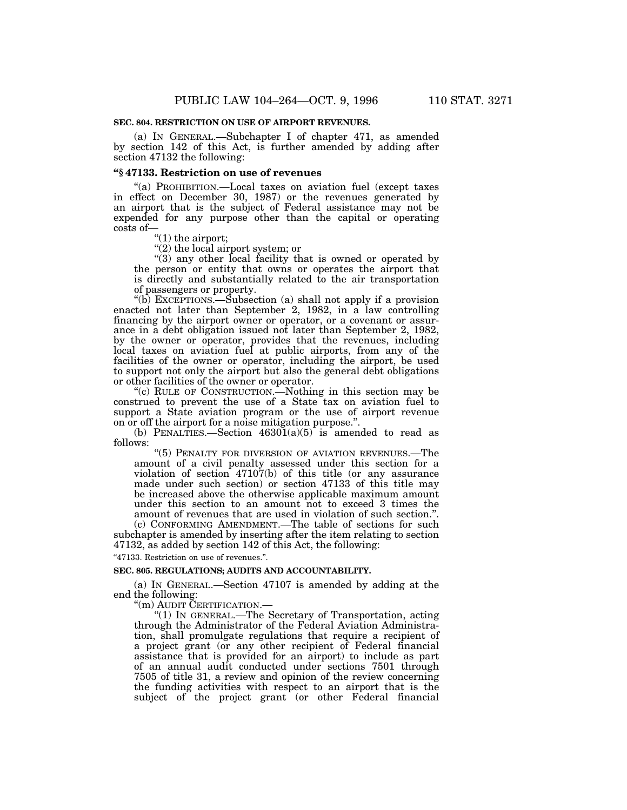#### **SEC. 804. RESTRICTION ON USE OF AIRPORT REVENUES.**

(a) IN GENERAL.—Subchapter I of chapter 471, as amended by section 142 of this Act, is further amended by adding after section 47132 the following:

## **''§ 47133. Restriction on use of revenues**

''(a) PROHIBITION.—Local taxes on aviation fuel (except taxes in effect on December 30, 1987) or the revenues generated by an airport that is the subject of Federal assistance may not be expended for any purpose other than the capital or operating costs of—

''(1) the airport;

 $(2)$  the local airport system; or

 $(3)$  any other local facility that is owned or operated by the person or entity that owns or operates the airport that is directly and substantially related to the air transportation of passengers or property.

''(b) EXCEPTIONS.—Subsection (a) shall not apply if a provision enacted not later than September 2, 1982, in a law controlling financing by the airport owner or operator, or a covenant or assurance in a debt obligation issued not later than September 2, 1982, by the owner or operator, provides that the revenues, including local taxes on aviation fuel at public airports, from any of the facilities of the owner or operator, including the airport, be used to support not only the airport but also the general debt obligations or other facilities of the owner or operator.

''(c) RULE OF CONSTRUCTION.—Nothing in this section may be construed to prevent the use of a State tax on aviation fuel to support a State aviation program or the use of airport revenue on or off the airport for a noise mitigation purpose.''.

(b) PENALTIES.—Section  $46301(a)(5)$  is amended to read as follows:

"(5) PENALTY FOR DIVERSION OF AVIATION REVENUES.-The amount of a civil penalty assessed under this section for a violation of section  $47107(b)$  of this title (or any assurance made under such section) or section 47133 of this title may be increased above the otherwise applicable maximum amount under this section to an amount not to exceed 3 times the amount of revenues that are used in violation of such section.''.

(c) CONFORMING AMENDMENT.—The table of sections for such subchapter is amended by inserting after the item relating to section 47132, as added by section 142 of this Act, the following:

''47133. Restriction on use of revenues.''.

# **SEC. 805. REGULATIONS; AUDITS AND ACCOUNTABILITY.**

(a) IN GENERAL.—Section 47107 is amended by adding at the end the following:

''(m) AUDIT CERTIFICATION.—

''(1) IN GENERAL.—The Secretary of Transportation, acting through the Administrator of the Federal Aviation Administration, shall promulgate regulations that require a recipient of a project grant (or any other recipient of Federal financial assistance that is provided for an airport) to include as part of an annual audit conducted under sections 7501 through 7505 of title 31, a review and opinion of the review concerning the funding activities with respect to an airport that is the subject of the project grant (or other Federal financial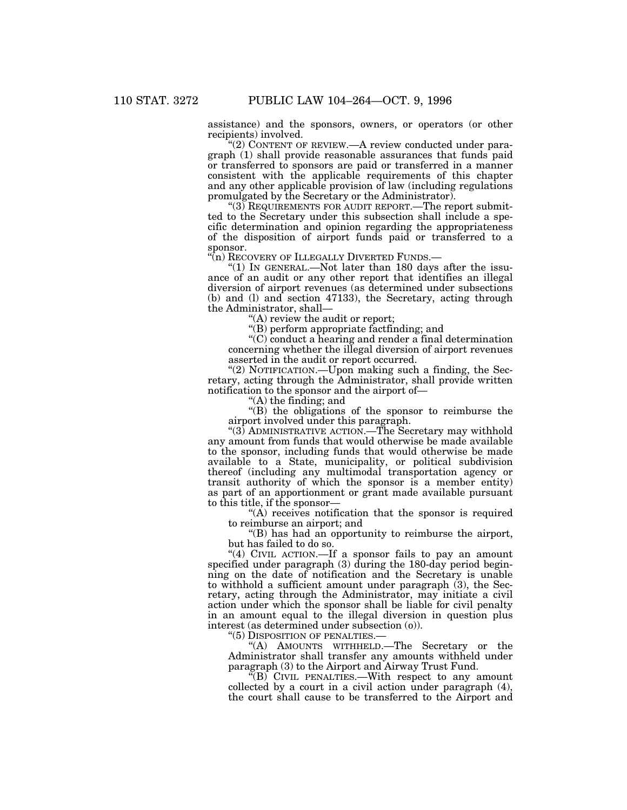assistance) and the sponsors, owners, or operators (or other recipients) involved.

''(2) CONTENT OF REVIEW.—A review conducted under paragraph (1) shall provide reasonable assurances that funds paid or transferred to sponsors are paid or transferred in a manner consistent with the applicable requirements of this chapter and any other applicable provision of law (including regulations promulgated by the Secretary or the Administrator).

"(3) REQUIREMENTS FOR AUDIT REPORT. The report submitted to the Secretary under this subsection shall include a specific determination and opinion regarding the appropriateness of the disposition of airport funds paid or transferred to a sponsor.

"(n) RECOVERY OF ILLEGALLY DIVERTED FUNDS.—

"(1) IN GENERAL.—Not later than 180 days after the issuance of an audit or any other report that identifies an illegal diversion of airport revenues (as determined under subsections (b) and (l) and section 47133), the Secretary, acting through the Administrator, shall—

 $(A)$  review the audit or report;

''(B) perform appropriate factfinding; and

 $(C)$  conduct a hearing and render a final determination concerning whether the illegal diversion of airport revenues asserted in the audit or report occurred.

" $(2)$  NOTIFICATION.—Upon making such a finding, the Secretary, acting through the Administrator, shall provide written notification to the sponsor and the airport of—

''(A) the finding; and

''(B) the obligations of the sponsor to reimburse the airport involved under this paragraph.

''(3) ADMINISTRATIVE ACTION.—The Secretary may withhold any amount from funds that would otherwise be made available to the sponsor, including funds that would otherwise be made available to a State, municipality, or political subdivision thereof (including any multimodal transportation agency or transit authority of which the sponsor is a member entity) as part of an apportionment or grant made available pursuant to this title, if the sponsor—

 $(A)$  receives notification that the sponsor is required to reimburse an airport; and

''(B) has had an opportunity to reimburse the airport, but has failed to do so.

"(4) CIVIL ACTION.—If a sponsor fails to pay an amount specified under paragraph (3) during the 180-day period beginning on the date of notification and the Secretary is unable to withhold a sufficient amount under paragraph (3), the Secretary, acting through the Administrator, may initiate a civil action under which the sponsor shall be liable for civil penalty in an amount equal to the illegal diversion in question plus interest (as determined under subsection (o)).

"(5) DISPOSITION OF PENALTIES.

"(A) AMOUNTS WITHHELD.—The Secretary or the Administrator shall transfer any amounts withheld under paragraph (3) to the Airport and Airway Trust Fund.

 $\sqrt[\infty]{B}$  CIVIL PENALTIES.—With respect to any amount collected by a court in a civil action under paragraph (4), the court shall cause to be transferred to the Airport and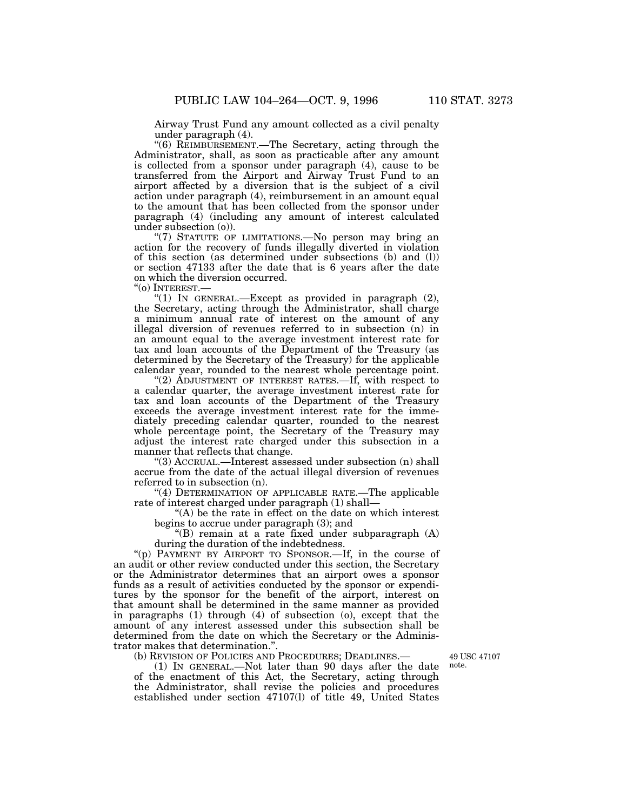Airway Trust Fund any amount collected as a civil penalty under paragraph (4).

''(6) REIMBURSEMENT.—The Secretary, acting through the Administrator, shall, as soon as practicable after any amount is collected from a sponsor under paragraph (4), cause to be transferred from the Airport and Airway Trust Fund to an airport affected by a diversion that is the subject of a civil action under paragraph (4), reimbursement in an amount equal to the amount that has been collected from the sponsor under paragraph (4) (including any amount of interest calculated under subsection (o)).

"(7) STATUTE OF LIMITATIONS.—No person may bring an action for the recovery of funds illegally diverted in violation of this section (as determined under subsections (b) and (l)) or section 47133 after the date that is 6 years after the date on which the diversion occurred.

''(o) INTEREST.—

"(1) IN GENERAL.—Except as provided in paragraph (2), the Secretary, acting through the Administrator, shall charge a minimum annual rate of interest on the amount of any illegal diversion of revenues referred to in subsection (n) in an amount equal to the average investment interest rate for tax and loan accounts of the Department of the Treasury (as determined by the Secretary of the Treasury) for the applicable calendar year, rounded to the nearest whole percentage point.

"(2) ADJUSTMENT OF INTEREST RATES.—If, with respect to a calendar quarter, the average investment interest rate for tax and loan accounts of the Department of the Treasury exceeds the average investment interest rate for the immediately preceding calendar quarter, rounded to the nearest whole percentage point, the Secretary of the Treasury may adjust the interest rate charged under this subsection in a manner that reflects that change.

''(3) ACCRUAL.—Interest assessed under subsection (n) shall accrue from the date of the actual illegal diversion of revenues referred to in subsection (n).

"(4) DETERMINATION OF APPLICABLE RATE.—The applicable rate of interest charged under paragraph (1) shall—

''(A) be the rate in effect on the date on which interest begins to accrue under paragraph (3); and

''(B) remain at a rate fixed under subparagraph (A) during the duration of the indebtedness.

''(p) PAYMENT BY AIRPORT TO SPONSOR.—If, in the course of an audit or other review conducted under this section, the Secretary or the Administrator determines that an airport owes a sponsor funds as a result of activities conducted by the sponsor or expenditures by the sponsor for the benefit of the airport, interest on that amount shall be determined in the same manner as provided in paragraphs (1) through (4) of subsection (o), except that the amount of any interest assessed under this subsection shall be determined from the date on which the Secretary or the Administrator makes that determination.''.

(b) REVISION OF POLICIES AND PROCEDURES; DEADLINES.—

(1) IN GENERAL.—Not later than 90 days after the date of the enactment of this Act, the Secretary, acting through the Administrator, shall revise the policies and procedures established under section 47107(l) of title 49, United States

49 USC 47107 note.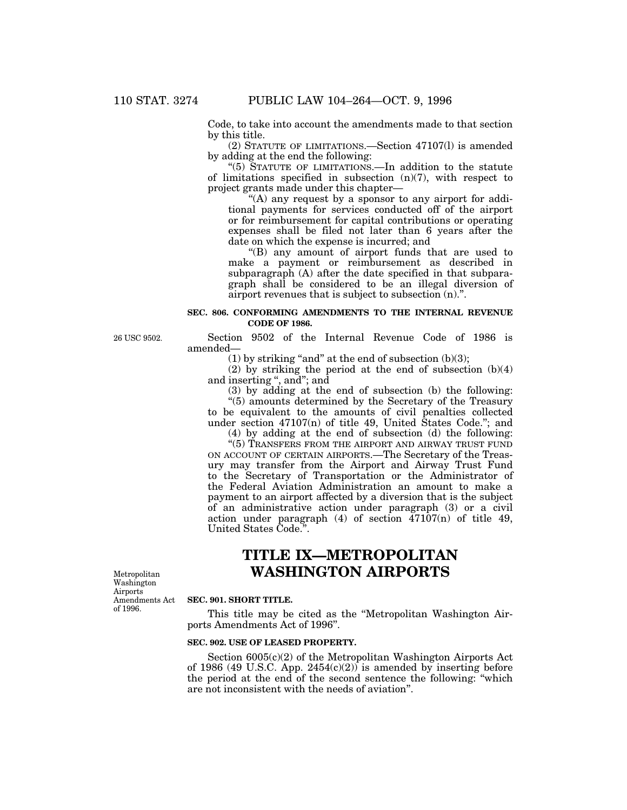Code, to take into account the amendments made to that section by this title.

(2) STATUTE OF LIMITATIONS.—Section 47107(l) is amended by adding at the end the following:

''(5) STATUTE OF LIMITATIONS.—In addition to the statute of limitations specified in subsection  $(n)(7)$ , with respect to project grants made under this chapter—

"(A) any request by a sponsor to any airport for additional payments for services conducted off of the airport or for reimbursement for capital contributions or operating expenses shall be filed not later than 6 years after the date on which the expense is incurred; and

''(B) any amount of airport funds that are used to make a payment or reimbursement as described in subparagraph (A) after the date specified in that subparagraph shall be considered to be an illegal diversion of airport revenues that is subject to subsection (n).''.

## **SEC. 806. CONFORMING AMENDMENTS TO THE INTERNAL REVENUE CODE OF 1986.**

26 USC 9502.

Metropolitan Washington Airports Amendments Act of 1996.

# Section 9502 of the Internal Revenue Code of 1986 is amended—

(1) by striking "and" at the end of subsection  $(b)(3)$ ;

(2) by striking the period at the end of subsection (b)(4) and inserting '', and''; and

(3) by adding at the end of subsection (b) the following:

''(5) amounts determined by the Secretary of the Treasury to be equivalent to the amounts of civil penalties collected under section 47107(n) of title 49, United States Code.''; and

(4) by adding at the end of subsection (d) the following: "(5) TRANSFERS FROM THE AIRPORT AND AIRWAY TRUST FUND ON ACCOUNT OF CERTAIN AIRPORTS.—The Secretary of the Treas-

ury may transfer from the Airport and Airway Trust Fund to the Secretary of Transportation or the Administrator of the Federal Aviation Administration an amount to make a payment to an airport affected by a diversion that is the subject of an administrative action under paragraph (3) or a civil action under paragraph  $(4)$  of section  $\overline{47107}$ (n) of title 49, United States Code.''.

# **TITLE IX—METROPOLITAN WASHINGTON AIRPORTS**

#### **SEC. 901. SHORT TITLE.**

This title may be cited as the ''Metropolitan Washington Airports Amendments Act of 1996''.

### **SEC. 902. USE OF LEASED PROPERTY.**

Section 6005(c)(2) of the Metropolitan Washington Airports Act of 1986 (49 U.S.C. App.  $2454(c)(2)$ ) is amended by inserting before the period at the end of the second sentence the following: "which are not inconsistent with the needs of aviation''.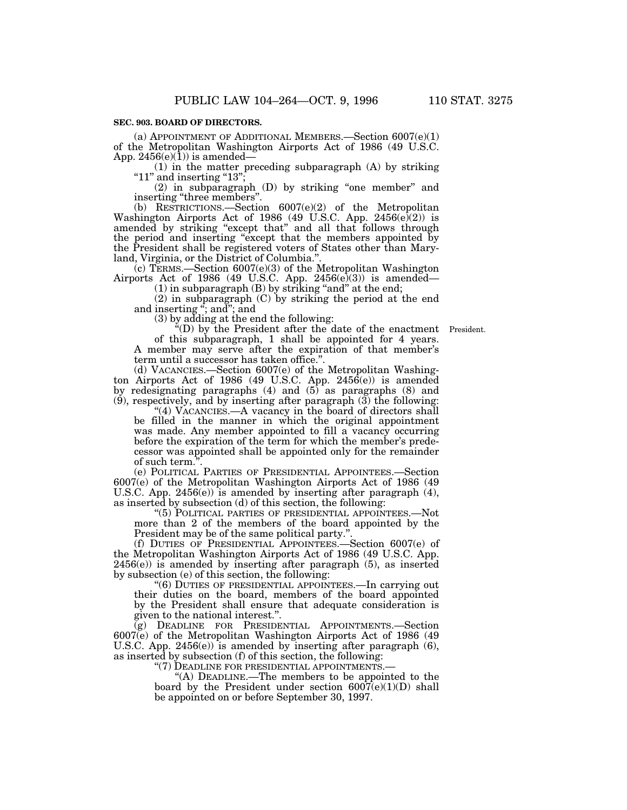## **SEC. 903. BOARD OF DIRECTORS.**

(a) APPOINTMENT OF ADDITIONAL MEMBERS.—Section  $6007(e)(1)$ of the Metropolitan Washington Airports Act of 1986 (49 U.S.C. App.  $2456(e)(1)$  is amended—

(1) in the matter preceding subparagraph (A) by striking " $11"$  and inserting " $13"$ ;

(2) in subparagraph (D) by striking ''one member'' and inserting "three members".

(b) RESTRICTIONS.—Section 6007(e)(2) of the Metropolitan Washington Airports Act of 1986 (49 U.S.C. App.  $2456(e)(2)$ ) is amended by striking "except that" and all that follows through the period and inserting ''except that the members appointed by the President shall be registered voters of States other than Maryland, Virginia, or the District of Columbia.''.

(c) TERMS.—Section 6007(e)(3) of the Metropolitan Washington Airports Act of 1986 (49 U.S.C. App.  $2456(e)(3)$ ) is amended-

 $(1)$  in subparagraph  $(B)$  by striking "and" at the end;

(2) in subparagraph (C) by striking the period at the end and inserting ''; and''; and

(3) by adding at the end the following:

''(D) by the President after the date of the enactment President.of this subparagraph, 1 shall be appointed for 4 years. A member may serve after the expiration of that member's term until a successor has taken office.''.

(d) VACANCIES.—Section 6007(e) of the Metropolitan Washington Airports Act of 1986 (49 U.S.C. App. 2456(e)) is amended by redesignating paragraphs  $(4)$  and  $(5)$  as paragraphs  $(8)$  and (9), respectively, and by inserting after paragraph (3) the following:

''(4) VACANCIES.—A vacancy in the board of directors shall be filled in the manner in which the original appointment was made. Any member appointed to fill a vacancy occurring before the expiration of the term for which the member's predecessor was appointed shall be appointed only for the remainder of such term."

(e) POLITICAL PARTIES OF PRESIDENTIAL APPOINTEES.—Section 6007(e) of the Metropolitan Washington Airports Act of 1986 (49 U.S.C. App. 2456(e)) is amended by inserting after paragraph (4), as inserted by subsection (d) of this section, the following:

''(5) POLITICAL PARTIES OF PRESIDENTIAL APPOINTEES.—Not more than 2 of the members of the board appointed by the President may be of the same political party.

(f) DUTIES OF PRESIDENTIAL APPOINTEES.—Section 6007(e) of the Metropolitan Washington Airports Act of 1986 (49 U.S.C. App. 2456(e)) is amended by inserting after paragraph (5), as inserted by subsection (e) of this section, the following:

''(6) DUTIES OF PRESIDENTIAL APPOINTEES.—In carrying out their duties on the board, members of the board appointed by the President shall ensure that adequate consideration is given to the national interest.''.

(g) DEADLINE FOR PRESIDENTIAL APPOINTMENTS.—Section 6007(e) of the Metropolitan Washington Airports Act of 1986 (49 U.S.C. App. 2456(e)) is amended by inserting after paragraph (6), as inserted by subsection (f) of this section, the following:

"(7) DEADLINE FOR PRESIDENTIAL APPOINTMENTS.

"(A) DEADLINE.—The members to be appointed to the board by the President under section  $6007(e)(1)(D)$  shall be appointed on or before September 30, 1997.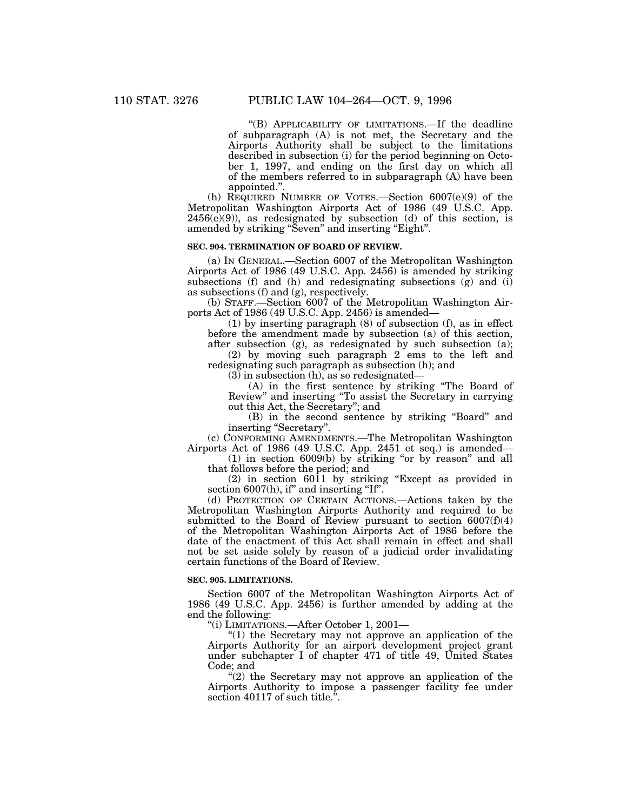''(B) APPLICABILITY OF LIMITATIONS.—If the deadline of subparagraph (A) is not met, the Secretary and the Airports Authority shall be subject to the limitations described in subsection (i) for the period beginning on October 1, 1997, and ending on the first day on which all of the members referred to in subparagraph (A) have been appointed.''.

(h) REQUIRED NUMBER OF VOTES.—Section 6007(e)(9) of the Metropolitan Washington Airports Act of 1986 (49 U.S.C. App.  $2456(e)(9)$ , as redesignated by subsection (d) of this section, is amended by striking "Seven" and inserting "Eight".

## **SEC. 904. TERMINATION OF BOARD OF REVIEW.**

(a) IN GENERAL.—Section 6007 of the Metropolitan Washington Airports Act of 1986 (49 U.S.C. App. 2456) is amended by striking subsections (f) and (h) and redesignating subsections (g) and  $(i)$ as subsections (f) and (g), respectively.

(b) STAFF.—Section 6007 of the Metropolitan Washington Airports Act of 1986 (49 U.S.C. App. 2456) is amended—

(1) by inserting paragraph (8) of subsection (f), as in effect before the amendment made by subsection (a) of this section, after subsection (g), as redesignated by such subsection (a);

(2) by moving such paragraph 2 ems to the left and redesignating such paragraph as subsection (h); and

 $(3)$  in subsection  $(h)$ , as so redesignated–

(A) in the first sentence by striking ''The Board of Review'' and inserting ''To assist the Secretary in carrying out this Act, the Secretary''; and

(B) in the second sentence by striking ''Board'' and inserting "Secretary".

(c) CONFORMING AMENDMENTS.—The Metropolitan Washington Airports Act of 1986 (49 U.S.C. App. 2451 et seq.) is amended—

(1) in section 6009(b) by striking ''or by reason'' and all that follows before the period; and

(2) in section  $60\overline{11}$  by striking "Except as provided in section 6007(h), if" and inserting "If".

(d) PROTECTION OF CERTAIN ACTIONS.—Actions taken by the Metropolitan Washington Airports Authority and required to be submitted to the Board of Review pursuant to section 6007(f)(4) of the Metropolitan Washington Airports Act of 1986 before the date of the enactment of this Act shall remain in effect and shall not be set aside solely by reason of a judicial order invalidating certain functions of the Board of Review.

#### **SEC. 905. LIMITATIONS.**

Section 6007 of the Metropolitan Washington Airports Act of 1986 (49 U.S.C. App. 2456) is further amended by adding at the end the following:

''(i) LIMITATIONS.—After October 1, 2001—

"(1) the Secretary may not approve an application of the Airports Authority for an airport development project grant under subchapter I of chapter 471 of title 49, United States Code; and

 $\sqrt{2}$ ) the Secretary may not approve an application of the Airports Authority to impose a passenger facility fee under section 40117 of such title.".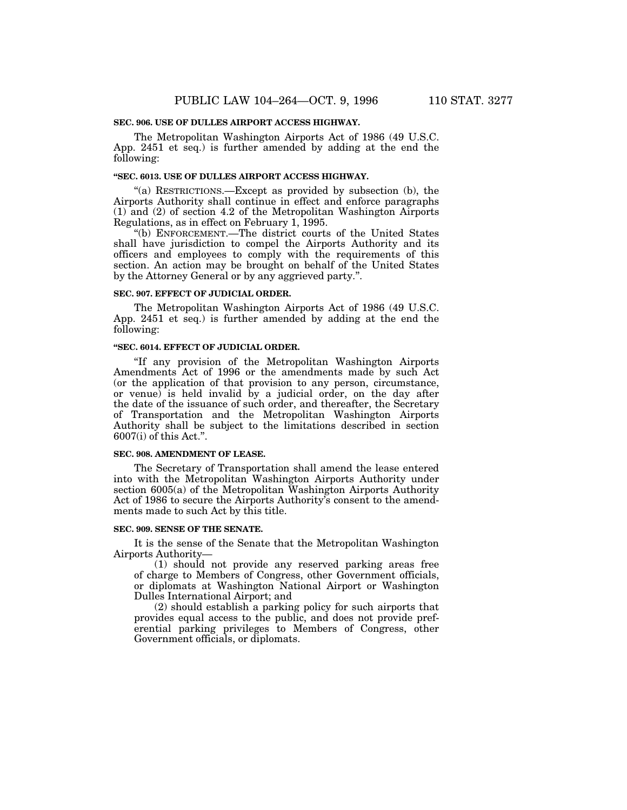### **SEC. 906. USE OF DULLES AIRPORT ACCESS HIGHWAY.**

The Metropolitan Washington Airports Act of 1986 (49 U.S.C. App. 2451 et seq.) is further amended by adding at the end the following:

## **''SEC. 6013. USE OF DULLES AIRPORT ACCESS HIGHWAY.**

"(a) RESTRICTIONS.—Except as provided by subsection (b), the Airports Authority shall continue in effect and enforce paragraphs (1) and (2) of section 4.2 of the Metropolitan Washington Airports Regulations, as in effect on February 1, 1995.

''(b) ENFORCEMENT.—The district courts of the United States shall have jurisdiction to compel the Airports Authority and its officers and employees to comply with the requirements of this section. An action may be brought on behalf of the United States by the Attorney General or by any aggrieved party.''.

#### **SEC. 907. EFFECT OF JUDICIAL ORDER.**

The Metropolitan Washington Airports Act of 1986 (49 U.S.C. App. 2451 et seq.) is further amended by adding at the end the following:

#### **''SEC. 6014. EFFECT OF JUDICIAL ORDER.**

''If any provision of the Metropolitan Washington Airports Amendments Act of 1996 or the amendments made by such Act (or the application of that provision to any person, circumstance, or venue) is held invalid by a judicial order, on the day after the date of the issuance of such order, and thereafter, the Secretary of Transportation and the Metropolitan Washington Airports Authority shall be subject to the limitations described in section 6007(i) of this Act.''.

### **SEC. 908. AMENDMENT OF LEASE.**

The Secretary of Transportation shall amend the lease entered into with the Metropolitan Washington Airports Authority under section 6005(a) of the Metropolitan Washington Airports Authority Act of 1986 to secure the Airports Authority's consent to the amendments made to such Act by this title.

### **SEC. 909. SENSE OF THE SENATE.**

It is the sense of the Senate that the Metropolitan Washington Airports Authority—

(1) should not provide any reserved parking areas free of charge to Members of Congress, other Government officials, or diplomats at Washington National Airport or Washington Dulles International Airport; and

(2) should establish a parking policy for such airports that provides equal access to the public, and does not provide preferential parking privileges to Members of Congress, other Government officials, or diplomats.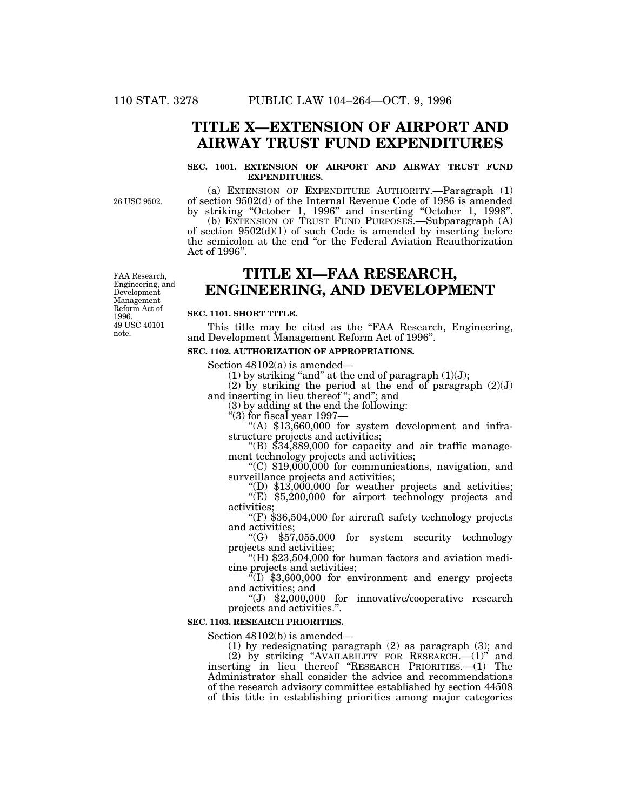# **TITLE X—EXTENSION OF AIRPORT AND AIRWAY TRUST FUND EXPENDITURES**

## **SEC. 1001. EXTENSION OF AIRPORT AND AIRWAY TRUST FUND EXPENDITURES.**

26 USC 9502.

(a) EXTENSION OF EXPENDITURE AUTHORITY.—Paragraph (1) of section 9502(d) of the Internal Revenue Code of 1986 is amended by striking ''October 1, 1996'' and inserting ''October 1, 1998''. (b) EXTENSION OF TRUST FUND PURPOSES.—Subparagraph (A) of section  $9502(d)(1)$  of such Code is amended by inserting before the semicolon at the end ''or the Federal Aviation Reauthorization Act of 1996''.

# **TITLE XI—FAA RESEARCH, ENGINEERING, AND DEVELOPMENT**

### **SEC. 1101. SHORT TITLE.**

This title may be cited as the "FAA Research, Engineering, and Development Management Reform Act of 1996''.

#### **SEC. 1102. AUTHORIZATION OF APPROPRIATIONS.**

Section 48102(a) is amended—

(1) by striking "and" at the end of paragraph  $(1)(J)$ ;

(2) by striking the period at the end of paragraph  $(2)(J)$ and inserting in lieu thereof "; and"; and

(3) by adding at the end the following:

''(3) for fiscal year 1997— ''(A) \$13,660,000 for system development and infra-

structure projects and activities;<br>"(B) \$34,889,000 for capacity and air traffic manage-

ment technology projects and activities;<br>"(C) \$19,000,000 for communications, navigation, and<br>surveillance projects and activities;

"(D)  $$13,000,000$  for weather projects and activities;  $\sqrt{\text{E}}$  \$5,200,000 for airport technology projects and activities:

"(F)  $$36,504,000$  for aircraft safety technology projects and activities;

"(G)  $$57,055,000$  for system security technology projects and activities;<br>"(H) \$23,504,000 for human factors and aviation medi-

cine projects and activities;<br>"(I) \$3,600,000 for environment and energy projects

and activities; and<br>
"(J) \$2,000,000 for innovative/cooperative research projects and activities.''.

#### **SEC. 1103. RESEARCH PRIORITIES.**

Section 48102(b) is amended—

(1) by redesignating paragraph (2) as paragraph (3); and (2) by striking ''AVAILABILITY FOR RESEARCH.—(1)'' and inserting in lieu thereof ''RESEARCH PRIORITIES.—(1) The Administrator shall consider the advice and recommendations of the research advisory committee established by section 44508 of this title in establishing priorities among major categories

49 USC 40101 note. FAA Research, Engineering, and Development Management Reform Act of 1996.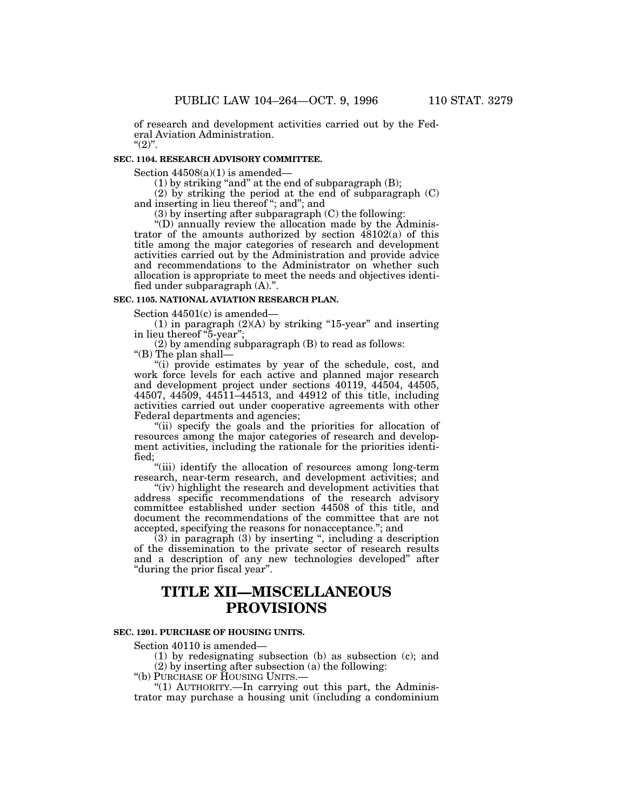of research and development activities carried out by the Federal Aviation Administration.  $"(2)"$ .

# **SEC. 1104. RESEARCH ADVISORY COMMITTEE.**

Section  $44508(a)(1)$  is amended—

 $(1)$  by striking "and" at the end of subparagraph  $(B)$ ;

(2) by striking the period at the end of subparagraph (C) and inserting in lieu thereof ''; and''; and

(3) by inserting after subparagraph (C) the following:

''(D) annually review the allocation made by the Administrator of the amounts authorized by section 48102(a) of this title among the major categories of research and development activities carried out by the Administration and provide advice and recommendations to the Administrator on whether such allocation is appropriate to meet the needs and objectives identified under subparagraph (A).''.

### **SEC. 1105. NATIONAL AVIATION RESEARCH PLAN.**

Section 44501(c) is amended—

(1) in paragraph  $(2)(A)$  by striking "15-year" and inserting in lieu thereof ''5-year'';

(2) by amending subparagraph (B) to read as follows:

"(B) The plan shall-

"(i) provide estimates by year of the schedule, cost, and work force levels for each active and planned major research and development project under sections 40119, 44504, 44505, 44507, 44509, 44511–44513, and 44912 of this title, including activities carried out under cooperative agreements with other Federal departments and agencies;

"(ii) specify the goals and the priorities for allocation of resources among the major categories of research and development activities, including the rationale for the priorities identified;

"(iii) identify the allocation of resources among long-term research, near-term research, and development activities; and

"(iv) highlight the research and development activities that address specific recommendations of the research advisory committee established under section 44508 of this title, and document the recommendations of the committee that are not accepted, specifying the reasons for nonacceptance.''; and

(3) in paragraph (3) by inserting '', including a description of the dissemination to the private sector of research results and a description of any new technologies developed'' after ''during the prior fiscal year''.

# **TITLE XII—MISCELLANEOUS PROVISIONS**

### **SEC. 1201. PURCHASE OF HOUSING UNITS.**

Section 40110 is amended—

(1) by redesignating subsection (b) as subsection (c); and (2) by inserting after subsection (a) the following:

''(b) PURCHASE OF HOUSING UNITS.—

"(1) AUTHORITY.—In carrying out this part, the Administrator may purchase a housing unit (including a condominium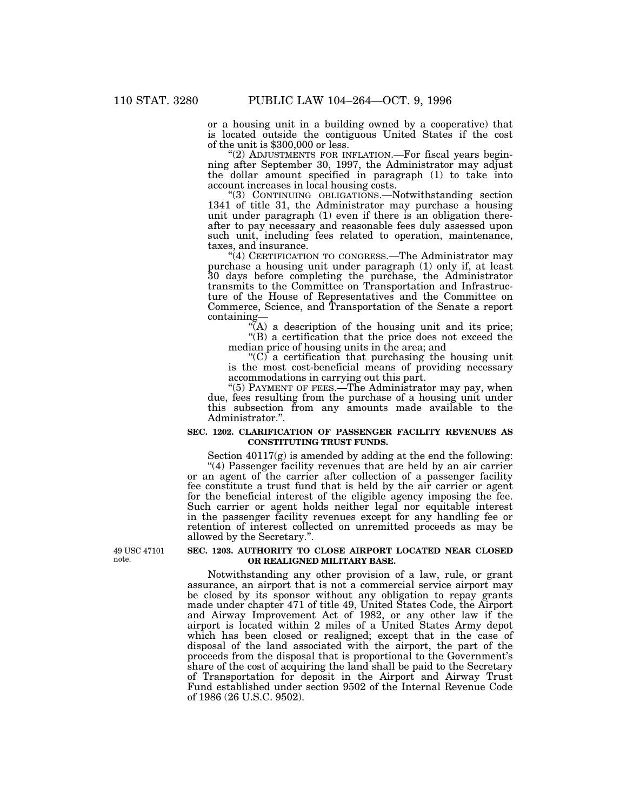or a housing unit in a building owned by a cooperative) that is located outside the contiguous United States if the cost of the unit is \$300,000 or less.

"(2) ADJUSTMENTS FOR INFLATION.—For fiscal years beginning after September 30, 1997, the Administrator may adjust the dollar amount specified in paragraph (1) to take into account increases in local housing costs.

''(3) CONTINUING OBLIGATIONS.—Notwithstanding section 1341 of title 31, the Administrator may purchase a housing unit under paragraph (1) even if there is an obligation thereafter to pay necessary and reasonable fees duly assessed upon such unit, including fees related to operation, maintenance, taxes, and insurance.

''(4) CERTIFICATION TO CONGRESS.—The Administrator may purchase a housing unit under paragraph (1) only if, at least 30 days before completing the purchase, the Administrator transmits to the Committee on Transportation and Infrastructure of the House of Representatives and the Committee on Commerce, Science, and Transportation of the Senate a report containing—

 $(A)$  a description of the housing unit and its price; ''(B) a certification that the price does not exceed the median price of housing units in the area; and

" $(C)$  a certification that purchasing the housing unit is the most cost-beneficial means of providing necessary accommodations in carrying out this part.

"(5) PAYMENT OF FEES.—The Administrator may pay, when due, fees resulting from the purchase of a housing unit under this subsection from any amounts made available to the Administrator.''.

## **SEC. 1202. CLARIFICATION OF PASSENGER FACILITY REVENUES AS CONSTITUTING TRUST FUNDS.**

Section 40117(g) is amended by adding at the end the following: "(4) Passenger facility revenues that are held by an air carrier

or an agent of the carrier after collection of a passenger facility fee constitute a trust fund that is held by the air carrier or agent for the beneficial interest of the eligible agency imposing the fee. Such carrier or agent holds neither legal nor equitable interest in the passenger facility revenues except for any handling fee or retention of interest collected on unremitted proceeds as may be allowed by the Secretary.''.

49 USC 47101 note.

### **SEC. 1203. AUTHORITY TO CLOSE AIRPORT LOCATED NEAR CLOSED OR REALIGNED MILITARY BASE.**

Notwithstanding any other provision of a law, rule, or grant assurance, an airport that is not a commercial service airport may be closed by its sponsor without any obligation to repay grants made under chapter 471 of title 49, United States Code, the Airport and Airway Improvement Act of 1982, or any other law if the airport is located within 2 miles of a United States Army depot which has been closed or realigned; except that in the case of disposal of the land associated with the airport, the part of the proceeds from the disposal that is proportional to the Government's share of the cost of acquiring the land shall be paid to the Secretary of Transportation for deposit in the Airport and Airway Trust Fund established under section 9502 of the Internal Revenue Code of 1986 (26 U.S.C. 9502).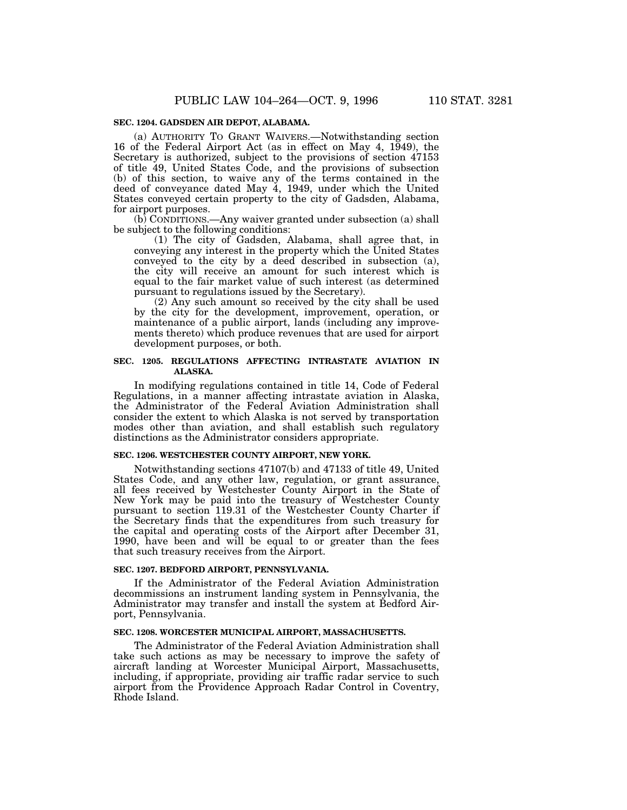## **SEC. 1204. GADSDEN AIR DEPOT, ALABAMA.**

(a) AUTHORITY TO GRANT WAIVERS.—Notwithstanding section 16 of the Federal Airport Act (as in effect on May 4, 1949), the Secretary is authorized, subject to the provisions of section 47153 of title 49, United States Code, and the provisions of subsection (b) of this section, to waive any of the terms contained in the deed of conveyance dated May 4, 1949, under which the United States conveyed certain property to the city of Gadsden, Alabama, for airport purposes.

(b) CONDITIONS.—Any waiver granted under subsection (a) shall be subject to the following conditions:

(1) The city of Gadsden, Alabama, shall agree that, in conveying any interest in the property which the United States conveyed to the city by a deed described in subsection (a), the city will receive an amount for such interest which is equal to the fair market value of such interest (as determined pursuant to regulations issued by the Secretary).

(2) Any such amount so received by the city shall be used by the city for the development, improvement, operation, or maintenance of a public airport, lands (including any improvements thereto) which produce revenues that are used for airport development purposes, or both.

## **SEC. 1205. REGULATIONS AFFECTING INTRASTATE AVIATION IN ALASKA.**

In modifying regulations contained in title 14, Code of Federal Regulations, in a manner affecting intrastate aviation in Alaska, the Administrator of the Federal Aviation Administration shall consider the extent to which Alaska is not served by transportation modes other than aviation, and shall establish such regulatory distinctions as the Administrator considers appropriate.

#### **SEC. 1206. WESTCHESTER COUNTY AIRPORT, NEW YORK.**

Notwithstanding sections 47107(b) and 47133 of title 49, United States Code, and any other law, regulation, or grant assurance, all fees received by Westchester County Airport in the State of New York may be paid into the treasury of Westchester County pursuant to section 119.31 of the Westchester County Charter if the Secretary finds that the expenditures from such treasury for the capital and operating costs of the Airport after December 31, 1990, have been and will be equal to or greater than the fees that such treasury receives from the Airport.

#### **SEC. 1207. BEDFORD AIRPORT, PENNSYLVANIA.**

If the Administrator of the Federal Aviation Administration decommissions an instrument landing system in Pennsylvania, the Administrator may transfer and install the system at Bedford Airport, Pennsylvania.

#### **SEC. 1208. WORCESTER MUNICIPAL AIRPORT, MASSACHUSETTS.**

The Administrator of the Federal Aviation Administration shall take such actions as may be necessary to improve the safety of aircraft landing at Worcester Municipal Airport, Massachusetts, including, if appropriate, providing air traffic radar service to such airport from the Providence Approach Radar Control in Coventry, Rhode Island.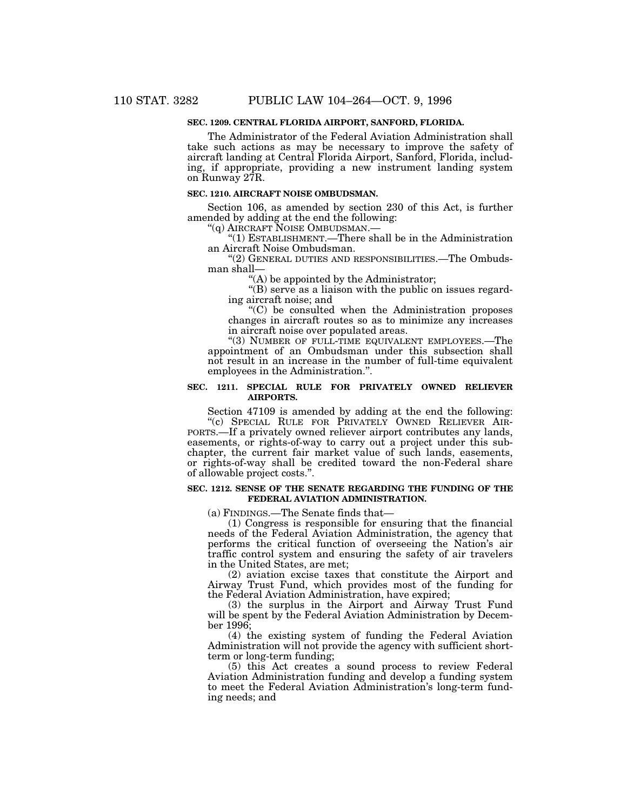# **SEC. 1209. CENTRAL FLORIDA AIRPORT, SANFORD, FLORIDA.**

The Administrator of the Federal Aviation Administration shall take such actions as may be necessary to improve the safety of aircraft landing at Central Florida Airport, Sanford, Florida, including, if appropriate, providing a new instrument landing system on Runway 27R.

#### **SEC. 1210. AIRCRAFT NOISE OMBUDSMAN.**

Section 106, as amended by section 230 of this Act, is further amended by adding at the end the following:

''(q) AIRCRAFT NOISE OMBUDSMAN.—

''(1) ESTABLISHMENT.—There shall be in the Administration an Aircraft Noise Ombudsman.

''(2) GENERAL DUTIES AND RESPONSIBILITIES.—The Ombudsman shall—

''(A) be appointed by the Administrator;

"(B) serve as a liaison with the public on issues regarding aircraft noise; and

''(C) be consulted when the Administration proposes changes in aircraft routes so as to minimize any increases in aircraft noise over populated areas.

"(3) NUMBER OF FULL-TIME EQUIVALENT EMPLOYEES.—The appointment of an Ombudsman under this subsection shall not result in an increase in the number of full-time equivalent employees in the Administration.''.

## **SEC. 1211. SPECIAL RULE FOR PRIVATELY OWNED RELIEVER AIRPORTS.**

Section 47109 is amended by adding at the end the following:

"(c) SPECIAL RULE FOR PRIVATELY OWNED RELIEVER AIR-PORTS.—If a privately owned reliever airport contributes any lands, easements, or rights-of-way to carry out a project under this subchapter, the current fair market value of such lands, easements, or rights-of-way shall be credited toward the non-Federal share of allowable project costs.''.

#### **SEC. 1212. SENSE OF THE SENATE REGARDING THE FUNDING OF THE FEDERAL AVIATION ADMINISTRATION.**

(a) FINDINGS.—The Senate finds that—

(1) Congress is responsible for ensuring that the financial needs of the Federal Aviation Administration, the agency that performs the critical function of overseeing the Nation's air traffic control system and ensuring the safety of air travelers in the United States, are met;

(2) aviation excise taxes that constitute the Airport and Airway Trust Fund, which provides most of the funding for the Federal Aviation Administration, have expired;

(3) the surplus in the Airport and Airway Trust Fund will be spent by the Federal Aviation Administration by December 1996;

(4) the existing system of funding the Federal Aviation Administration will not provide the agency with sufficient shortterm or long-term funding;

(5) this Act creates a sound process to review Federal Aviation Administration funding and develop a funding system to meet the Federal Aviation Administration's long-term funding needs; and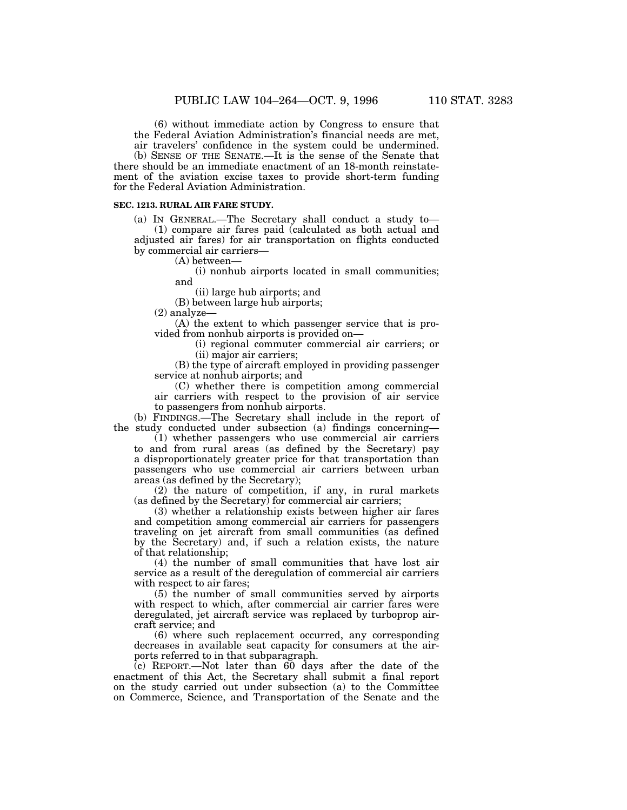(6) without immediate action by Congress to ensure that the Federal Aviation Administration's financial needs are met, air travelers' confidence in the system could be undermined.

(b) SENSE OF THE SENATE.—It is the sense of the Senate that there should be an immediate enactment of an 18-month reinstatement of the aviation excise taxes to provide short-term funding for the Federal Aviation Administration.

#### **SEC. 1213. RURAL AIR FARE STUDY.**

(a) IN GENERAL.—The Secretary shall conduct a study to— (1) compare air fares paid (calculated as both actual and adjusted air fares) for air transportation on flights conducted by commercial air carriers—

(A) between—

(i) nonhub airports located in small communities; and

(ii) large hub airports; and

(B) between large hub airports;

(2) analyze—

(A) the extent to which passenger service that is provided from nonhub airports is provided on—

> (i) regional commuter commercial air carriers; or (ii) major air carriers;

(B) the type of aircraft employed in providing passenger service at nonhub airports; and

(C) whether there is competition among commercial air carriers with respect to the provision of air service to passengers from nonhub airports.

(b) FINDINGS.—The Secretary shall include in the report of the study conducted under subsection (a) findings concerning—

(1) whether passengers who use commercial air carriers to and from rural areas (as defined by the Secretary) pay a disproportionately greater price for that transportation than passengers who use commercial air carriers between urban areas (as defined by the Secretary);

(2) the nature of competition, if any, in rural markets (as defined by the Secretary) for commercial air carriers;

(3) whether a relationship exists between higher air fares and competition among commercial air carriers for passengers traveling on jet aircraft from small communities (as defined by the Secretary) and, if such a relation exists, the nature of that relationship;

(4) the number of small communities that have lost air service as a result of the deregulation of commercial air carriers with respect to air fares;

(5) the number of small communities served by airports with respect to which, after commercial air carrier fares were deregulated, jet aircraft service was replaced by turboprop aircraft service; and

(6) where such replacement occurred, any corresponding decreases in available seat capacity for consumers at the airports referred to in that subparagraph.

 $\overline{c}$  REPORT.—Not later than 60 days after the date of the enactment of this Act, the Secretary shall submit a final report on the study carried out under subsection (a) to the Committee on Commerce, Science, and Transportation of the Senate and the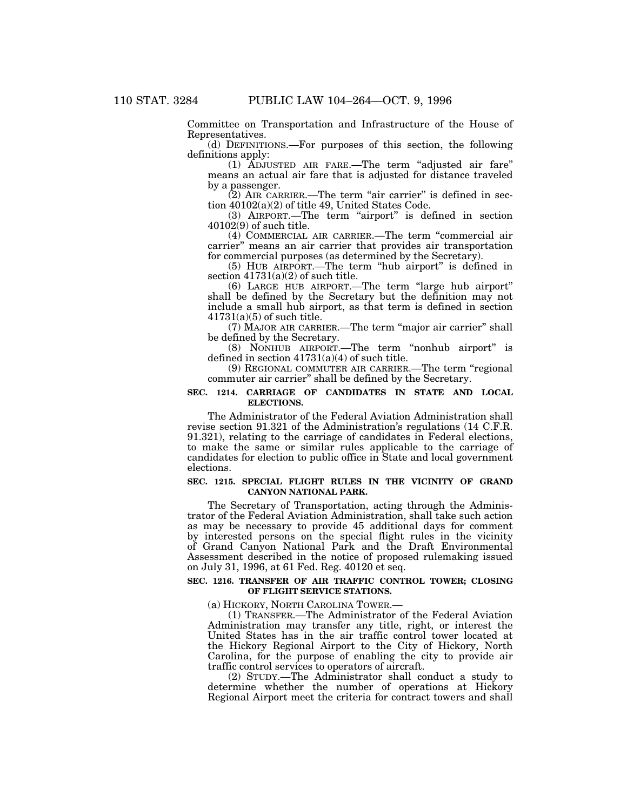Committee on Transportation and Infrastructure of the House of Representatives.

(d) DEFINITIONS.—For purposes of this section, the following definitions apply:

(1) ADJUSTED AIR FARE.—The term ''adjusted air fare'' means an actual air fare that is adjusted for distance traveled by a passenger.

 $(2)$  AIR CARRIER.—The term "air carrier" is defined in section 40102(a)(2) of title 49, United States Code.

(3) AIRPORT.—The term "airport" is defined in section 40102(9) of such title.

(4) COMMERCIAL AIR CARRIER.—The term ''commercial air carrier'' means an air carrier that provides air transportation for commercial purposes (as determined by the Secretary).

(5) HUB AIRPORT.—The term ''hub airport'' is defined in section  $41731(a)(2)$  of such title.

(6) LARGE HUB AIRPORT.—The term ''large hub airport'' shall be defined by the Secretary but the definition may not include a small hub airport, as that term is defined in section  $41731(a)(5)$  of such title.

(7) MAJOR AIR CARRIER.—The term ''major air carrier'' shall be defined by the Secretary.

(8) NONHUB AIRPORT.—The term ''nonhub airport'' is defined in section  $41731(a)(4)$  of such title.

(9) REGIONAL COMMUTER AIR CARRIER.—The term ''regional commuter air carrier'' shall be defined by the Secretary.

### **SEC. 1214. CARRIAGE OF CANDIDATES IN STATE AND LOCAL ELECTIONS.**

The Administrator of the Federal Aviation Administration shall revise section 91.321 of the Administration's regulations (14 C.F.R. 91.321), relating to the carriage of candidates in Federal elections, to make the same or similar rules applicable to the carriage of candidates for election to public office in State and local government elections.

### **SEC. 1215. SPECIAL FLIGHT RULES IN THE VICINITY OF GRAND CANYON NATIONAL PARK.**

The Secretary of Transportation, acting through the Administrator of the Federal Aviation Administration, shall take such action as may be necessary to provide 45 additional days for comment by interested persons on the special flight rules in the vicinity of Grand Canyon National Park and the Draft Environmental Assessment described in the notice of proposed rulemaking issued on July 31, 1996, at 61 Fed. Reg. 40120 et seq.

### **SEC. 1216. TRANSFER OF AIR TRAFFIC CONTROL TOWER; CLOSING OF FLIGHT SERVICE STATIONS.**

(a) HICKORY, NORTH CAROLINA TOWER.— (1) TRANSFER.—The Administrator of the Federal Aviation Administration may transfer any title, right, or interest the United States has in the air traffic control tower located at the Hickory Regional Airport to the City of Hickory, North Carolina, for the purpose of enabling the city to provide air traffic control services to operators of aircraft.

(2) STUDY.—The Administrator shall conduct a study to determine whether the number of operations at Hickory Regional Airport meet the criteria for contract towers and shall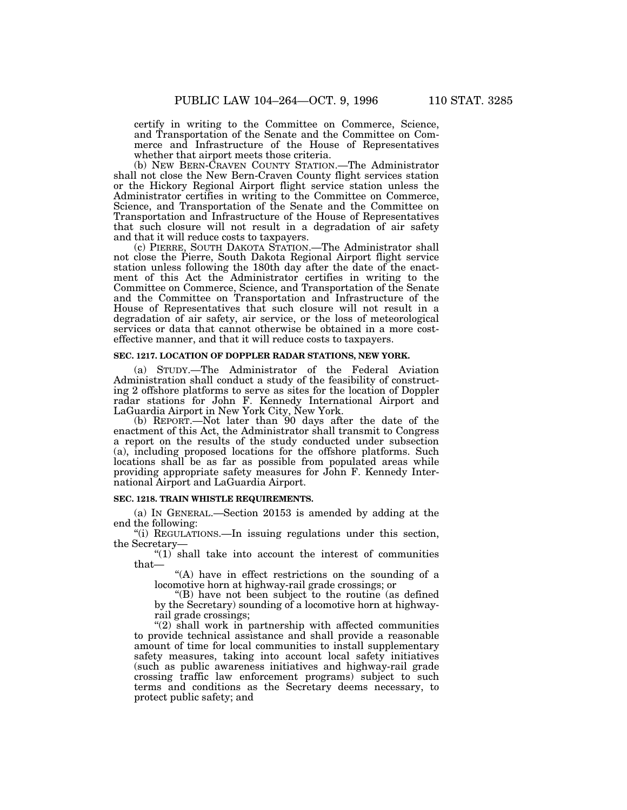certify in writing to the Committee on Commerce, Science,

and Transportation of the Senate and the Committee on Commerce and Infrastructure of the House of Representatives whether that airport meets those criteria.

(b) NEW BERN-CRAVEN COUNTY STATION.—The Administrator shall not close the New Bern-Craven County flight services station or the Hickory Regional Airport flight service station unless the Administrator certifies in writing to the Committee on Commerce, Science, and Transportation of the Senate and the Committee on Transportation and Infrastructure of the House of Representatives that such closure will not result in a degradation of air safety and that it will reduce costs to taxpayers.

(c) PIERRE, SOUTH DAKOTA STATION.—The Administrator shall not close the Pierre, South Dakota Regional Airport flight service station unless following the 180th day after the date of the enactment of this Act the Administrator certifies in writing to the Committee on Commerce, Science, and Transportation of the Senate and the Committee on Transportation and Infrastructure of the House of Representatives that such closure will not result in a degradation of air safety, air service, or the loss of meteorological services or data that cannot otherwise be obtained in a more costeffective manner, and that it will reduce costs to taxpayers.

#### **SEC. 1217. LOCATION OF DOPPLER RADAR STATIONS, NEW YORK.**

(a) STUDY.—The Administrator of the Federal Aviation Administration shall conduct a study of the feasibility of constructing 2 offshore platforms to serve as sites for the location of Doppler radar stations for John F. Kennedy International Airport and LaGuardia Airport in New York City, New York.

(b) REPORT.—Not later than 90 days after the date of the enactment of this Act, the Administrator shall transmit to Congress a report on the results of the study conducted under subsection (a), including proposed locations for the offshore platforms. Such locations shall be as far as possible from populated areas while providing appropriate safety measures for John F. Kennedy International Airport and LaGuardia Airport.

## **SEC. 1218. TRAIN WHISTLE REQUIREMENTS.**

(a) IN GENERAL.—Section 20153 is amended by adding at the end the following:

''(i) REGULATIONS.—In issuing regulations under this section, the Secretary—

 $''(1)$  shall take into account the interest of communities that—

''(A) have in effect restrictions on the sounding of a locomotive horn at highway-rail grade crossings; or

''(B) have not been subject to the routine (as defined by the Secretary) sounding of a locomotive horn at highwayrail grade crossings;

''(2) shall work in partnership with affected communities to provide technical assistance and shall provide a reasonable amount of time for local communities to install supplementary safety measures, taking into account local safety initiatives (such as public awareness initiatives and highway-rail grade crossing traffic law enforcement programs) subject to such terms and conditions as the Secretary deems necessary, to protect public safety; and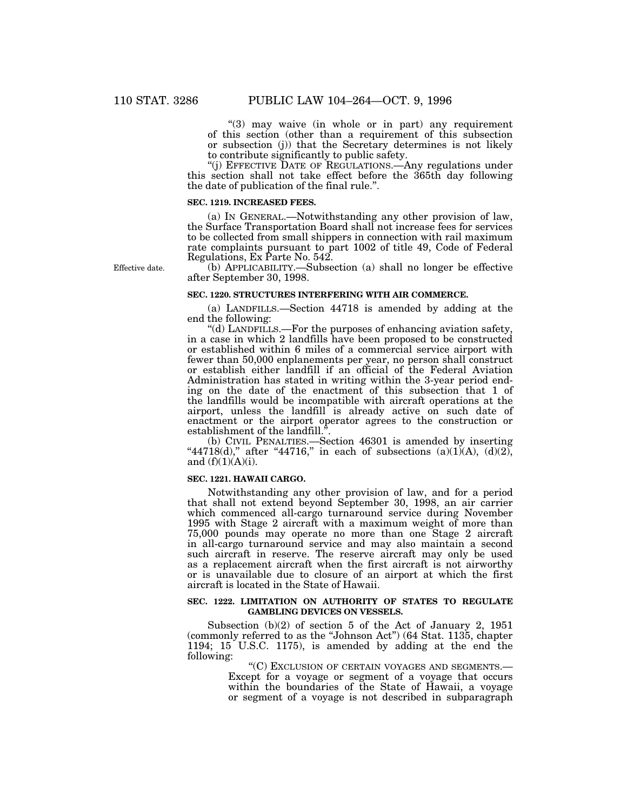"(3) may waive (in whole or in part) any requirement of this section (other than a requirement of this subsection or subsection (j)) that the Secretary determines is not likely to contribute significantly to public safety.

''(j) EFFECTIVE DATE OF REGULATIONS.—Any regulations under this section shall not take effect before the 365th day following the date of publication of the final rule.''.

## **SEC. 1219. INCREASED FEES.**

(a) IN GENERAL.—Notwithstanding any other provision of law, the Surface Transportation Board shall not increase fees for services to be collected from small shippers in connection with rail maximum rate complaints pursuant to part 1002 of title 49, Code of Federal Regulations, Ex Parte No. 542.

Effective date.

(b) APPLICABILITY.—Subsection (a) shall no longer be effective after September 30, 1998.

#### **SEC. 1220. STRUCTURES INTERFERING WITH AIR COMMERCE.**

(a) LANDFILLS.—Section 44718 is amended by adding at the end the following:

''(d) LANDFILLS.—For the purposes of enhancing aviation safety, in a case in which 2 landfills have been proposed to be constructed or established within 6 miles of a commercial service airport with fewer than 50,000 enplanements per year, no person shall construct or establish either landfill if an official of the Federal Aviation Administration has stated in writing within the 3-year period ending on the date of the enactment of this subsection that 1 of the landfills would be incompatible with aircraft operations at the airport, unless the landfill is already active on such date of enactment or the airport operator agrees to the construction or establishment of the landfill.''.

(b) CIVIL PENALTIES.—Section 46301 is amended by inserting "44718(d)," after "44716," in each of subsections  $(a)(1)(A)$ ,  $(d)(2)$ , and  $(f)(1)(A)(i)$ .

# **SEC. 1221. HAWAII CARGO.**

Notwithstanding any other provision of law, and for a period that shall not extend beyond September 30, 1998, an air carrier which commenced all-cargo turnaround service during November 1995 with Stage 2 aircraft with a maximum weight of more than 75,000 pounds may operate no more than one Stage 2 aircraft in all-cargo turnaround service and may also maintain a second such aircraft in reserve. The reserve aircraft may only be used as a replacement aircraft when the first aircraft is not airworthy or is unavailable due to closure of an airport at which the first aircraft is located in the State of Hawaii.

#### **SEC. 1222. LIMITATION ON AUTHORITY OF STATES TO REGULATE GAMBLING DEVICES ON VESSELS.**

Subsection (b)(2) of section 5 of the Act of January 2, 1951 (commonly referred to as the ''Johnson Act'') (64 Stat. 1135, chapter 1194; 15 U.S.C. 1175), is amended by adding at the end the following:

''(C) EXCLUSION OF CERTAIN VOYAGES AND SEGMENTS.—

Except for a voyage or segment of a voyage that occurs within the boundaries of the State of Hawaii, a voyage or segment of a voyage is not described in subparagraph